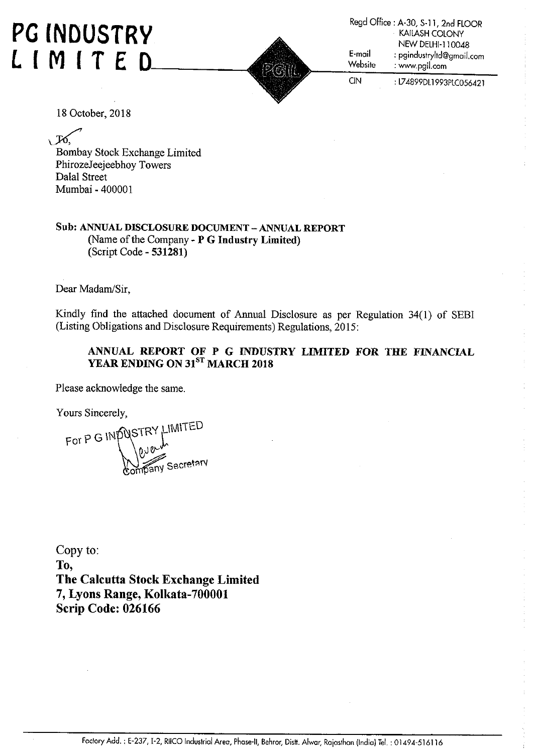# PG INDUSTRY LIMITED



Read Office: A-30, S-11, 2nd FLOOR KAILASH COLONY NEW DELHI-110048 E-mail : pgindustryltd@gmail.com Website : www.pgil.com

**CIN** 

: L74899DL1993PLC056421

18 October, 2018

 $E6$ Bombay Stock Exchange Limited PhirozeJeejeebhoy Towers Dalal Street Mumbai - 400001

# Sub: ANNUAL DISCLOSURE DOCUMENT - ANNUAL REPORT (Name of the Company - P G Industry Limited) (Script Code - 531281)

Dear Madam/Sir.

Kindly find the attached document of Annual Disclosure as per Regulation 34(1) of SEBI (Listing Obligations and Disclosure Requirements) Regulations, 2015:

# ANNUAL REPORT OF P G INDUSTRY LIMITED FOR THE FINANCIAL YEAR ENDING ON  $31^{ST}$  MARCH 2018

Please acknowledge the same.

Yours Sincerely,

For P G INPUSTRY LIMITED Secretary

Copy to: To, The Calcutta Stock Exchange Limited 7, Lyons Range, Kolkata-700001 **Scrip Code: 026166**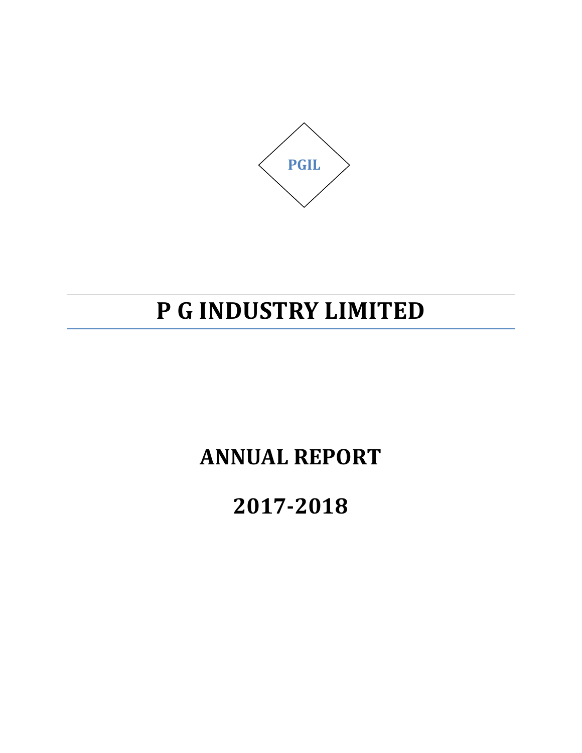

# **P G INDUSTRY LIMITED**

**ANNUAL REPORT**

**2017‐2018**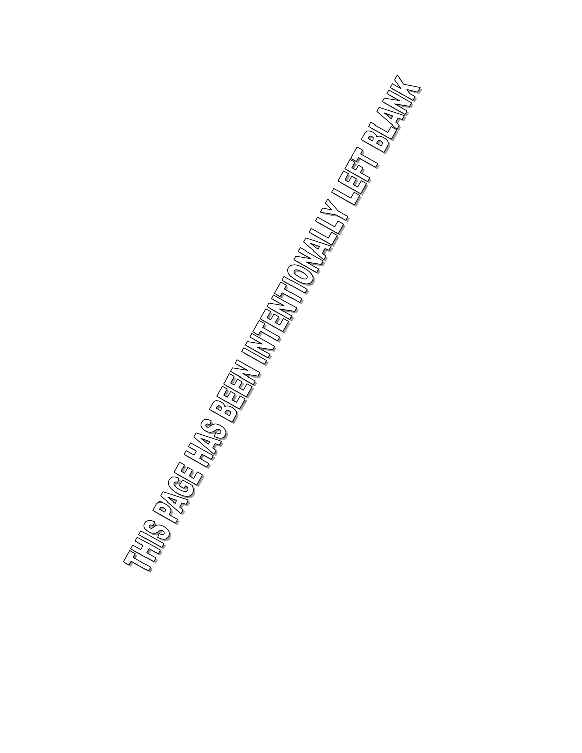$\begin{aligned} \widehat{U_0}^{\text{M}}(\widehat{V_2}) \widehat{\otimes}_{\widehat{V_3}}^{\text{M}}(\widehat{V_3}) \widehat{\otimes}_{\widehat{V_2}}^{\text{M}}(\widehat{V_3}) \widehat{U_3}^{\text{M}}(\widehat{V_3}) \widehat{U_4}^{\text{M}}(\widehat{V_4}) \widehat{U_5}^{\text{M}}(\widehat{V_5}) \widehat{U_6}^{\text{M}}(\widehat{V_6}) \end{aligned}$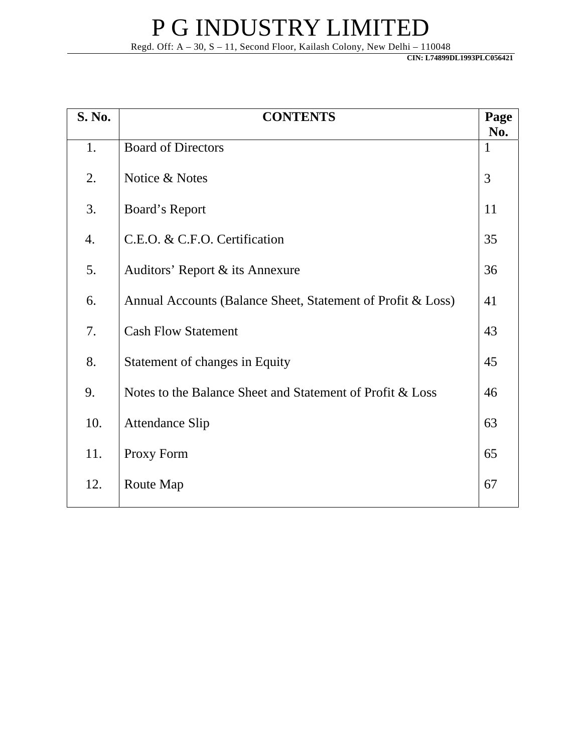# P G INDUSTRY LIMITED

Regd. Off: A – 30, S – 11, Second Floor, Kailash Colony, New Delhi – 110048

**CIN: L74899DL1993PLC056421**

| S. No. | <b>CONTENTS</b>                                             | Page         |  |  |  |  |
|--------|-------------------------------------------------------------|--------------|--|--|--|--|
|        |                                                             | No.          |  |  |  |  |
| 1.     | <b>Board of Directors</b>                                   | $\mathbf{1}$ |  |  |  |  |
| 2.     | Notice & Notes                                              | 3            |  |  |  |  |
| 3.     | Board's Report                                              | 11           |  |  |  |  |
| 4.     | C.E.O. & C.F.O. Certification                               |              |  |  |  |  |
| 5.     | Auditors' Report & its Annexure                             | 36           |  |  |  |  |
|        |                                                             |              |  |  |  |  |
| 6.     | Annual Accounts (Balance Sheet, Statement of Profit & Loss) | 41           |  |  |  |  |
| 7.     | <b>Cash Flow Statement</b>                                  |              |  |  |  |  |
| 8.     | Statement of changes in Equity                              | 45           |  |  |  |  |
| 9.     | Notes to the Balance Sheet and Statement of Profit & Loss   | 46           |  |  |  |  |
| 10.    | <b>Attendance Slip</b>                                      | 63           |  |  |  |  |
| 11.    | Proxy Form                                                  | 65           |  |  |  |  |
| 12.    | Route Map                                                   | 67           |  |  |  |  |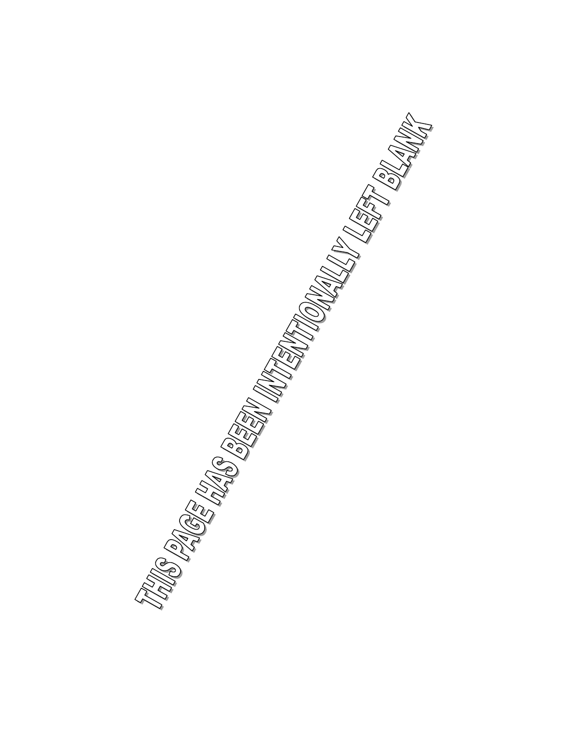$\begin{aligned} \widehat{U}^{\text{MSE}}_{\text{MSE}}(\widehat{\mathcal{U}}^{\text{MSE}}_{\text{MSE}}) & \text{if} \ \widehat{U}^{\text{MSE}}_{\text{MSE}}(\widehat{\mathcal{U}}^{\text{MSE}}_{\text{MSE}}) & \text{if} \ \widehat{U}^{\text{MSE}}_{\text{MSE}}(\widehat{\mathcal{U}}^{\text{MSE}}_{\text{MSE}}) & \text{if} \ \widehat{U}^{\text{MSE}}_{\text{MSE}}(\widehat{\mathcal{U}}^{\text{MSE}}_{\text{MSE}}) & \text{if} \ \widehat{U}^{\text{M$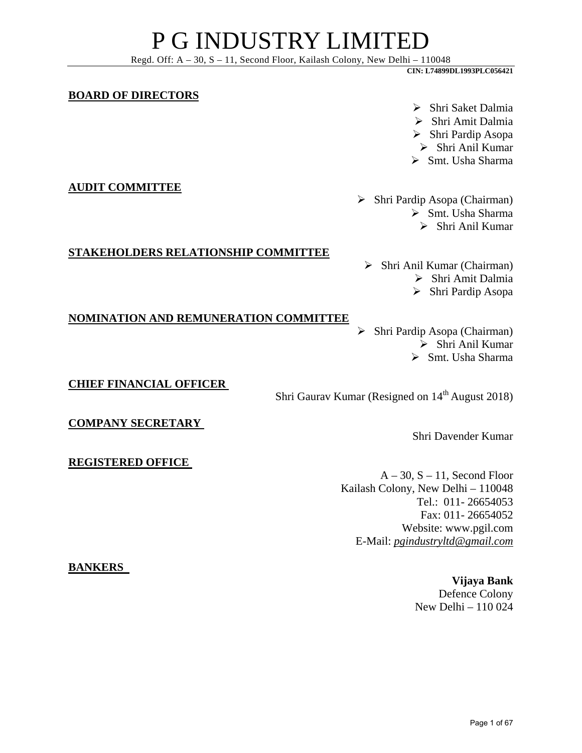# P G INDUSTRY LIMITED

Regd. Off: A – 30, S – 11, Second Floor, Kailash Colony, New Delhi – 110048

**CIN: L74899DL1993PLC056421**

# **BOARD OF DIRECTORS**

**AUDIT COMMITTEE** 

 $\triangleright$  Shri Saket Dalmia

- $\triangleright$  Shri Amit Dalmia
- $\triangleright$  Shri Pardip Asopa
- Shri Anil Kumar  $\triangleright$  Smt. Usha Sharma
- Shri Pardip Asopa (Chairman)  $\triangleright$  Smt. Usha Sharma
	- $\triangleright$  Shri Anil Kumar

# **STAKEHOLDERS RELATIONSHIP COMMITTEE**

 Shri Anil Kumar (Chairman) Shri Amit Dalmia  $\triangleright$  Shri Pardip Asopa

# **NOMINATION AND REMUNERATION COMMITTEE**

 Shri Pardip Asopa (Chairman)  $\triangleright$  Shri Anil Kumar Smt. Usha Sharma

**CHIEF FINANCIAL OFFICER** 

Shri Gaurav Kumar (Resigned on  $14<sup>th</sup>$  August 2018)

**COMPANY SECRETARY** 

**REGISTERED OFFICE** 

 $A - 30$ ,  $S - 11$ , Second Floor Kailash Colony, New Delhi – 110048 Tel.: 011- 26654053 Fax: 011- 26654052 Website: www.pgil.com E-Mail: *pgindustryltd@gmail.com*

> **Vijaya Bank**  Defence Colony New Delhi – 110 024

Shri Davender Kumar

# **BANKERS**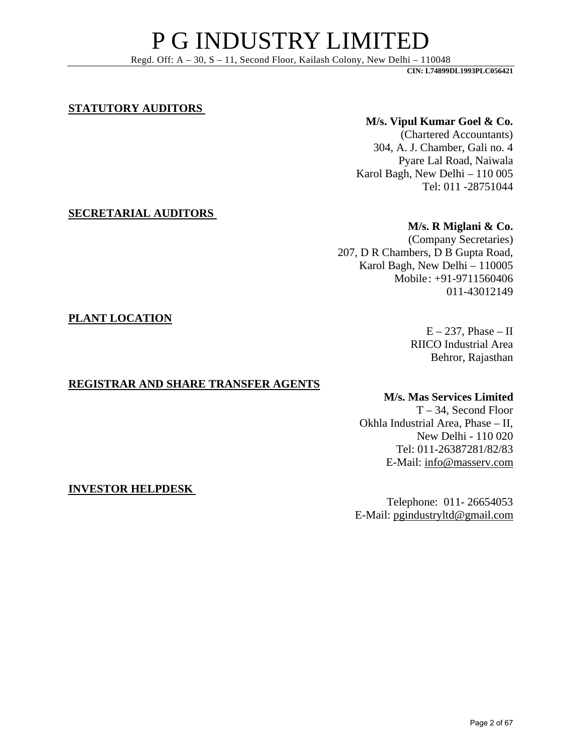# P G INDUSTRY LIMITED

Regd. Off: A – 30, S – 11, Second Floor, Kailash Colony, New Delhi – 110048

**CIN: L74899DL1993PLC056421**

# **STATUTORY AUDITORS**

# **M/s. Vipul Kumar Goel & Co.**

(Chartered Accountants) 304, A. J. Chamber, Gali no. 4 Pyare Lal Road, Naiwala Karol Bagh, New Delhi – 110 005 Tel: 011 -28751044

# **SECRETARIAL AUDITORS**

#### **M/s. R Miglani & Co.**

 $E - 237$ , Phase – II RIICO Industrial Area Behror, Rajasthan

(Company Secretaries) 207, D R Chambers, D B Gupta Road, Karol Bagh, New Delhi – 110005 Mobile : +91-9711560406 011-43012149

# **PLANT LOCATION**

# **REGISTRAR AND SHARE TRANSFER AGENTS**

#### **M/s. Mas Services Limited**

T – 34, Second Floor Okhla Industrial Area, Phase – II, New Delhi - 110 020 Tel: 011-26387281/82/83 E-Mail: info@masserv.com

Telephone: 011- 26654053 E-Mail: pgindustryltd@gmail.com

# **INVESTOR HELPDESK**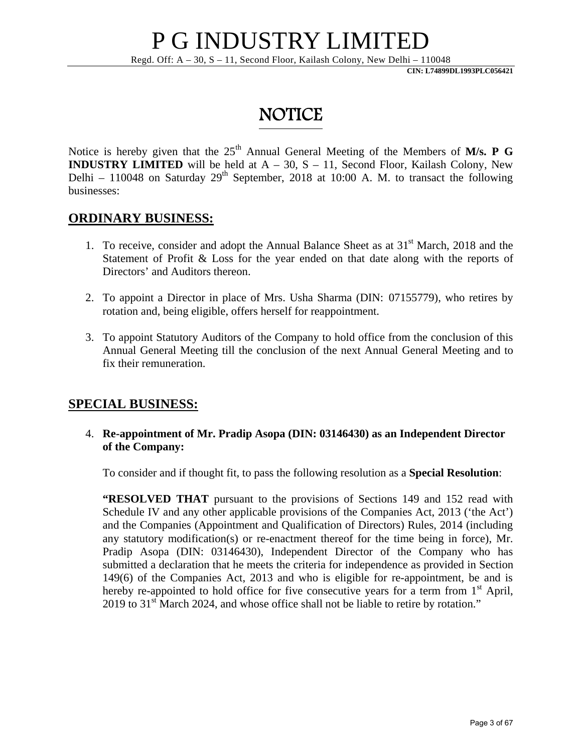**CIN: L74899DL1993PLC056421**

# NOTICE

Notice is hereby given that the  $25<sup>th</sup>$  Annual General Meeting of the Members of M/s. P G **INDUSTRY LIMITED** will be held at  $A - 30$ ,  $S - 11$ , Second Floor, Kailash Colony, New Delhi – 110048 on Saturday  $29<sup>th</sup>$  September, 2018 at 10:00 A. M. to transact the following businesses:

# **ORDINARY BUSINESS:**

- 1. To receive, consider and adopt the Annual Balance Sheet as at  $31<sup>st</sup>$  March, 2018 and the Statement of Profit & Loss for the year ended on that date along with the reports of Directors' and Auditors thereon.
- 2. To appoint a Director in place of Mrs. Usha Sharma (DIN: 07155779), who retires by rotation and, being eligible, offers herself for reappointment.
- 3. To appoint Statutory Auditors of the Company to hold office from the conclusion of this Annual General Meeting till the conclusion of the next Annual General Meeting and to fix their remuneration.

# **SPECIAL BUSINESS:**

# 4. **Re-appointment of Mr. Pradip Asopa (DIN: 03146430) as an Independent Director of the Company:**

To consider and if thought fit, to pass the following resolution as a **Special Resolution**:

**"RESOLVED THAT** pursuant to the provisions of Sections 149 and 152 read with Schedule IV and any other applicable provisions of the Companies Act, 2013 ('the Act') and the Companies (Appointment and Qualification of Directors) Rules, 2014 (including any statutory modification(s) or re-enactment thereof for the time being in force), Mr. Pradip Asopa (DIN: 03146430), Independent Director of the Company who has submitted a declaration that he meets the criteria for independence as provided in Section 149(6) of the Companies Act, 2013 and who is eligible for re-appointment, be and is hereby re-appointed to hold office for five consecutive years for a term from  $1<sup>st</sup>$  April, 2019 to  $31<sup>st</sup>$  March 2024, and whose office shall not be liable to retire by rotation."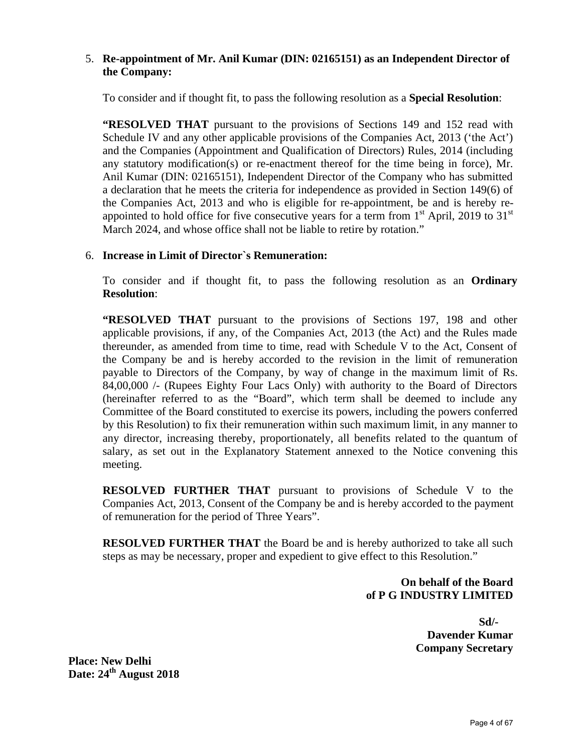# 5. **Re-appointment of Mr. Anil Kumar (DIN: 02165151) as an Independent Director of the Company:**

To consider and if thought fit, to pass the following resolution as a **Special Resolution**:

**"RESOLVED THAT** pursuant to the provisions of Sections 149 and 152 read with Schedule IV and any other applicable provisions of the Companies Act, 2013 ('the Act') and the Companies (Appointment and Qualification of Directors) Rules, 2014 (including any statutory modification(s) or re-enactment thereof for the time being in force), Mr. Anil Kumar (DIN: 02165151), Independent Director of the Company who has submitted a declaration that he meets the criteria for independence as provided in Section 149(6) of the Companies Act, 2013 and who is eligible for re-appointment, be and is hereby reappointed to hold office for five consecutive years for a term from  $1<sup>st</sup>$  April, 2019 to 31<sup>st</sup> March 2024, and whose office shall not be liable to retire by rotation."

## 6. **Increase in Limit of Director`s Remuneration:**

To consider and if thought fit, to pass the following resolution as an **Ordinary Resolution**:

**"RESOLVED THAT** pursuant to the provisions of Sections 197, 198 and other applicable provisions, if any, of the Companies Act, 2013 (the Act) and the Rules made thereunder, as amended from time to time, read with Schedule V to the Act, Consent of the Company be and is hereby accorded to the revision in the limit of remuneration payable to Directors of the Company, by way of change in the maximum limit of Rs. 84,00,000 /- (Rupees Eighty Four Lacs Only) with authority to the Board of Directors (hereinafter referred to as the "Board", which term shall be deemed to include any Committee of the Board constituted to exercise its powers, including the powers conferred by this Resolution) to fix their remuneration within such maximum limit, in any manner to any director, increasing thereby, proportionately, all benefits related to the quantum of salary, as set out in the Explanatory Statement annexed to the Notice convening this meeting.

**RESOLVED FURTHER THAT** pursuant to provisions of Schedule V to the Companies Act, 2013, Consent of the Company be and is hereby accorded to the payment of remuneration for the period of Three Years".

**RESOLVED FURTHER THAT** the Board be and is hereby authorized to take all such steps as may be necessary, proper and expedient to give effect to this Resolution."

> **On behalf of the Board of P G INDUSTRY LIMITED**

> > **Sd/- Davender Kumar Company Secretary**

**Place: New Delhi Date: 24th August 2018**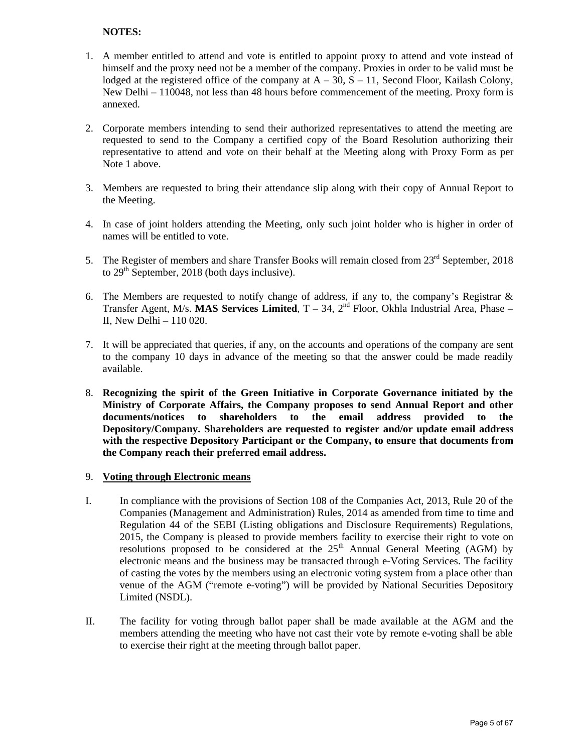## **NOTES:**

- 1. A member entitled to attend and vote is entitled to appoint proxy to attend and vote instead of himself and the proxy need not be a member of the company. Proxies in order to be valid must be lodged at the registered office of the company at  $A - 30$ ,  $S - 11$ , Second Floor, Kailash Colony, New Delhi – 110048, not less than 48 hours before commencement of the meeting. Proxy form is annexed.
- 2. Corporate members intending to send their authorized representatives to attend the meeting are requested to send to the Company a certified copy of the Board Resolution authorizing their representative to attend and vote on their behalf at the Meeting along with Proxy Form as per Note 1 above.
- 3. Members are requested to bring their attendance slip along with their copy of Annual Report to the Meeting.
- 4. In case of joint holders attending the Meeting, only such joint holder who is higher in order of names will be entitled to vote.
- 5. The Register of members and share Transfer Books will remain closed from  $23<sup>rd</sup>$  September, 2018 to  $29<sup>th</sup>$  September, 2018 (both days inclusive).
- 6. The Members are requested to notify change of address, if any to, the company's Registrar & Transfer Agent, M/s. **MAS Services Limited**, T – 34, 2nd Floor, Okhla Industrial Area, Phase – II, New Delhi – 110 020.
- 7. It will be appreciated that queries, if any, on the accounts and operations of the company are sent to the company 10 days in advance of the meeting so that the answer could be made readily available.
- 8. **Recognizing the spirit of the Green Initiative in Corporate Governance initiated by the Ministry of Corporate Affairs, the Company proposes to send Annual Report and other documents/notices to shareholders to the email address provided to the Depository/Company. Shareholders are requested to register and/or update email address with the respective Depository Participant or the Company, to ensure that documents from the Company reach their preferred email address.**
- 9. **Voting through Electronic means**
- I. In compliance with the provisions of Section 108 of the Companies Act, 2013, Rule 20 of the Companies (Management and Administration) Rules, 2014 as amended from time to time and Regulation 44 of the SEBI (Listing obligations and Disclosure Requirements) Regulations, 2015, the Company is pleased to provide members facility to exercise their right to vote on resolutions proposed to be considered at the  $25<sup>th</sup>$  Annual General Meeting (AGM) by electronic means and the business may be transacted through e-Voting Services. The facility of casting the votes by the members using an electronic voting system from a place other than venue of the AGM ("remote e-voting") will be provided by National Securities Depository Limited (NSDL).
- II. The facility for voting through ballot paper shall be made available at the AGM and the members attending the meeting who have not cast their vote by remote e-voting shall be able to exercise their right at the meeting through ballot paper.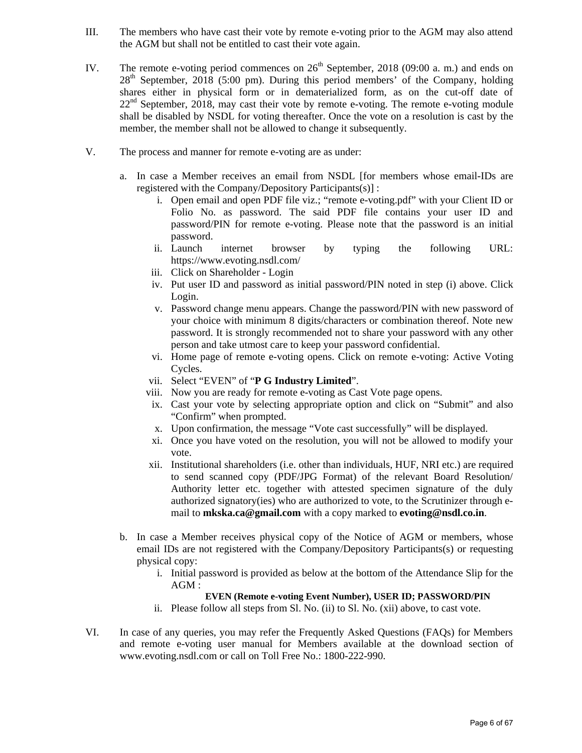- III. The members who have cast their vote by remote e-voting prior to the AGM may also attend the AGM but shall not be entitled to cast their vote again.
- IV. The remote e-voting period commences on  $26<sup>th</sup>$  September, 2018 (09:00 a.m.) and ends on  $28<sup>th</sup>$  September, 2018 (5:00 pm). During this period members' of the Company, holding shares either in physical form or in dematerialized form, as on the cut-off date of  $22<sup>nd</sup>$  September, 2018, may cast their vote by remote e-voting. The remote e-voting module shall be disabled by NSDL for voting thereafter. Once the vote on a resolution is cast by the member, the member shall not be allowed to change it subsequently.
- V. The process and manner for remote e-voting are as under:
	- a. In case a Member receives an email from NSDL [for members whose email-IDs are registered with the Company/Depository Participants(s)] :
		- i. Open email and open PDF file viz.; "remote e-voting.pdf" with your Client ID or Folio No. as password. The said PDF file contains your user ID and password/PIN for remote e-voting. Please note that the password is an initial password.
		- ii. Launch internet browser by typing the following URL: https://www.evoting.nsdl.com/
		- iii. Click on Shareholder Login
		- iv. Put user ID and password as initial password/PIN noted in step (i) above. Click Login.
		- v. Password change menu appears. Change the password/PIN with new password of your choice with minimum 8 digits/characters or combination thereof. Note new password. It is strongly recommended not to share your password with any other person and take utmost care to keep your password confidential.
		- vi. Home page of remote e-voting opens. Click on remote e-voting: Active Voting Cycles.
		- vii. Select "EVEN" of "**P G Industry Limited**".
		- viii. Now you are ready for remote e-voting as Cast Vote page opens.
		- ix. Cast your vote by selecting appropriate option and click on "Submit" and also "Confirm" when prompted.
		- x. Upon confirmation, the message "Vote cast successfully" will be displayed.
		- xi. Once you have voted on the resolution, you will not be allowed to modify your vote.
		- xii. Institutional shareholders (i.e. other than individuals, HUF, NRI etc.) are required to send scanned copy (PDF/JPG Format) of the relevant Board Resolution/ Authority letter etc. together with attested specimen signature of the duly authorized signatory(ies) who are authorized to vote, to the Scrutinizer through email to **mkska.ca@gmail.com** with a copy marked to **evoting@nsdl.co.in**.
	- b. In case a Member receives physical copy of the Notice of AGM or members, whose email IDs are not registered with the Company/Depository Participants(s) or requesting physical copy:
		- i. Initial password is provided as below at the bottom of the Attendance Slip for the AGM :

#### **EVEN (Remote e-voting Event Number), USER ID; PASSWORD/PIN**

- ii. Please follow all steps from Sl. No. (ii) to Sl. No. (xii) above, to cast vote.
- VI. In case of any queries, you may refer the Frequently Asked Questions (FAQs) for Members and remote e-voting user manual for Members available at the download section of www.evoting.nsdl.com or call on Toll Free No.: 1800-222-990.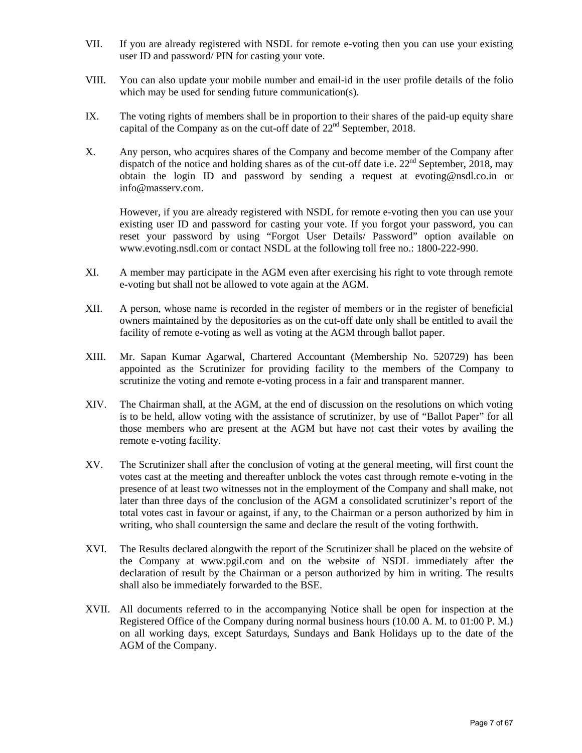- VII. If you are already registered with NSDL for remote e-voting then you can use your existing user ID and password/ PIN for casting your vote.
- VIII. You can also update your mobile number and email-id in the user profile details of the folio which may be used for sending future communication(s).
- IX. The voting rights of members shall be in proportion to their shares of the paid-up equity share capital of the Company as on the cut-off date of  $22<sup>nd</sup>$  September, 2018.
- X. Any person, who acquires shares of the Company and become member of the Company after dispatch of the notice and holding shares as of the cut-off date i.e.  $22<sup>nd</sup>$  September, 2018, may obtain the login ID and password by sending a request at evoting@nsdl.co.in or info@masserv.com.

However, if you are already registered with NSDL for remote e-voting then you can use your existing user ID and password for casting your vote. If you forgot your password, you can reset your password by using "Forgot User Details/ Password" option available on www.evoting.nsdl.com or contact NSDL at the following toll free no.: 1800-222-990.

- XI. A member may participate in the AGM even after exercising his right to vote through remote e-voting but shall not be allowed to vote again at the AGM.
- XII. A person, whose name is recorded in the register of members or in the register of beneficial owners maintained by the depositories as on the cut-off date only shall be entitled to avail the facility of remote e-voting as well as voting at the AGM through ballot paper.
- XIII. Mr. Sapan Kumar Agarwal, Chartered Accountant (Membership No. 520729) has been appointed as the Scrutinizer for providing facility to the members of the Company to scrutinize the voting and remote e-voting process in a fair and transparent manner.
- XIV. The Chairman shall, at the AGM, at the end of discussion on the resolutions on which voting is to be held, allow voting with the assistance of scrutinizer, by use of "Ballot Paper" for all those members who are present at the AGM but have not cast their votes by availing the remote e-voting facility.
- XV. The Scrutinizer shall after the conclusion of voting at the general meeting, will first count the votes cast at the meeting and thereafter unblock the votes cast through remote e-voting in the presence of at least two witnesses not in the employment of the Company and shall make, not later than three days of the conclusion of the AGM a consolidated scrutinizer's report of the total votes cast in favour or against, if any, to the Chairman or a person authorized by him in writing, who shall countersign the same and declare the result of the voting forthwith.
- XVI. The Results declared alongwith the report of the Scrutinizer shall be placed on the website of the Company at www.pgil.com and on the website of NSDL immediately after the declaration of result by the Chairman or a person authorized by him in writing. The results shall also be immediately forwarded to the BSE.
- XVII. All documents referred to in the accompanying Notice shall be open for inspection at the Registered Office of the Company during normal business hours (10.00 A. M. to 01:00 P. M.) on all working days, except Saturdays, Sundays and Bank Holidays up to the date of the AGM of the Company.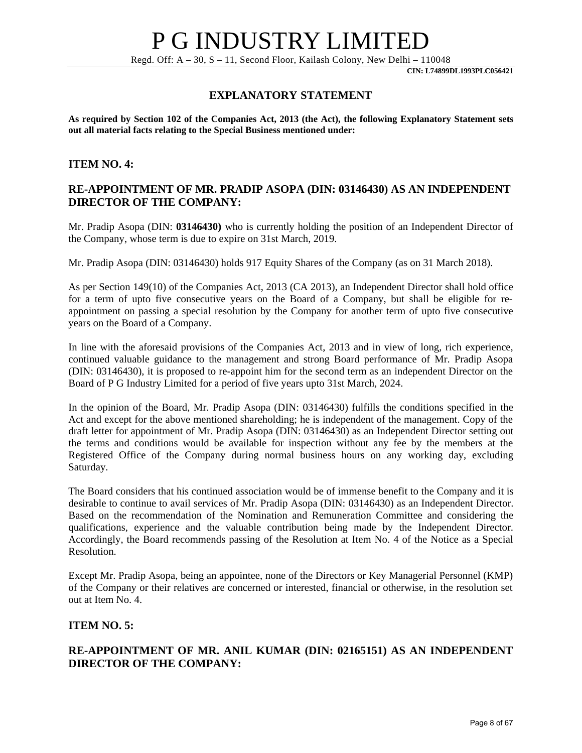# P G INDUSTRY LIMITED

Regd. Off: A – 30, S – 11, Second Floor, Kailash Colony, New Delhi – 110048

**CIN: L74899DL1993PLC056421**

# **EXPLANATORY STATEMENT**

**As required by Section 102 of the Companies Act, 2013 (the Act), the following Explanatory Statement sets out all material facts relating to the Special Business mentioned under:** 

#### **ITEM NO. 4:**

## **RE-APPOINTMENT OF MR. PRADIP ASOPA (DIN: 03146430) AS AN INDEPENDENT DIRECTOR OF THE COMPANY:**

Mr. Pradip Asopa (DIN: **03146430)** who is currently holding the position of an Independent Director of the Company, whose term is due to expire on 31st March, 2019.

Mr. Pradip Asopa (DIN: 03146430) holds 917 Equity Shares of the Company (as on 31 March 2018).

As per Section 149(10) of the Companies Act, 2013 (CA 2013), an Independent Director shall hold office for a term of upto five consecutive years on the Board of a Company, but shall be eligible for reappointment on passing a special resolution by the Company for another term of upto five consecutive years on the Board of a Company.

In line with the aforesaid provisions of the Companies Act, 2013 and in view of long, rich experience, continued valuable guidance to the management and strong Board performance of Mr. Pradip Asopa (DIN: 03146430), it is proposed to re-appoint him for the second term as an independent Director on the Board of P G Industry Limited for a period of five years upto 31st March, 2024.

In the opinion of the Board, Mr. Pradip Asopa (DIN: 03146430) fulfills the conditions specified in the Act and except for the above mentioned shareholding; he is independent of the management. Copy of the draft letter for appointment of Mr. Pradip Asopa (DIN: 03146430) as an Independent Director setting out the terms and conditions would be available for inspection without any fee by the members at the Registered Office of the Company during normal business hours on any working day, excluding Saturday.

The Board considers that his continued association would be of immense benefit to the Company and it is desirable to continue to avail services of Mr. Pradip Asopa (DIN: 03146430) as an Independent Director. Based on the recommendation of the Nomination and Remuneration Committee and considering the qualifications, experience and the valuable contribution being made by the Independent Director. Accordingly, the Board recommends passing of the Resolution at Item No. 4 of the Notice as a Special Resolution.

Except Mr. Pradip Asopa, being an appointee, none of the Directors or Key Managerial Personnel (KMP) of the Company or their relatives are concerned or interested, financial or otherwise, in the resolution set out at Item No. 4.

#### **ITEM NO. 5:**

# **RE-APPOINTMENT OF MR. ANIL KUMAR (DIN: 02165151) AS AN INDEPENDENT DIRECTOR OF THE COMPANY:**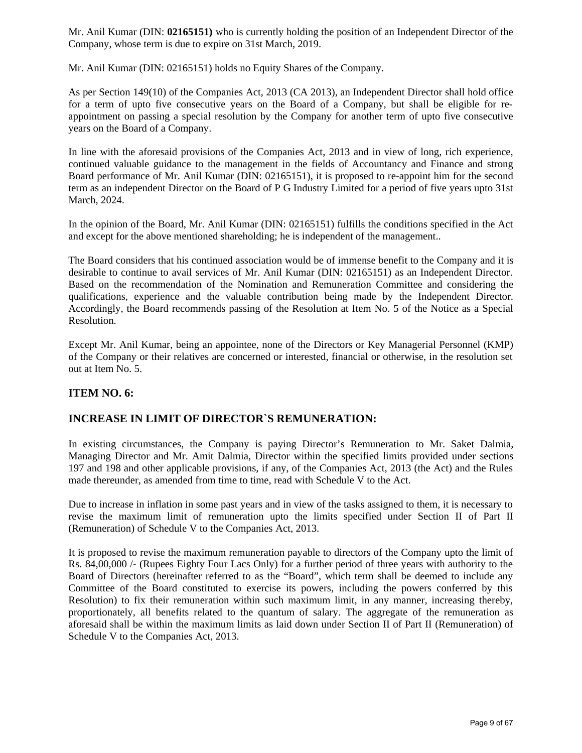Mr. Anil Kumar (DIN: **02165151)** who is currently holding the position of an Independent Director of the Company, whose term is due to expire on 31st March, 2019.

Mr. Anil Kumar (DIN: 02165151) holds no Equity Shares of the Company.

As per Section 149(10) of the Companies Act, 2013 (CA 2013), an Independent Director shall hold office for a term of upto five consecutive years on the Board of a Company, but shall be eligible for reappointment on passing a special resolution by the Company for another term of upto five consecutive years on the Board of a Company.

In line with the aforesaid provisions of the Companies Act, 2013 and in view of long, rich experience, continued valuable guidance to the management in the fields of Accountancy and Finance and strong Board performance of Mr. Anil Kumar (DIN: 02165151), it is proposed to re-appoint him for the second term as an independent Director on the Board of P G Industry Limited for a period of five years upto 31st March, 2024.

In the opinion of the Board, Mr. Anil Kumar (DIN: 02165151) fulfills the conditions specified in the Act and except for the above mentioned shareholding; he is independent of the management..

The Board considers that his continued association would be of immense benefit to the Company and it is desirable to continue to avail services of Mr. Anil Kumar (DIN: 02165151) as an Independent Director. Based on the recommendation of the Nomination and Remuneration Committee and considering the qualifications, experience and the valuable contribution being made by the Independent Director. Accordingly, the Board recommends passing of the Resolution at Item No. 5 of the Notice as a Special Resolution.

Except Mr. Anil Kumar, being an appointee, none of the Directors or Key Managerial Personnel (KMP) of the Company or their relatives are concerned or interested, financial or otherwise, in the resolution set out at Item No. 5.

## **ITEM NO. 6:**

# **INCREASE IN LIMIT OF DIRECTOR`S REMUNERATION:**

In existing circumstances, the Company is paying Director's Remuneration to Mr. Saket Dalmia, Managing Director and Mr. Amit Dalmia, Director within the specified limits provided under sections 197 and 198 and other applicable provisions, if any, of the Companies Act, 2013 (the Act) and the Rules made thereunder, as amended from time to time, read with Schedule V to the Act.

Due to increase in inflation in some past years and in view of the tasks assigned to them, it is necessary to revise the maximum limit of remuneration upto the limits specified under Section II of Part II (Remuneration) of Schedule V to the Companies Act, 2013.

It is proposed to revise the maximum remuneration payable to directors of the Company upto the limit of Rs. 84,00,000 /- (Rupees Eighty Four Lacs Only) for a further period of three years with authority to the Board of Directors (hereinafter referred to as the "Board", which term shall be deemed to include any Committee of the Board constituted to exercise its powers, including the powers conferred by this Resolution) to fix their remuneration within such maximum limit, in any manner, increasing thereby, proportionately, all benefits related to the quantum of salary. The aggregate of the remuneration as aforesaid shall be within the maximum limits as laid down under Section II of Part II (Remuneration) of Schedule V to the Companies Act, 2013.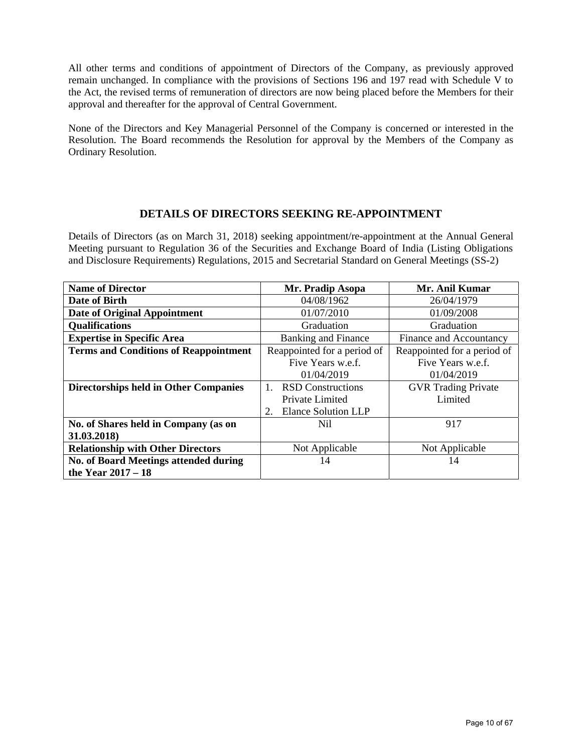All other terms and conditions of appointment of Directors of the Company, as previously approved remain unchanged. In compliance with the provisions of Sections 196 and 197 read with Schedule V to the Act, the revised terms of remuneration of directors are now being placed before the Members for their approval and thereafter for the approval of Central Government.

None of the Directors and Key Managerial Personnel of the Company is concerned or interested in the Resolution. The Board recommends the Resolution for approval by the Members of the Company as Ordinary Resolution.

## **DETAILS OF DIRECTORS SEEKING RE-APPOINTMENT**

Details of Directors (as on March 31, 2018) seeking appointment/re-appointment at the Annual General Meeting pursuant to Regulation 36 of the Securities and Exchange Board of India (Listing Obligations and Disclosure Requirements) Regulations, 2015 and Secretarial Standard on General Meetings (SS-2)

| <b>Name of Director</b>                      | Mr. Pradip Asopa                 | Mr. Anil Kumar              |  |
|----------------------------------------------|----------------------------------|-----------------------------|--|
| Date of Birth                                | 04/08/1962                       | 26/04/1979                  |  |
| <b>Date of Original Appointment</b>          | 01/07/2010                       | 01/09/2008                  |  |
| <b>Qualifications</b>                        | Graduation                       | Graduation                  |  |
| <b>Expertise in Specific Area</b>            | <b>Banking and Finance</b>       | Finance and Accountancy     |  |
| <b>Terms and Conditions of Reappointment</b> | Reappointed for a period of      | Reappointed for a period of |  |
|                                              | Five Years w.e.f.                | Five Years w.e.f.           |  |
|                                              | 01/04/2019                       | 01/04/2019                  |  |
| <b>Directorships held in Other Companies</b> | <b>RSD</b> Constructions<br>1.   | <b>GVR</b> Trading Private  |  |
|                                              | Private Limited                  | Limited                     |  |
|                                              | <b>Elance Solution LLP</b><br>2. |                             |  |
| No. of Shares held in Company (as on         | Nil.                             | 917                         |  |
| 31.03.2018)                                  |                                  |                             |  |
| <b>Relationship with Other Directors</b>     | Not Applicable                   | Not Applicable              |  |
| <b>No. of Board Meetings attended during</b> | 14                               | 14                          |  |
| the Year $2017 - 18$                         |                                  |                             |  |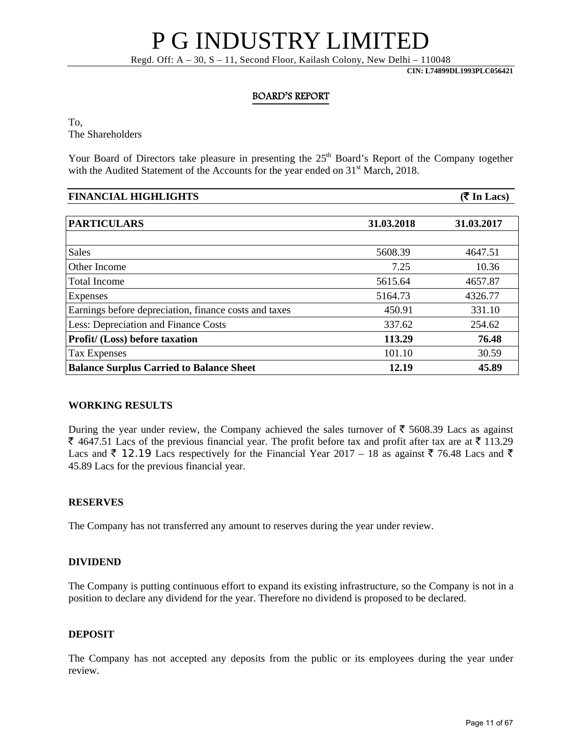# P G INDUSTRY LIMITEI

Regd. Off: A – 30, S – 11, Second Floor, Kailash Colony, New Delhi – 110048

**CIN: L74899DL1993PLC056421**

#### BOARD'S REPORT

To, The Shareholders

Your Board of Directors take pleasure in presenting the 25<sup>th</sup> Board's Report of the Company together with the Audited Statement of the Accounts for the year ended on 31<sup>st</sup> March, 2018.

| <b>FINANCIAL HIGHLIGHTS</b>                           |            | $(5 \text{ In}$ Lacs) |
|-------------------------------------------------------|------------|-----------------------|
| <b>PARTICULARS</b>                                    | 31.03.2018 | 31.03.2017            |
| <b>Sales</b>                                          | 5608.39    | 4647.51               |
| Other Income                                          | 7.25       | 10.36                 |
| <b>Total Income</b>                                   | 5615.64    | 4657.87               |
| Expenses                                              | 5164.73    | 4326.77               |
| Earnings before depreciation, finance costs and taxes | 450.91     | 331.10                |
| Less: Depreciation and Finance Costs                  | 337.62     | 254.62                |
| Profit/ (Loss) before taxation                        | 113.29     | 76.48                 |
| <b>Tax Expenses</b>                                   | 101.10     | 30.59                 |
| <b>Balance Surplus Carried to Balance Sheet</b>       | 12.19      | 45.89                 |

#### **WORKING RESULTS**

During the year under review, the Company achieved the sales turnover of  $\bar{\tau}$  5608.39 Lacs as against  $\bar{\xi}$  4647.51 Lacs of the previous financial year. The profit before tax and profit after tax are at  $\bar{\xi}$  113.29 Lacs and  $\bar{\tau}$  12.19 Lacs respectively for the Financial Year 2017 – 18 as against  $\bar{\tau}$  76.48 Lacs and  $\bar{\tau}$ 45.89 Lacs for the previous financial year.

#### **RESERVES**

The Company has not transferred any amount to reserves during the year under review.

#### **DIVIDEND**

The Company is putting continuous effort to expand its existing infrastructure, so the Company is not in a position to declare any dividend for the year. Therefore no dividend is proposed to be declared.

#### **DEPOSIT**

The Company has not accepted any deposits from the public or its employees during the year under review.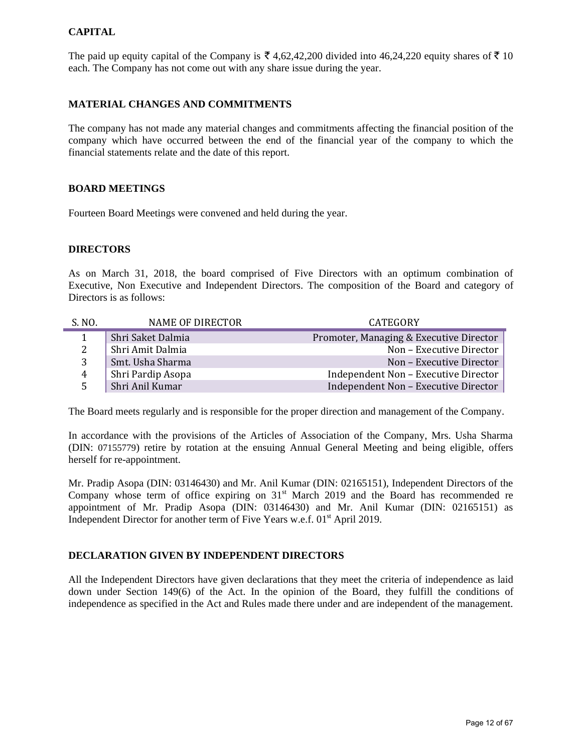## **CAPITAL**

The paid up equity capital of the Company is  $\bar{\mathfrak{F}}$  4,62,42,200 divided into 46,24,220 equity shares of  $\bar{\mathfrak{F}}$  10 each. The Company has not come out with any share issue during the year.

### **MATERIAL CHANGES AND COMMITMENTS**

The company has not made any material changes and commitments affecting the financial position of the company which have occurred between the end of the financial year of the company to which the financial statements relate and the date of this report.

#### **BOARD MEETINGS**

Fourteen Board Meetings were convened and held during the year.

#### **DIRECTORS**

As on March 31, 2018, the board comprised of Five Directors with an optimum combination of Executive, Non Executive and Independent Directors. The composition of the Board and category of Directors is as follows:

| S. NO.         | <b>NAME OF DIRECTOR</b> | <b>CATEGORY</b>                         |
|----------------|-------------------------|-----------------------------------------|
|                | Shri Saket Dalmia       | Promoter, Managing & Executive Director |
| 2              | Shri Amit Dalmia        | Non - Executive Director                |
| 3              | Smt. Usha Sharma        | Non - Executive Director                |
| $\overline{4}$ | Shri Pardip Asopa       | Independent Non – Executive Director    |
|                | Shri Anil Kumar         | Independent Non - Executive Director    |

The Board meets regularly and is responsible for the proper direction and management of the Company.

In accordance with the provisions of the Articles of Association of the Company, Mrs. Usha Sharma (DIN: 07155779) retire by rotation at the ensuing Annual General Meeting and being eligible, offers herself for re-appointment.

Mr. Pradip Asopa (DIN: 03146430) and Mr. Anil Kumar (DIN: 02165151), Independent Directors of the Company whose term of office expiring on  $31<sup>st</sup>$  March 2019 and the Board has recommended re appointment of Mr. Pradip Asopa (DIN: 03146430) and Mr. Anil Kumar (DIN: 02165151) as Independent Director for another term of Five Years w.e.f. 01<sup>st</sup> April 2019.

#### **DECLARATION GIVEN BY INDEPENDENT DIRECTORS**

All the Independent Directors have given declarations that they meet the criteria of independence as laid down under Section 149(6) of the Act. In the opinion of the Board, they fulfill the conditions of independence as specified in the Act and Rules made there under and are independent of the management.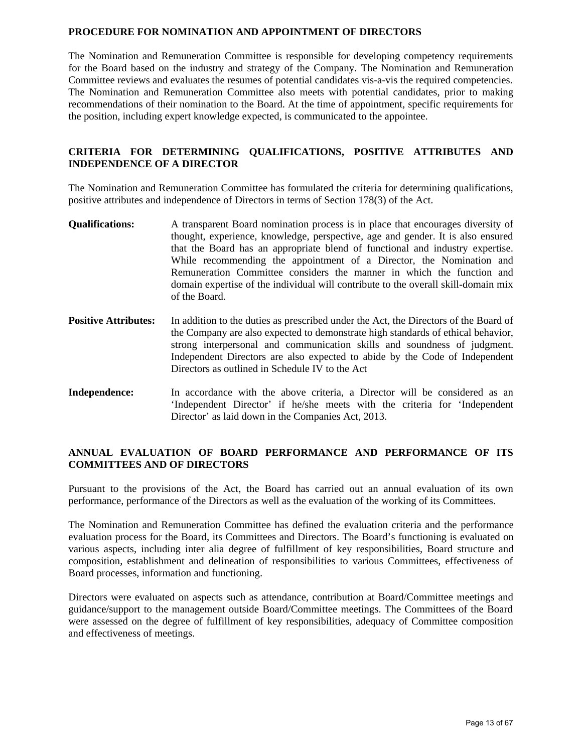#### **PROCEDURE FOR NOMINATION AND APPOINTMENT OF DIRECTORS**

The Nomination and Remuneration Committee is responsible for developing competency requirements for the Board based on the industry and strategy of the Company. The Nomination and Remuneration Committee reviews and evaluates the resumes of potential candidates vis-a-vis the required competencies. The Nomination and Remuneration Committee also meets with potential candidates, prior to making recommendations of their nomination to the Board. At the time of appointment, specific requirements for the position, including expert knowledge expected, is communicated to the appointee.

## **CRITERIA FOR DETERMINING QUALIFICATIONS, POSITIVE ATTRIBUTES AND INDEPENDENCE OF A DIRECTOR**

The Nomination and Remuneration Committee has formulated the criteria for determining qualifications, positive attributes and independence of Directors in terms of Section 178(3) of the Act.

- **Qualifications:** A transparent Board nomination process is in place that encourages diversity of thought, experience, knowledge, perspective, age and gender. It is also ensured that the Board has an appropriate blend of functional and industry expertise. While recommending the appointment of a Director, the Nomination and Remuneration Committee considers the manner in which the function and domain expertise of the individual will contribute to the overall skill-domain mix of the Board.
- **Positive Attributes:** In addition to the duties as prescribed under the Act, the Directors of the Board of the Company are also expected to demonstrate high standards of ethical behavior, strong interpersonal and communication skills and soundness of judgment. Independent Directors are also expected to abide by the Code of Independent Directors as outlined in Schedule IV to the Act
- Independence: In accordance with the above criteria, a Director will be considered as an 'Independent Director' if he/she meets with the criteria for 'Independent Director' as laid down in the Companies Act, 2013.

#### **ANNUAL EVALUATION OF BOARD PERFORMANCE AND PERFORMANCE OF ITS COMMITTEES AND OF DIRECTORS**

Pursuant to the provisions of the Act, the Board has carried out an annual evaluation of its own performance, performance of the Directors as well as the evaluation of the working of its Committees.

The Nomination and Remuneration Committee has defined the evaluation criteria and the performance evaluation process for the Board, its Committees and Directors. The Board's functioning is evaluated on various aspects, including inter alia degree of fulfillment of key responsibilities, Board structure and composition, establishment and delineation of responsibilities to various Committees, effectiveness of Board processes, information and functioning.

Directors were evaluated on aspects such as attendance, contribution at Board/Committee meetings and guidance/support to the management outside Board/Committee meetings. The Committees of the Board were assessed on the degree of fulfillment of key responsibilities, adequacy of Committee composition and effectiveness of meetings.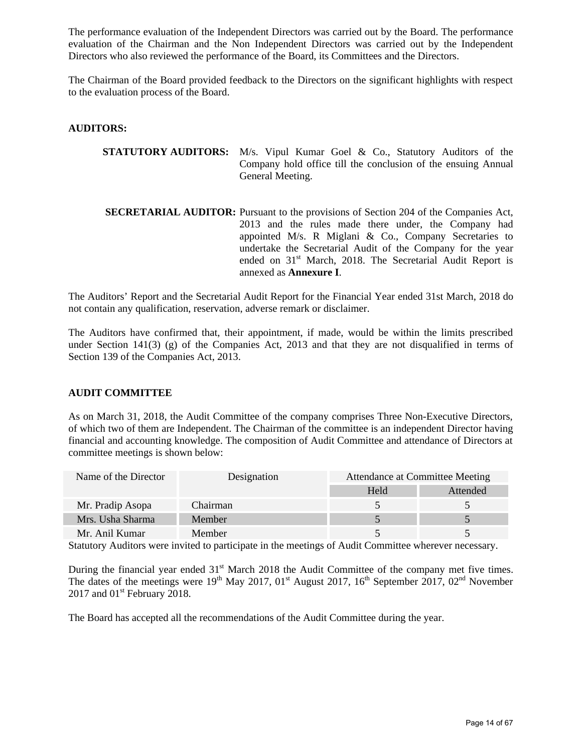The performance evaluation of the Independent Directors was carried out by the Board. The performance evaluation of the Chairman and the Non Independent Directors was carried out by the Independent Directors who also reviewed the performance of the Board, its Committees and the Directors.

The Chairman of the Board provided feedback to the Directors on the significant highlights with respect to the evaluation process of the Board.

#### **AUDITORS:**

#### **STATUTORY AUDITORS:** M/s. Vipul Kumar Goel & Co., Statutory Auditors of the Company hold office till the conclusion of the ensuing Annual General Meeting.

**SECRETARIAL AUDITOR:** Pursuant to the provisions of Section 204 of the Companies Act, 2013 and the rules made there under, the Company had appointed M/s. R Miglani & Co., Company Secretaries to undertake the Secretarial Audit of the Company for the year ended on 31<sup>st</sup> March, 2018. The Secretarial Audit Report is annexed as **Annexure I**.

The Auditors' Report and the Secretarial Audit Report for the Financial Year ended 31st March, 2018 do not contain any qualification, reservation, adverse remark or disclaimer.

The Auditors have confirmed that, their appointment, if made, would be within the limits prescribed under Section 141(3) (g) of the Companies Act, 2013 and that they are not disqualified in terms of Section 139 of the Companies Act, 2013.

#### **AUDIT COMMITTEE**

As on March 31, 2018, the Audit Committee of the company comprises Three Non-Executive Directors, of which two of them are Independent. The Chairman of the committee is an independent Director having financial and accounting knowledge. The composition of Audit Committee and attendance of Directors at committee meetings is shown below:

| Name of the Director | Designation | Attendance at Committee Meeting |          |  |  |
|----------------------|-------------|---------------------------------|----------|--|--|
|                      |             | Held                            | Attended |  |  |
| Mr. Pradip Asopa     | Chairman    |                                 |          |  |  |
| Mrs. Usha Sharma     | Member      |                                 |          |  |  |
| Mr. Anil Kumar       | Member      |                                 |          |  |  |

Statutory Auditors were invited to participate in the meetings of Audit Committee wherever necessary.

During the financial year ended 31<sup>st</sup> March 2018 the Audit Committee of the company met five times. The dates of the meetings were  $19<sup>th</sup>$  May 2017,  $01<sup>st</sup>$  August 2017,  $16<sup>th</sup>$  September 2017,  $02<sup>nd</sup>$  November  $2017$  and  $01<sup>st</sup>$  February 2018.

The Board has accepted all the recommendations of the Audit Committee during the year.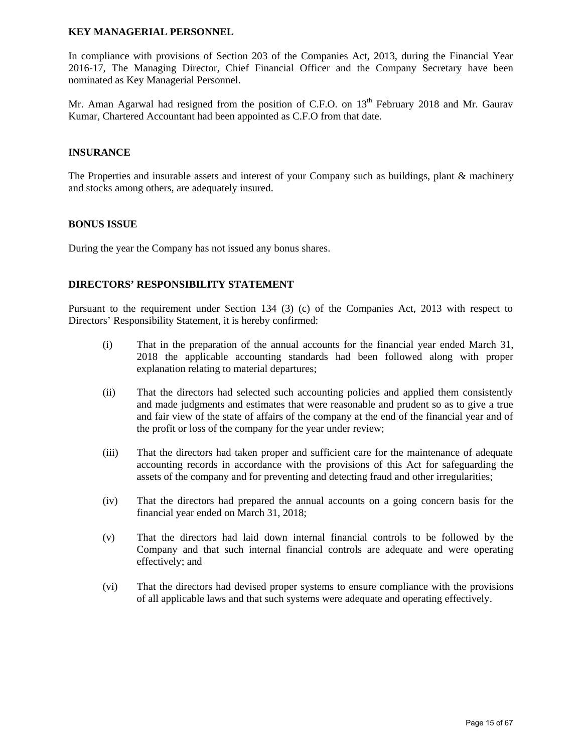#### **KEY MANAGERIAL PERSONNEL**

In compliance with provisions of Section 203 of the Companies Act, 2013, during the Financial Year 2016-17, The Managing Director, Chief Financial Officer and the Company Secretary have been nominated as Key Managerial Personnel.

Mr. Aman Agarwal had resigned from the position of C.F.O. on 13<sup>th</sup> February 2018 and Mr. Gaurav Kumar, Chartered Accountant had been appointed as C.F.O from that date.

#### **INSURANCE**

The Properties and insurable assets and interest of your Company such as buildings, plant & machinery and stocks among others, are adequately insured.

#### **BONUS ISSUE**

During the year the Company has not issued any bonus shares.

#### **DIRECTORS' RESPONSIBILITY STATEMENT**

Pursuant to the requirement under Section 134 (3) (c) of the Companies Act, 2013 with respect to Directors' Responsibility Statement, it is hereby confirmed:

- (i) That in the preparation of the annual accounts for the financial year ended March 31, 2018 the applicable accounting standards had been followed along with proper explanation relating to material departures;
- (ii) That the directors had selected such accounting policies and applied them consistently and made judgments and estimates that were reasonable and prudent so as to give a true and fair view of the state of affairs of the company at the end of the financial year and of the profit or loss of the company for the year under review;
- (iii) That the directors had taken proper and sufficient care for the maintenance of adequate accounting records in accordance with the provisions of this Act for safeguarding the assets of the company and for preventing and detecting fraud and other irregularities;
- (iv) That the directors had prepared the annual accounts on a going concern basis for the financial year ended on March 31, 2018;
- (v) That the directors had laid down internal financial controls to be followed by the Company and that such internal financial controls are adequate and were operating effectively; and
- (vi) That the directors had devised proper systems to ensure compliance with the provisions of all applicable laws and that such systems were adequate and operating effectively.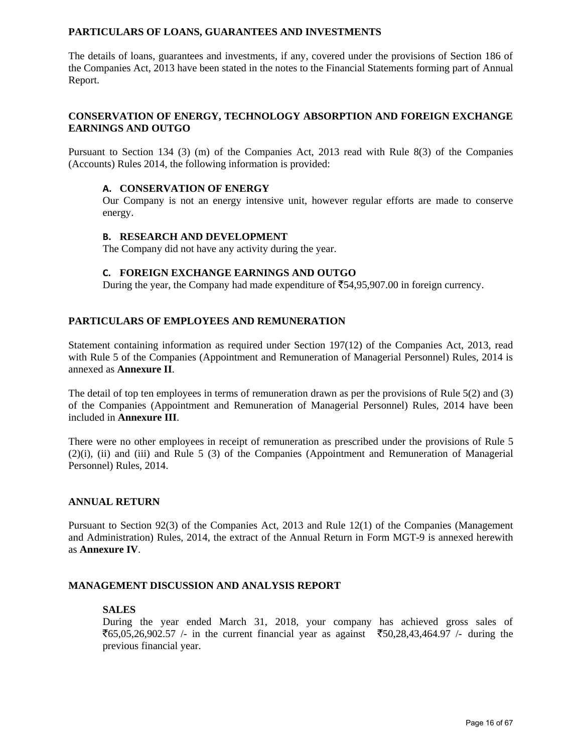#### **PARTICULARS OF LOANS, GUARANTEES AND INVESTMENTS**

The details of loans, guarantees and investments, if any, covered under the provisions of Section 186 of the Companies Act, 2013 have been stated in the notes to the Financial Statements forming part of Annual Report.

## **CONSERVATION OF ENERGY, TECHNOLOGY ABSORPTION AND FOREIGN EXCHANGE EARNINGS AND OUTGO**

Pursuant to Section 134 (3) (m) of the Companies Act, 2013 read with Rule 8(3) of the Companies (Accounts) Rules 2014, the following information is provided:

#### **A. CONSERVATION OF ENERGY**

Our Company is not an energy intensive unit, however regular efforts are made to conserve energy.

#### **B. RESEARCH AND DEVELOPMENT**

The Company did not have any activity during the year.

#### **C. FOREIGN EXCHANGE EARNINGS AND OUTGO**

During the year, the Company had made expenditure of  $\overline{5}54,95,907.00$  in foreign currency.

#### **PARTICULARS OF EMPLOYEES AND REMUNERATION**

Statement containing information as required under Section 197(12) of the Companies Act, 2013, read with Rule 5 of the Companies (Appointment and Remuneration of Managerial Personnel) Rules, 2014 is annexed as **Annexure II**.

The detail of top ten employees in terms of remuneration drawn as per the provisions of Rule 5(2) and (3) of the Companies (Appointment and Remuneration of Managerial Personnel) Rules, 2014 have been included in **Annexure III**.

There were no other employees in receipt of remuneration as prescribed under the provisions of Rule 5 (2)(i), (ii) and (iii) and Rule 5 (3) of the Companies (Appointment and Remuneration of Managerial Personnel) Rules, 2014.

#### **ANNUAL RETURN**

Pursuant to Section 92(3) of the Companies Act, 2013 and Rule 12(1) of the Companies (Management and Administration) Rules, 2014, the extract of the Annual Return in Form MGT-9 is annexed herewith as **Annexure IV**.

#### **MANAGEMENT DISCUSSION AND ANALYSIS REPORT**

#### **SALES**

During the year ended March 31, 2018, your company has achieved gross sales of  $\overline{$}65,05,26,902.57$  /- in the current financial year as against  $\overline{$}50,28,43,464.97$  /- during the previous financial year.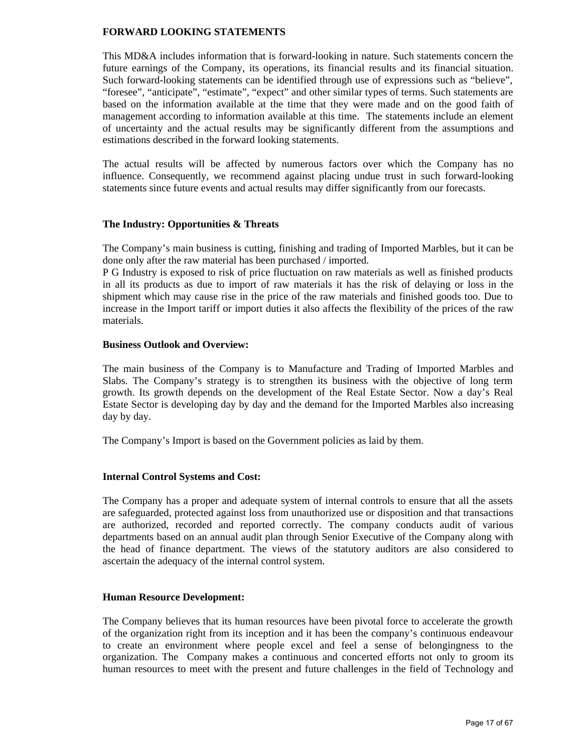#### **FORWARD LOOKING STATEMENTS**

This MD&A includes information that is forward-looking in nature. Such statements concern the future earnings of the Company, its operations, its financial results and its financial situation. Such forward-looking statements can be identified through use of expressions such as "believe", "foresee", "anticipate", "estimate", "expect" and other similar types of terms. Such statements are based on the information available at the time that they were made and on the good faith of management according to information available at this time. The statements include an element of uncertainty and the actual results may be significantly different from the assumptions and estimations described in the forward looking statements.

The actual results will be affected by numerous factors over which the Company has no influence. Consequently, we recommend against placing undue trust in such forward-looking statements since future events and actual results may differ significantly from our forecasts.

#### **The Industry: Opportunities & Threats**

The Company's main business is cutting, finishing and trading of Imported Marbles, but it can be done only after the raw material has been purchased / imported.

P G Industry is exposed to risk of price fluctuation on raw materials as well as finished products in all its products as due to import of raw materials it has the risk of delaying or loss in the shipment which may cause rise in the price of the raw materials and finished goods too. Due to increase in the Import tariff or import duties it also affects the flexibility of the prices of the raw materials.

#### **Business Outlook and Overview:**

The main business of the Company is to Manufacture and Trading of Imported Marbles and Slabs. The Company's strategy is to strengthen its business with the objective of long term growth. Its growth depends on the development of the Real Estate Sector. Now a day's Real Estate Sector is developing day by day and the demand for the Imported Marbles also increasing day by day.

The Company's Import is based on the Government policies as laid by them.

#### **Internal Control Systems and Cost:**

The Company has a proper and adequate system of internal controls to ensure that all the assets are safeguarded, protected against loss from unauthorized use or disposition and that transactions are authorized, recorded and reported correctly. The company conducts audit of various departments based on an annual audit plan through Senior Executive of the Company along with the head of finance department. The views of the statutory auditors are also considered to ascertain the adequacy of the internal control system.

#### **Human Resource Development:**

The Company believes that its human resources have been pivotal force to accelerate the growth of the organization right from its inception and it has been the company's continuous endeavour to create an environment where people excel and feel a sense of belongingness to the organization. The Company makes a continuous and concerted efforts not only to groom its human resources to meet with the present and future challenges in the field of Technology and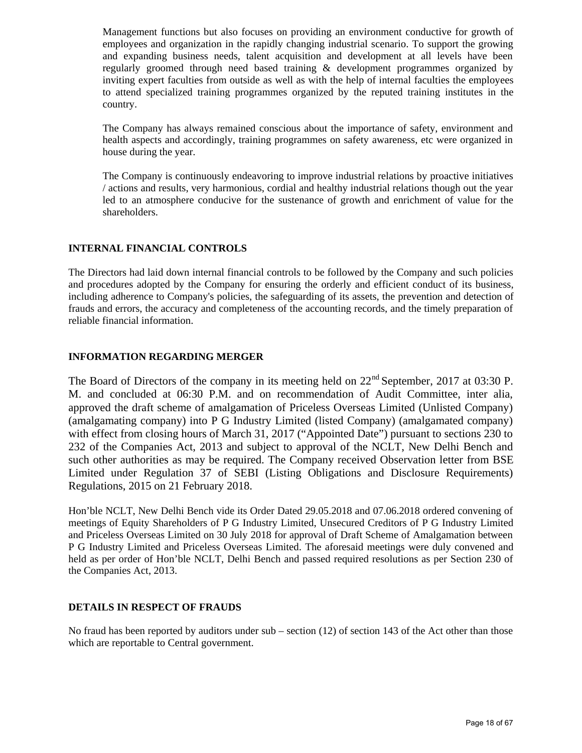Management functions but also focuses on providing an environment conductive for growth of employees and organization in the rapidly changing industrial scenario. To support the growing and expanding business needs, talent acquisition and development at all levels have been regularly groomed through need based training & development programmes organized by inviting expert faculties from outside as well as with the help of internal faculties the employees to attend specialized training programmes organized by the reputed training institutes in the country.

The Company has always remained conscious about the importance of safety, environment and health aspects and accordingly, training programmes on safety awareness, etc were organized in house during the year.

The Company is continuously endeavoring to improve industrial relations by proactive initiatives / actions and results, very harmonious, cordial and healthy industrial relations though out the year led to an atmosphere conducive for the sustenance of growth and enrichment of value for the shareholders.

## **INTERNAL FINANCIAL CONTROLS**

The Directors had laid down internal financial controls to be followed by the Company and such policies and procedures adopted by the Company for ensuring the orderly and efficient conduct of its business, including adherence to Company's policies, the safeguarding of its assets, the prevention and detection of frauds and errors, the accuracy and completeness of the accounting records, and the timely preparation of reliable financial information.

#### **INFORMATION REGARDING MERGER**

The Board of Directors of the company in its meeting held on  $22<sup>nd</sup>$  September, 2017 at 03:30 P. M. and concluded at 06:30 P.M. and on recommendation of Audit Committee, inter alia, approved the draft scheme of amalgamation of Priceless Overseas Limited (Unlisted Company) (amalgamating company) into P G Industry Limited (listed Company) (amalgamated company) with effect from closing hours of March 31, 2017 ("Appointed Date") pursuant to sections 230 to 232 of the Companies Act, 2013 and subject to approval of the NCLT, New Delhi Bench and such other authorities as may be required. The Company received Observation letter from BSE Limited under Regulation 37 of SEBI (Listing Obligations and Disclosure Requirements) Regulations, 2015 on 21 February 2018.

Hon'ble NCLT, New Delhi Bench vide its Order Dated 29.05.2018 and 07.06.2018 ordered convening of meetings of Equity Shareholders of P G Industry Limited, Unsecured Creditors of P G Industry Limited and Priceless Overseas Limited on 30 July 2018 for approval of Draft Scheme of Amalgamation between P G Industry Limited and Priceless Overseas Limited. The aforesaid meetings were duly convened and held as per order of Hon'ble NCLT, Delhi Bench and passed required resolutions as per Section 230 of the Companies Act, 2013.

#### **DETAILS IN RESPECT OF FRAUDS**

No fraud has been reported by auditors under sub – section (12) of section 143 of the Act other than those which are reportable to Central government.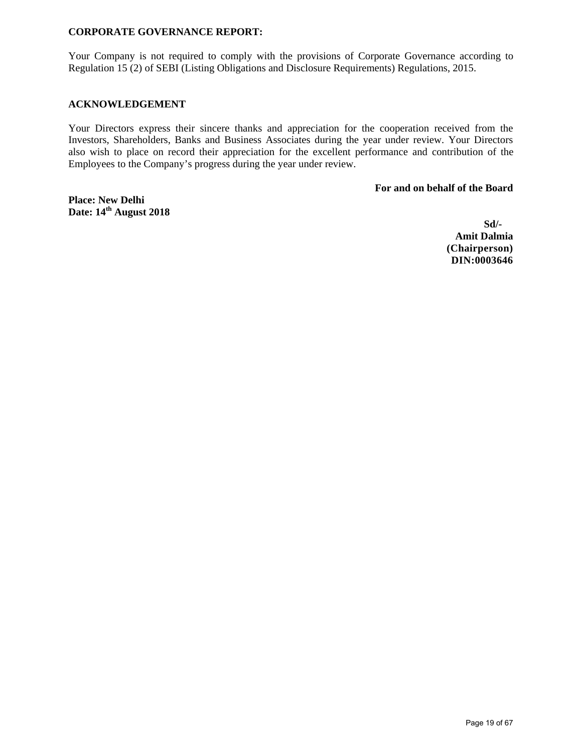#### **CORPORATE GOVERNANCE REPORT:**

Your Company is not required to comply with the provisions of Corporate Governance according to Regulation 15 (2) of SEBI (Listing Obligations and Disclosure Requirements) Regulations, 2015.

#### **ACKNOWLEDGEMENT**

Your Directors express their sincere thanks and appreciation for the cooperation received from the Investors, Shareholders, Banks and Business Associates during the year under review. Your Directors also wish to place on record their appreciation for the excellent performance and contribution of the Employees to the Company's progress during the year under review.

 **For and on behalf of the Board**

**Place: New Delhi Date: 14th August 2018**

 **Sd/- Amit Dalmia (Chairperson) DIN:0003646**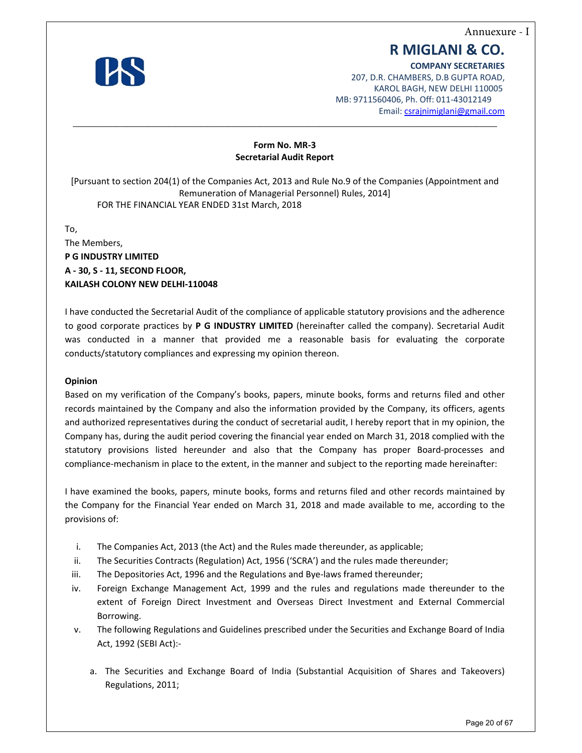# **R MIGLANI & CO.**

**COMPANY SECRETARIES** 207, D.R. CHAMBERS, D.B GUPTA ROAD, KAROL BAGH, NEW DELHI 110005 MB: 9711560406, Ph. Off: 011‐43012149 Email: csrajnimiglani@gmail.com

#### **Form No. MR‐3 Secretarial Audit Report**

\_\_\_\_\_\_\_\_\_\_\_\_\_\_\_\_\_\_\_\_\_\_\_\_\_\_\_\_\_\_\_\_\_\_\_\_\_\_\_\_\_\_\_\_\_\_\_\_\_\_\_\_\_\_\_\_\_\_\_\_\_\_\_\_\_\_\_\_\_\_\_\_\_\_\_\_\_\_\_

[Pursuant to section 204(1) of the Companies Act, 2013 and Rule No.9 of the Companies (Appointment and Remuneration of Managerial Personnel) Rules, 2014] FOR THE FINANCIAL YEAR ENDED 31st March, 2018

To, The Members, **P G INDUSTRY LIMITED A ‐ 30, S ‐ 11, SECOND FLOOR, KAILASH COLONY NEW DELHI‐110048**

I have conducted the Secretarial Audit of the compliance of applicable statutory provisions and the adherence to good corporate practices by **P G INDUSTRY LIMITED** (hereinafter called the company). Secretarial Audit was conducted in a manner that provided me a reasonable basis for evaluating the corporate conducts/statutory compliances and expressing my opinion thereon.

#### **Opinion**

Based on my verification of the Company's books, papers, minute books, forms and returns filed and other records maintained by the Company and also the information provided by the Company, its officers, agents and authorized representatives during the conduct of secretarial audit, I hereby report that in my opinion, the Company has, during the audit period covering the financial year ended on March 31, 2018 complied with the statutory provisions listed hereunder and also that the Company has proper Board‐processes and compliance‐mechanism in place to the extent, in the manner and subject to the reporting made hereinafter:

I have examined the books, papers, minute books, forms and returns filed and other records maintained by the Company for the Financial Year ended on March 31, 2018 and made available to me, according to the provisions of:

- i. The Companies Act, 2013 (the Act) and the Rules made thereunder, as applicable;
- ii. The Securities Contracts (Regulation) Act, 1956 ('SCRA') and the rules made thereunder;
- iii. The Depositories Act, 1996 and the Regulations and Bye‐laws framed thereunder;
- iv. Foreign Exchange Management Act, 1999 and the rules and regulations made thereunder to the extent of Foreign Direct Investment and Overseas Direct Investment and External Commercial Borrowing.
- v. The following Regulations and Guidelines prescribed under the Securities and Exchange Board of India Act, 1992 (SEBI Act):‐
	- a. The Securities and Exchange Board of India (Substantial Acquisition of Shares and Takeovers) Regulations, 2011;

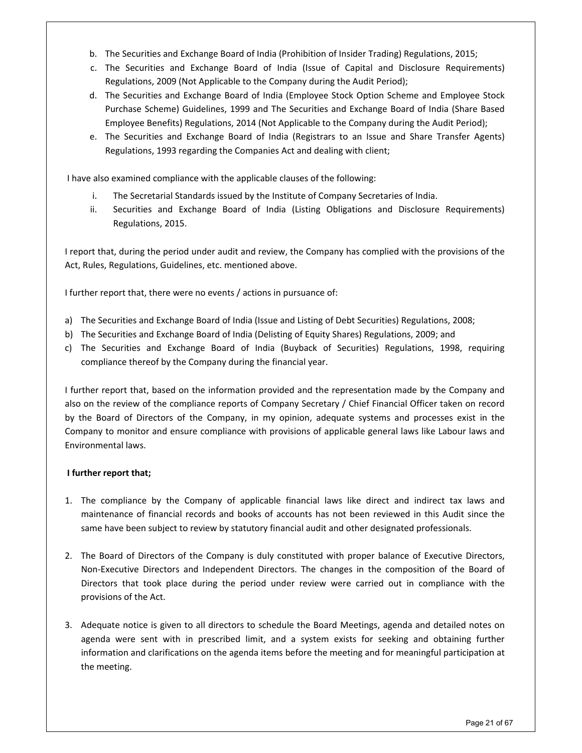- b. The Securities and Exchange Board of India (Prohibition of Insider Trading) Regulations, 2015;
- c. The Securities and Exchange Board of India (Issue of Capital and Disclosure Requirements) Regulations, 2009 (Not Applicable to the Company during the Audit Period);
- d. The Securities and Exchange Board of India (Employee Stock Option Scheme and Employee Stock Purchase Scheme) Guidelines, 1999 and The Securities and Exchange Board of India (Share Based Employee Benefits) Regulations, 2014 (Not Applicable to the Company during the Audit Period);
- e. The Securities and Exchange Board of India (Registrars to an Issue and Share Transfer Agents) Regulations, 1993 regarding the Companies Act and dealing with client;

I have also examined compliance with the applicable clauses of the following:

- i. The Secretarial Standards issued by the Institute of Company Secretaries of India.
- ii. Securities and Exchange Board of India (Listing Obligations and Disclosure Requirements) Regulations, 2015.

I report that, during the period under audit and review, the Company has complied with the provisions of the Act, Rules, Regulations, Guidelines, etc. mentioned above.

I further report that, there were no events / actions in pursuance of:

- a) The Securities and Exchange Board of India (Issue and Listing of Debt Securities) Regulations, 2008;
- b) The Securities and Exchange Board of India (Delisting of Equity Shares) Regulations, 2009; and
- c) The Securities and Exchange Board of India (Buyback of Securities) Regulations, 1998, requiring compliance thereof by the Company during the financial year.

I further report that, based on the information provided and the representation made by the Company and also on the review of the compliance reports of Company Secretary / Chief Financial Officer taken on record by the Board of Directors of the Company, in my opinion, adequate systems and processes exist in the Company to monitor and ensure compliance with provisions of applicable general laws like Labour laws and Environmental laws.

#### **I further report that;**

- 1. The compliance by the Company of applicable financial laws like direct and indirect tax laws and maintenance of financial records and books of accounts has not been reviewed in this Audit since the same have been subject to review by statutory financial audit and other designated professionals.
- 2. The Board of Directors of the Company is duly constituted with proper balance of Executive Directors, Non‐Executive Directors and Independent Directors. The changes in the composition of the Board of Directors that took place during the period under review were carried out in compliance with the provisions of the Act.
- 3. Adequate notice is given to all directors to schedule the Board Meetings, agenda and detailed notes on agenda were sent with in prescribed limit, and a system exists for seeking and obtaining further information and clarifications on the agenda items before the meeting and for meaningful participation at the meeting.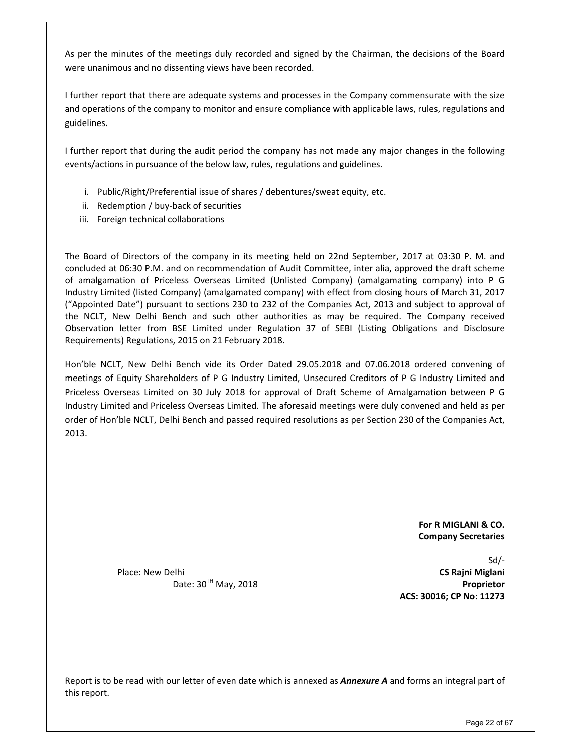As per the minutes of the meetings duly recorded and signed by the Chairman, the decisions of the Board were unanimous and no dissenting views have been recorded.

I further report that there are adequate systems and processes in the Company commensurate with the size and operations of the company to monitor and ensure compliance with applicable laws, rules, regulations and guidelines.

I further report that during the audit period the company has not made any major changes in the following events/actions in pursuance of the below law, rules, regulations and guidelines.

- i. Public/Right/Preferential issue of shares / debentures/sweat equity, etc.
- ii. Redemption / buy‐back of securities
- iii. Foreign technical collaborations

The Board of Directors of the company in its meeting held on 22nd September, 2017 at 03:30 P. M. and concluded at 06:30 P.M. and on recommendation of Audit Committee, inter alia, approved the draft scheme of amalgamation of Priceless Overseas Limited (Unlisted Company) (amalgamating company) into P G Industry Limited (listed Company) (amalgamated company) with effect from closing hours of March 31, 2017 ("Appointed Date") pursuant to sections 230 to 232 of the Companies Act, 2013 and subject to approval of the NCLT, New Delhi Bench and such other authorities as may be required. The Company received Observation letter from BSE Limited under Regulation 37 of SEBI (Listing Obligations and Disclosure Requirements) Regulations, 2015 on 21 February 2018.

Hon'ble NCLT, New Delhi Bench vide its Order Dated 29.05.2018 and 07.06.2018 ordered convening of meetings of Equity Shareholders of P G Industry Limited, Unsecured Creditors of P G Industry Limited and Priceless Overseas Limited on 30 July 2018 for approval of Draft Scheme of Amalgamation between P G Industry Limited and Priceless Overseas Limited. The aforesaid meetings were duly convened and held as per order of Hon'ble NCLT, Delhi Bench and passed required resolutions as per Section 230 of the Companies Act, 2013.

> **For R MIGLANI & CO. Company Secretaries**

Place: New Delhi **CS Rajni Miglani**

Sd/‐ Date: 30<sup>TH</sup> May, 2018 **Proprietor ACS: 30016; CP No: 11273**

Report is to be read with our letter of even date which is annexed as *Annexure A* and forms an integral part of this report.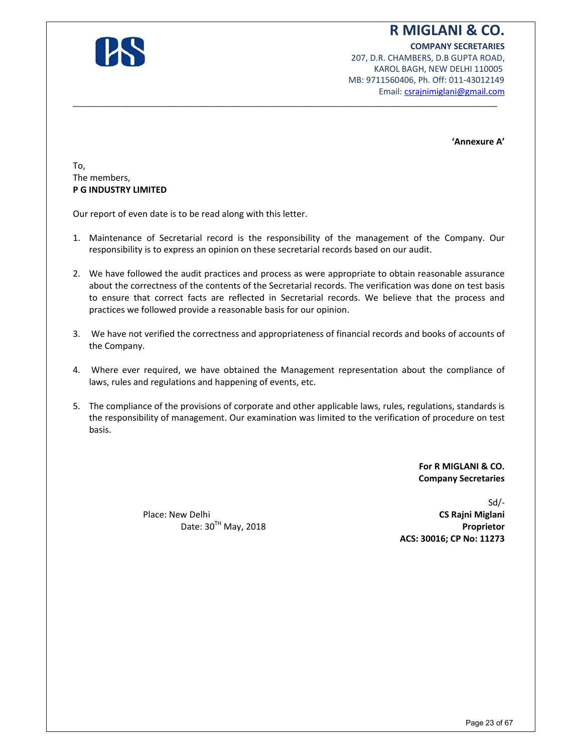

# **R MIGLANI & CO.**

**COMPANY SECRETARIES** 207, D.R. CHAMBERS, D.B GUPTA ROAD, KAROL BAGH, NEW DELHI 110005 MB: 9711560406, Ph. Off: 011‐43012149 Email: csrajnimiglani@gmail.com

**'Annexure A'**

To, The members, **P G INDUSTRY LIMITED**

Our report of even date is to be read along with this letter.

1. Maintenance of Secretarial record is the responsibility of the management of the Company. Our responsibility is to express an opinion on these secretarial records based on our audit.

\_\_\_\_\_\_\_\_\_\_\_\_\_\_\_\_\_\_\_\_\_\_\_\_\_\_\_\_\_\_\_\_\_\_\_\_\_\_\_\_\_\_\_\_\_\_\_\_\_\_\_\_\_\_\_\_\_\_\_\_\_\_\_\_\_\_\_\_\_\_\_\_\_\_\_\_\_\_\_

- 2. We have followed the audit practices and process as were appropriate to obtain reasonable assurance about the correctness of the contents of the Secretarial records. The verification was done on test basis to ensure that correct facts are reflected in Secretarial records. We believe that the process and practices we followed provide a reasonable basis for our opinion.
- 3. We have not verified the correctness and appropriateness of financial records and books of accounts of the Company.
- 4. Where ever required, we have obtained the Management representation about the compliance of laws, rules and regulations and happening of events, etc.
- 5. The compliance of the provisions of corporate and other applicable laws, rules, regulations, standards is the responsibility of management. Our examination was limited to the verification of procedure on test basis.

**For R MIGLANI & CO. Company Secretaries**

Place: New Delhi **CS Rajni Miglani**

Sd/‐ Date: 30TH May, 2018 **Proprietor ACS: 30016; CP No: 11273**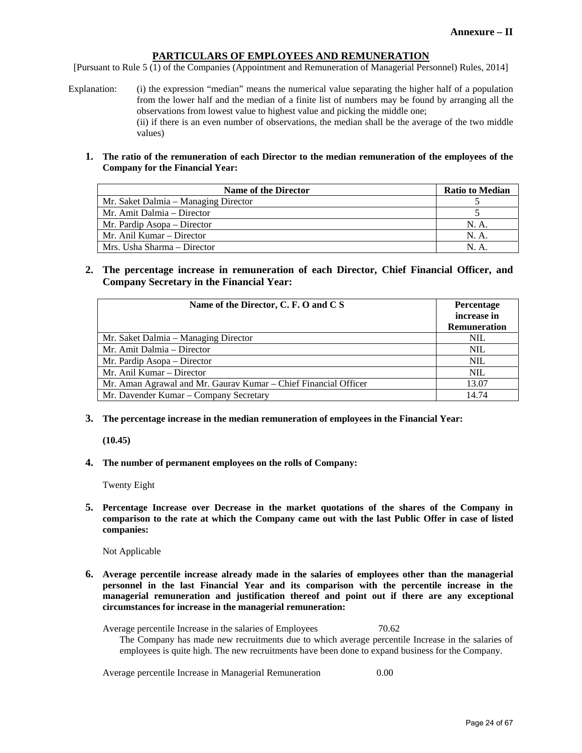#### **PARTICULARS OF EMPLOYEES AND REMUNERATION**

[Pursuant to Rule 5 (1) of the Companies (Appointment and Remuneration of Managerial Personnel) Rules, 2014]

- Explanation: (i) the expression "median" means the numerical value separating the higher half of a population from the lower half and the median of a finite list of numbers may be found by arranging all the observations from lowest value to highest value and picking the middle one; (ii) if there is an even number of observations, the median shall be the average of the two middle values)
	- **1. The ratio of the remuneration of each Director to the median remuneration of the employees of the Company for the Financial Year:**

| <b>Name of the Director</b>          | <b>Ratio to Median</b> |
|--------------------------------------|------------------------|
| Mr. Saket Dalmia - Managing Director |                        |
| Mr. Amit Dalmia – Director           |                        |
| Mr. Pardip Asopa – Director          | N. A.                  |
| Mr. Anil Kumar – Director            | N. A.                  |
| Mrs. Usha Sharma – Director          | ΝA                     |

**2. The percentage increase in remuneration of each Director, Chief Financial Officer, and Company Secretary in the Financial Year:**

| Name of the Director, C. F. O and C S                           | <b>Percentage</b><br>increase in<br><b>Remuneration</b> |
|-----------------------------------------------------------------|---------------------------------------------------------|
| Mr. Saket Dalmia – Managing Director                            | <b>NIL</b>                                              |
| Mr. Amit Dalmia – Director                                      | <b>NIL</b>                                              |
| Mr. Pardip Asopa – Director                                     | <b>NIL</b>                                              |
| Mr. Anil Kumar – Director                                       | <b>NIL</b>                                              |
| Mr. Aman Agrawal and Mr. Gaurav Kumar – Chief Financial Officer | 13.07                                                   |
| Mr. Davender Kumar – Company Secretary                          | 14.74                                                   |

**3. The percentage increase in the median remuneration of employees in the Financial Year:** 

**(10.45)** 

**4. The number of permanent employees on the rolls of Company:** 

Twenty Eight

**5. Percentage Increase over Decrease in the market quotations of the shares of the Company in comparison to the rate at which the Company came out with the last Public Offer in case of listed companies:** 

Not Applicable

**6. Average percentile increase already made in the salaries of employees other than the managerial personnel in the last Financial Year and its comparison with the percentile increase in the managerial remuneration and justification thereof and point out if there are any exceptional circumstances for increase in the managerial remuneration:** 

Average percentile Increase in the salaries of Employees 70.62 The Company has made new recruitments due to which average percentile Increase in the salaries of employees is quite high. The new recruitments have been done to expand business for the Company.

Average percentile Increase in Managerial Remuneration 0.00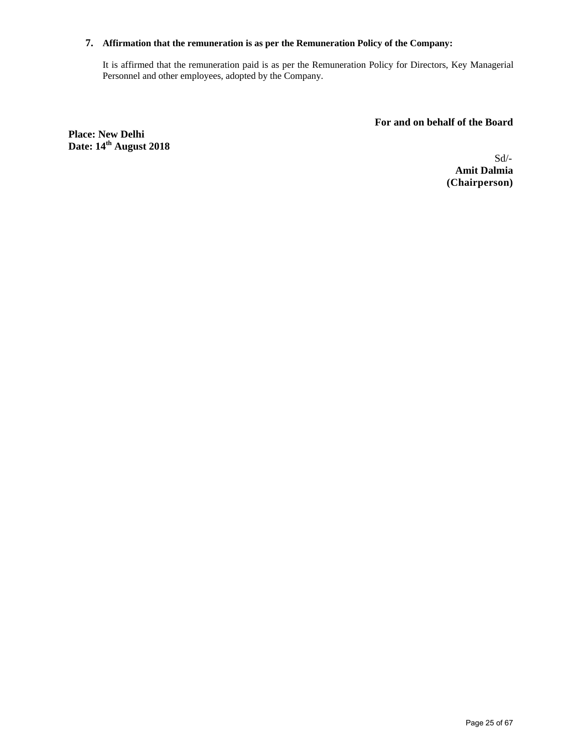#### **7. Affirmation that the remuneration is as per the Remuneration Policy of the Company:**

It is affirmed that the remuneration paid is as per the Remuneration Policy for Directors, Key Managerial Personnel and other employees, adopted by the Company.

**For and on behalf of the Board**

**Place: New Delhi Date: 14th August 2018**

Sd/- **Amit Dalmia (Chairperson)**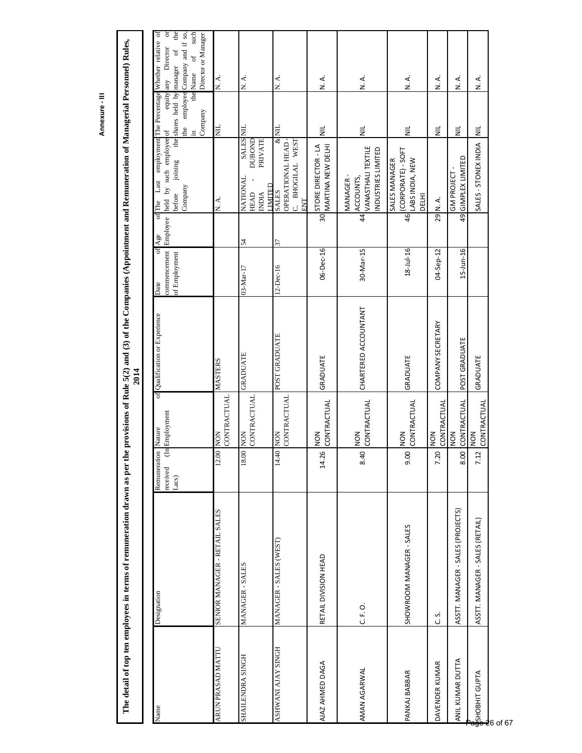|                           | The detail of top ten employees in terms of remuneration drawn as per the provisions of Rule 5(2) and (3) of the Companies (Appointment and Remuneration of Managerial Personnel) Rules, |                                          |                          | 2014                           |                                 |                          |                                                                                                      |                                                            |                                                                                                                                                                             |
|---------------------------|------------------------------------------------------------------------------------------------------------------------------------------------------------------------------------------|------------------------------------------|--------------------------|--------------------------------|---------------------------------|--------------------------|------------------------------------------------------------------------------------------------------|------------------------------------------------------------|-----------------------------------------------------------------------------------------------------------------------------------------------------------------------------|
|                           |                                                                                                                                                                                          |                                          |                          |                                |                                 |                          |                                                                                                      |                                                            |                                                                                                                                                                             |
| Name                      | Designation                                                                                                                                                                              | Remuneration Nature<br>received<br>Lacs) | In Employment            | of Qualification or Experience | of Age<br>of Employment<br>Date | đ                        | commencement Employee held by such employee of<br>the<br>joining<br>Last<br>Company<br>before<br>The | shares held by manager<br>Company<br>$\mathbf{d}$<br>$\Xi$ | ō<br>the<br>employment The Percentage Whether relative of<br>such<br>employee Company and if so,<br>Director or Manager<br>equity any Director<br>ð<br>$\sigma$<br>the Name |
| ARUN PRASAD MATTU         | SENIOR MANAGER - RETAIL SALES                                                                                                                                                            |                                          | CONTRACTUAL<br>12.00 NON | MASTERS                        |                                 |                          | N. A.                                                                                                | Ę                                                          | X. A.                                                                                                                                                                       |
| SHAILENDRA SINGH          | MANAGER-SALES                                                                                                                                                                            | 18.00 NON                                | CONTRACTUAL              | <b>GRADUATE</b>                | 03-Mar-17                       | 54                       | <b>TIN</b> SALES<br>PRIVATE<br>DUBOND<br>NATIONAL<br><b>IMITED</b><br>HEAD<br><b>INDIA</b>           |                                                            | $\stackrel{\blacktriangle}{\simeq}$                                                                                                                                         |
| <b>ASHWANI AJAY SINGH</b> | MANAGER - SALES (WEST)                                                                                                                                                                   | NON 07 71                                | CONTRACTUAL              | POST GRADUATE                  | 12-Dec-16                       | $\overline{\mathcal{E}}$ | &<br>C. BHOGILAL WEST<br>OPERATIONAL HEAD-<br><b>SALES</b><br>ENT                                    | Ę                                                          | X.<br>A.                                                                                                                                                                    |
| AJAZ AHMED DAGA           | RETAIL DIVISION HEAD                                                                                                                                                                     | 14.26                                    | CONTRACTUAL<br>NON       | GRADUATE                       | 06-Dec-16                       | 30                       | STORE DIRECTOR - LA<br>MARTINA NEW DELHI                                                             | $\equiv$                                                   | λ.<br>Ζ                                                                                                                                                                     |
| AMAN AGARWAL              | ن<br>بان                                                                                                                                                                                 | 8.40                                     | CONTRACTUAL<br>NON       | CHARTERED ACCOUNTANT           | 30-Mar-15                       | 44                       | VANASTHALI TEXTILE<br>INDUSTRIES LIMITED<br>MANAGER-<br>ACCOUNTS,                                    | $\equiv$                                                   | بر<br>ح                                                                                                                                                                     |
| PANKAJ BABBAR             | SHOWROOM MANAGER - SALES                                                                                                                                                                 | 9.00                                     | CONTRACTUAL<br>NON       | GRADUATE                       | $18 -1$ ul-16                   | 46                       | (CORPORATE) - SOFT<br>LABS INDIA, NEW<br>SALES MANAGER<br>DELHI                                      | $\equiv$                                                   | Α.<br>Ζ                                                                                                                                                                     |
| DAVENDER KUMAR            | ن<br>ن                                                                                                                                                                                   | 7.20                                     | CONTRACTUAL<br>NON       | COMPANY SECRETARY              | 04-Sep-12                       |                          | 29 N.A.                                                                                              | $\equiv$                                                   | Α.<br>Ζ                                                                                                                                                                     |
| ANIL KUMAR DUTTA          | ASSTT. MANAGER - SALES (PROJECTS)                                                                                                                                                        | 8.00                                     | CONTRACTUAL<br>NON       | POST GRADUATE                  | $15 - Jun - 16$                 |                          | 49 GIMPLEX LIMITED<br><b>GM PROJECT</b>                                                              | $\equiv$                                                   | Α.<br>Ζ                                                                                                                                                                     |
| SHOBHIT GUPTA             | ASSTT. MANAGER - SALES (RETAIL)                                                                                                                                                          | 7.12                                     | CONTRACTUAL<br>NON       | GRADUATE                       |                                 |                          | SALES - STONEX INDIA                                                                                 | $\equiv$                                                   | k.<br>Z                                                                                                                                                                     |
|                           |                                                                                                                                                                                          |                                          |                          |                                |                                 |                          |                                                                                                      |                                                            |                                                                                                                                                                             |

Annexure - III **Annexure ‐ III**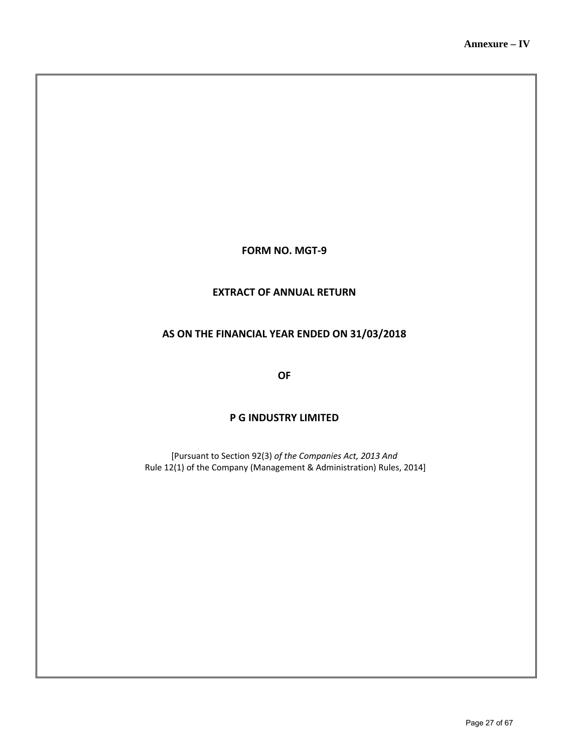# **FORM NO. MGT‐9**

## **EXTRACT OF ANNUAL RETURN**

# **AS ON THE FINANCIAL YEAR ENDED ON 31/03/2018**

**OF**

#### **P G INDUSTRY LIMITED**

[Pursuant to Section 92(3) *of the Companies Act, 2013 And* Rule 12(1) of the Company (Management & Administration) Rules, 2014]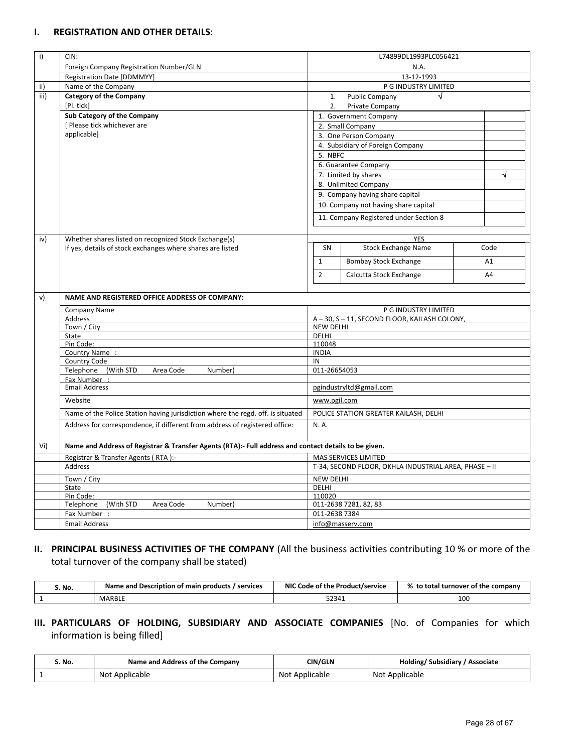## **I. REGISTRATION AND OTHER DETAILS**:

| i)   | CIN:                                                                                                  | L74899DL1993PLC056421     |                                                       |      |  |
|------|-------------------------------------------------------------------------------------------------------|---------------------------|-------------------------------------------------------|------|--|
|      | Foreign Company Registration Number/GLN                                                               | N.A.                      |                                                       |      |  |
|      | <b>Registration Date [DDMMYY]</b>                                                                     |                           | 13-12-1993                                            |      |  |
| ii)  | Name of the Company                                                                                   |                           | P G INDUSTRY LIMITED                                  |      |  |
| iii) | <b>Category of the Company</b>                                                                        | 1.                        | √<br><b>Public Company</b>                            |      |  |
|      | [Pl. tick]                                                                                            | 2.                        | Private Company                                       |      |  |
|      | Sub Category of the Company                                                                           |                           |                                                       |      |  |
|      | [ Please tick whichever are                                                                           |                           | 1. Government Company                                 |      |  |
|      | applicable]                                                                                           |                           | 2. Small Company                                      |      |  |
|      |                                                                                                       |                           | 3. One Person Company                                 |      |  |
|      |                                                                                                       |                           | 4. Subsidiary of Foreign Company                      |      |  |
|      |                                                                                                       | 5. NBFC                   |                                                       |      |  |
|      |                                                                                                       |                           | 6. Guarantee Company                                  |      |  |
|      |                                                                                                       |                           | 7. Limited by shares                                  | √    |  |
|      |                                                                                                       |                           | 8. Unlimited Company                                  |      |  |
|      |                                                                                                       |                           | 9. Company having share capital                       |      |  |
|      |                                                                                                       |                           | 10. Company not having share capital                  |      |  |
|      |                                                                                                       |                           | 11. Company Registered under Section 8                |      |  |
|      |                                                                                                       |                           |                                                       |      |  |
| iv)  |                                                                                                       |                           | <b>YES</b>                                            |      |  |
|      | Whether shares listed on recognized Stock Exchange(s)                                                 | <b>SN</b>                 | <b>Stock Exchange Name</b>                            | Code |  |
|      | If yes, details of stock exchanges where shares are listed                                            |                           |                                                       |      |  |
|      |                                                                                                       | $\mathbf{1}$              | <b>Bombay Stock Exchange</b>                          | A1   |  |
|      |                                                                                                       | $\overline{2}$            | Calcutta Stock Exchange                               | A4   |  |
|      |                                                                                                       |                           |                                                       |      |  |
| v)   | NAME AND REGISTERED OFFICE ADDRESS OF COMPANY:                                                        |                           |                                                       |      |  |
|      | Company Name                                                                                          |                           | P G INDUSTRY LIMITED                                  |      |  |
|      | Address                                                                                               |                           | A-30, S-11, SECOND FLOOR, KAILASH COLONY,             |      |  |
|      | Town / City<br>State                                                                                  | <b>NEW DELHI</b><br>DELHI |                                                       |      |  |
|      | Pin Code:                                                                                             | 110048                    |                                                       |      |  |
|      | Country Name:                                                                                         | <b>INDIA</b>              |                                                       |      |  |
|      | Country Code                                                                                          | IN                        |                                                       |      |  |
|      | Telephone (With STD<br>Area Code<br>Number)                                                           | 011-26654053              |                                                       |      |  |
|      | Fax Number:                                                                                           |                           |                                                       |      |  |
|      | <b>Email Address</b>                                                                                  | pgindustryltd@gmail.com   |                                                       |      |  |
|      | Website                                                                                               | www.pgil.com              |                                                       |      |  |
|      | Name of the Police Station having jurisdiction where the regd. off. is situated                       |                           | POLICE STATION GREATER KAILASH, DELHI                 |      |  |
|      | Address for correspondence, if different from address of registered office:                           | N. A.                     |                                                       |      |  |
|      | Name and Address of Registrar & Transfer Agents (RTA):- Full address and contact details to be given. |                           |                                                       |      |  |
| Vi)  |                                                                                                       |                           |                                                       |      |  |
|      | Registrar & Transfer Agents (RTA):-                                                                   |                           | MAS SERVICES LIMITED                                  |      |  |
|      | Address                                                                                               |                           | T-34, SECOND FLOOR, OKHLA INDUSTRIAL AREA, PHASE - II |      |  |
|      | Town / City                                                                                           | NEW DELHI                 |                                                       |      |  |
|      | State                                                                                                 | DELHI                     |                                                       |      |  |
|      | Pin Code:                                                                                             | 110020                    |                                                       |      |  |
|      | Telephone<br>(With STD<br>Number)<br>Area Code                                                        |                           | 011-2638 7281, 82, 83                                 |      |  |
|      | Fax Number :<br><b>Email Address</b>                                                                  | 011-2638 7384             | info@masserv.com                                      |      |  |

# **II. PRINCIPAL BUSINESS ACTIVITIES OF THE COMPANY** (All the business activities contributing 10 % or more of the total turnover of the company shall be stated)

| S. No. | Name and Description of main products / services | NIC Code of the Product/service | % to total turnover of the company |
|--------|--------------------------------------------------|---------------------------------|------------------------------------|
|        | MARBLE                                           | 52341                           | 10C                                |

# **III. PARTICULARS OF HOLDING, SUBSIDIARY AND ASSOCIATE COMPANIES** [No. of Companies for which information is being filled]

| S. No. | Name and Address of the Company | CIN/GLN        | Holding/Subsidiary / Associate |
|--------|---------------------------------|----------------|--------------------------------|
|        | Not Applicable                  | Not Applicable | Not Applicable                 |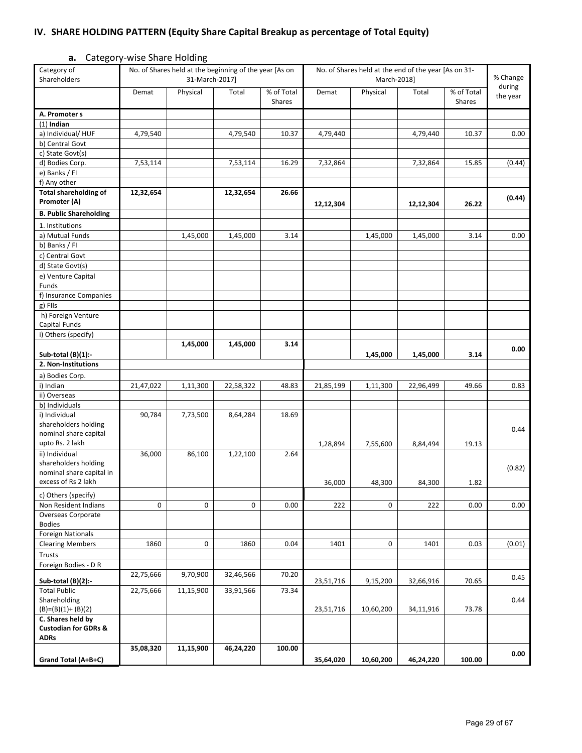# **IV. SHARE HOLDING PATTERN (Equity Share Capital Breakup as percentage of Total Equity)**

| $rac{1}{2}$<br>Category of<br>Shareholders   | wise share moraling | No. of Shares held at the beginning of the year [As on<br>31-March-2017] |           |                      |           | No. of Shares held at the end of the year [As on 31-<br>March-2018] |           |                      | % Change           |
|----------------------------------------------|---------------------|--------------------------------------------------------------------------|-----------|----------------------|-----------|---------------------------------------------------------------------|-----------|----------------------|--------------------|
|                                              | Demat               | Physical                                                                 | Total     | % of Total<br>Shares | Demat     | Physical                                                            | Total     | % of Total<br>Shares | during<br>the year |
| A. Promoter s                                |                     |                                                                          |           |                      |           |                                                                     |           |                      |                    |
| $(1)$ Indian                                 |                     |                                                                          |           |                      |           |                                                                     |           |                      |                    |
| a) Individual/HUF                            | 4,79,540            |                                                                          | 4,79,540  | 10.37                | 4,79,440  |                                                                     | 4,79,440  | 10.37                | 0.00               |
| b) Central Govt                              |                     |                                                                          |           |                      |           |                                                                     |           |                      |                    |
| c) State Govt(s)                             |                     |                                                                          |           |                      |           |                                                                     |           |                      |                    |
| d) Bodies Corp.                              | 7,53,114            |                                                                          | 7,53,114  | 16.29                | 7,32,864  |                                                                     | 7,32,864  | 15.85                | (0.44)             |
| e) Banks / FI                                |                     |                                                                          |           |                      |           |                                                                     |           |                      |                    |
| f) Any other<br><b>Total shareholding of</b> | 12,32,654           |                                                                          | 12,32,654 | 26.66                |           |                                                                     |           |                      |                    |
| Promoter (A)                                 |                     |                                                                          |           |                      |           |                                                                     |           |                      | (0.44)             |
| <b>B. Public Shareholding</b>                |                     |                                                                          |           |                      | 12,12,304 |                                                                     | 12,12,304 | 26.22                |                    |
|                                              |                     |                                                                          |           |                      |           |                                                                     |           |                      |                    |
| 1. Institutions<br>a) Mutual Funds           |                     | 1,45,000                                                                 | 1,45,000  | 3.14                 |           | 1,45,000                                                            | 1,45,000  | 3.14                 | 0.00               |
| b) Banks / FI                                |                     |                                                                          |           |                      |           |                                                                     |           |                      |                    |
| c) Central Govt                              |                     |                                                                          |           |                      |           |                                                                     |           |                      |                    |
| d) State Govt(s)                             |                     |                                                                          |           |                      |           |                                                                     |           |                      |                    |
| e) Venture Capital                           |                     |                                                                          |           |                      |           |                                                                     |           |                      |                    |
| Funds                                        |                     |                                                                          |           |                      |           |                                                                     |           |                      |                    |
| f) Insurance Companies                       |                     |                                                                          |           |                      |           |                                                                     |           |                      |                    |
| g) Fils                                      |                     |                                                                          |           |                      |           |                                                                     |           |                      |                    |
| h) Foreign Venture                           |                     |                                                                          |           |                      |           |                                                                     |           |                      |                    |
| Capital Funds                                |                     |                                                                          |           |                      |           |                                                                     |           |                      |                    |
| i) Others (specify)                          |                     |                                                                          |           |                      |           |                                                                     |           |                      |                    |
|                                              |                     | 1,45,000                                                                 | 1,45,000  | 3.14                 |           |                                                                     |           |                      | 0.00               |
| Sub-total $(B)(1)$ :-                        |                     |                                                                          |           |                      |           | 1,45,000                                                            | 1,45,000  | 3.14                 |                    |
| 2. Non-Institutions                          |                     |                                                                          |           |                      |           |                                                                     |           |                      |                    |
| a) Bodies Corp.                              |                     |                                                                          |           |                      |           |                                                                     |           |                      |                    |
| i) Indian                                    | 21,47,022           | 1,11,300                                                                 | 22,58,322 | 48.83                | 21,85,199 | 1,11,300                                                            | 22,96,499 | 49.66                | 0.83               |
| ii) Overseas                                 |                     |                                                                          |           |                      |           |                                                                     |           |                      |                    |
| b) Individuals<br>i) Individual              | 90,784              | 7,73,500                                                                 | 8,64,284  | 18.69                |           |                                                                     |           |                      |                    |
| shareholders holding                         |                     |                                                                          |           |                      |           |                                                                     |           |                      |                    |
| nominal share capital                        |                     |                                                                          |           |                      |           |                                                                     |           |                      | 0.44               |
| upto Rs. 2 lakh                              |                     |                                                                          |           |                      | 1,28,894  | 7,55,600                                                            | 8,84,494  | 19.13                |                    |
| ii) Individual                               | 36,000              | 86,100                                                                   | 1,22,100  | 2.64                 |           |                                                                     |           |                      |                    |
| shareholders holding                         |                     |                                                                          |           |                      |           |                                                                     |           |                      |                    |
| nominal share capital in                     |                     |                                                                          |           |                      |           |                                                                     |           |                      | (0.82)             |
| excess of Rs 2 lakh                          |                     |                                                                          |           |                      | 36,000    | 48,300                                                              | 84,300    | 1.82                 |                    |
| c) Others (specify)                          |                     |                                                                          |           |                      |           |                                                                     |           |                      |                    |
| Non Resident Indians                         | 0                   | 0                                                                        | 0         | 0.00                 | 222       | 0                                                                   | 222       | 0.00                 | 0.00               |
| Overseas Corporate                           |                     |                                                                          |           |                      |           |                                                                     |           |                      |                    |
| <b>Bodies</b>                                |                     |                                                                          |           |                      |           |                                                                     |           |                      |                    |
| <b>Foreign Nationals</b>                     |                     |                                                                          |           |                      |           |                                                                     |           |                      |                    |
| <b>Clearing Members</b>                      | 1860                | 0                                                                        | 1860      | 0.04                 | 1401      | 0                                                                   | 1401      | 0.03                 | (0.01)             |
| Trusts                                       |                     |                                                                          |           |                      |           |                                                                     |           |                      |                    |
| Foreign Bodies - D R                         |                     |                                                                          |           |                      |           |                                                                     |           |                      |                    |
| Sub-total $(B)(2)$ :-                        | 22,75,666           | 9,70,900                                                                 | 32,46,566 | 70.20                | 23,51,716 | 9,15,200                                                            | 32,66,916 | 70.65                | 0.45               |
| <b>Total Public</b>                          | 22,75,666           | 11,15,900                                                                | 33,91,566 | 73.34                |           |                                                                     |           |                      |                    |
| Shareholding                                 |                     |                                                                          |           |                      |           |                                                                     |           |                      | 0.44               |
| $(B)=(B)(1)+(B)(2)$                          |                     |                                                                          |           |                      | 23,51,716 | 10,60,200                                                           | 34,11,916 | 73.78                |                    |
| C. Shares held by                            |                     |                                                                          |           |                      |           |                                                                     |           |                      |                    |
| <b>Custodian for GDRs &amp;</b>              |                     |                                                                          |           |                      |           |                                                                     |           |                      |                    |
| <b>ADRs</b>                                  |                     |                                                                          |           |                      |           |                                                                     |           |                      |                    |
|                                              | 35,08,320           | 11,15,900                                                                | 46,24,220 | 100.00               |           |                                                                     |           |                      | 0.00               |
| Grand Total (A+B+C)                          |                     |                                                                          |           |                      | 35,64,020 | 10,60,200                                                           | 46,24,220 | 100.00               |                    |

#### **a.** Category‐wise Share Holding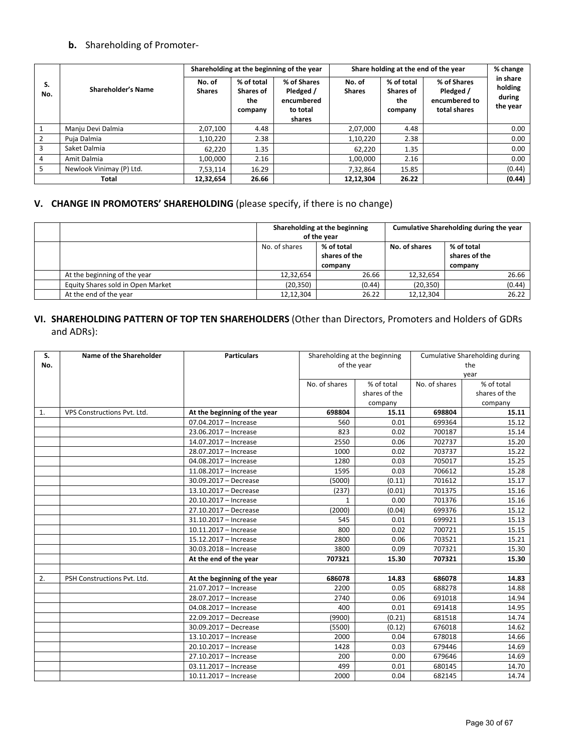# **b.** Shareholding of Promoter‐

|           | Shareholder's Name       | Shareholding at the beginning of the year |                                                  | Share holding at the end of the year                         |                         |                                                  | % change                                                  |                                           |
|-----------|--------------------------|-------------------------------------------|--------------------------------------------------|--------------------------------------------------------------|-------------------------|--------------------------------------------------|-----------------------------------------------------------|-------------------------------------------|
| S.<br>No. |                          | No. of<br><b>Shares</b>                   | % of total<br><b>Shares of</b><br>the<br>company | % of Shares<br>Pledged /<br>encumbered<br>to total<br>shares | No. of<br><b>Shares</b> | % of total<br><b>Shares of</b><br>the<br>company | % of Shares<br>Pledged /<br>encumbered to<br>total shares | in share<br>holding<br>during<br>the year |
|           | Manju Devi Dalmia        | 2.07.100                                  | 4.48                                             |                                                              | 2,07,000                | 4.48                                             |                                                           | 0.00                                      |
|           | Puja Dalmia              | 1,10,220                                  | 2.38                                             |                                                              | 1,10,220                | 2.38                                             |                                                           | 0.00                                      |
| 3         | Saket Dalmia             | 62,220                                    | 1.35                                             |                                                              | 62,220                  | 1.35                                             |                                                           | 0.00                                      |
| 4         | Amit Dalmia              | 1,00,000                                  | 2.16                                             |                                                              | 1,00,000                | 2.16                                             |                                                           | 0.00                                      |
|           | Newlook Vinimay (P) Ltd. | 7.53.114                                  | 16.29                                            |                                                              | 7,32,864                | 15.85                                            |                                                           | (0.44)                                    |
|           | <b>Total</b>             | 12,32,654                                 | 26.66                                            |                                                              | 12.12.304               | 26.22                                            |                                                           | (0.44)                                    |

## **V. CHANGE IN PROMOTERS' SHAREHOLDING** (please specify, if there is no change)

|                                   | Shareholding at the beginning<br>of the year |                                        | Cumulative Shareholding during the year |                                                         |  |
|-----------------------------------|----------------------------------------------|----------------------------------------|-----------------------------------------|---------------------------------------------------------|--|
|                                   | No. of shares                                | % of total<br>shares of the<br>company |                                         | % of total<br>No. of shares<br>shares of the<br>company |  |
| At the beginning of the year      | 12,32,654                                    | 26.66                                  | 12,32,654                               | 26.66                                                   |  |
| Equity Shares sold in Open Market | (20, 350)                                    | (0.44)                                 | (20, 350)                               | (0.44)                                                  |  |
| At the end of the year            | 12,12,304                                    | 26.22                                  | 12,12,304                               | 26.22                                                   |  |

# **VI. SHAREHOLDING PATTERN OF TOP TEN SHAREHOLDERS** (Other than Directors, Promoters and Holders of GDRs and ADRs):

| S.  | <b>Name of the Shareholder</b> | <b>Particulars</b>           | Shareholding at the beginning |               | <b>Cumulative Shareholding during</b> |               |
|-----|--------------------------------|------------------------------|-------------------------------|---------------|---------------------------------------|---------------|
| No. |                                |                              | of the year                   |               | the                                   |               |
|     |                                |                              |                               |               | year                                  |               |
|     |                                |                              | No. of shares                 | % of total    | No. of shares                         | % of total    |
|     |                                |                              |                               | shares of the |                                       | shares of the |
|     |                                |                              |                               | company       |                                       | company       |
| 1.  | VPS Constructions Pvt. Ltd.    | At the beginning of the year | 698804                        | 15.11         | 698804                                | 15.11         |
|     |                                | 07.04.2017 - Increase        | 560                           | 0.01          | 699364                                | 15.12         |
|     |                                | 23.06.2017 - Increase        | 823                           | 0.02          | 700187                                | 15.14         |
|     |                                | 14.07.2017 - Increase        | 2550                          | 0.06          | 702737                                | 15.20         |
|     |                                | 28.07.2017 - Increase        | 1000                          | 0.02          | 703737                                | 15.22         |
|     |                                | 04.08.2017 - Increase        | 1280                          | 0.03          | 705017                                | 15.25         |
|     |                                | 11.08.2017 - Increase        | 1595                          | 0.03          | 706612                                | 15.28         |
|     |                                | 30.09.2017 - Decrease        | (5000)                        | (0.11)        | 701612                                | 15.17         |
|     |                                | 13.10.2017 - Decrease        | (237)                         | (0.01)        | 701375                                | 15.16         |
|     |                                | 20.10.2017 - Increase        | $\mathbf{1}$                  | 0.00          | 701376                                | 15.16         |
|     |                                | 27.10.2017 - Decrease        | (2000)                        | (0.04)        | 699376                                | 15.12         |
|     |                                | 31.10.2017 - Increase        | 545                           | 0.01          | 699921                                | 15.13         |
|     |                                | 10.11.2017 - Increase        | 800                           | 0.02          | 700721                                | 15.15         |
|     |                                | 15.12.2017 - Increase        | 2800                          | 0.06          | 703521                                | 15.21         |
|     |                                | 30.03.2018 - Increase        | 3800                          | 0.09          | 707321                                | 15.30         |
|     |                                | At the end of the year       | 707321                        | 15.30         | 707321                                | 15.30         |
|     |                                |                              |                               |               |                                       |               |
| 2.  | PSH Constructions Pvt. Ltd.    | At the beginning of the year | 686078                        | 14.83         | 686078                                | 14.83         |
|     |                                | 21.07.2017 - Increase        | 2200                          | 0.05          | 688278                                | 14.88         |
|     |                                | 28.07.2017 - Increase        | 2740                          | 0.06          | 691018                                | 14.94         |
|     |                                | 04.08.2017 - Increase        | 400                           | 0.01          | 691418                                | 14.95         |
|     |                                | 22.09.2017 - Decrease        | (9900)                        | (0.21)        | 681518                                | 14.74         |
|     |                                | 30.09.2017 - Decrease        | (5500)                        | (0.12)        | 676018                                | 14.62         |
|     |                                | 13.10.2017 - Increase        | 2000                          | 0.04          | 678018                                | 14.66         |
|     |                                | 20.10.2017 - Increase        | 1428                          | 0.03          | 679446                                | 14.69         |
|     |                                | 27.10.2017 - Increase        | 200                           | 0.00          | 679646                                | 14.69         |
|     |                                | 03.11.2017 - Increase        | 499                           | 0.01          | 680145                                | 14.70         |
|     |                                | 10.11.2017 - Increase        | 2000                          | 0.04          | 682145                                | 14.74         |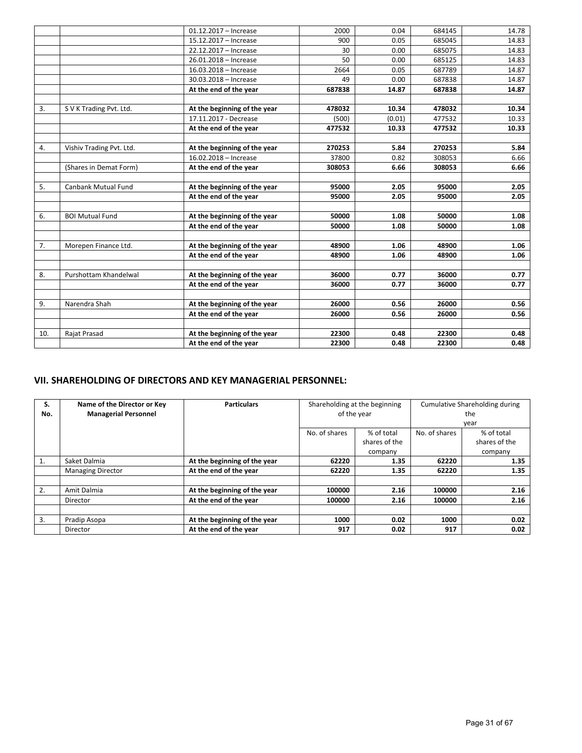|     |                            | 01.12.2017 - Increase        | 2000   | 0.04   | 684145 | 14.78 |
|-----|----------------------------|------------------------------|--------|--------|--------|-------|
|     |                            | 15.12.2017 - Increase        | 900    | 0.05   | 685045 | 14.83 |
|     |                            | 22.12.2017 - Increase        | 30     | 0.00   | 685075 | 14.83 |
|     |                            | 26.01.2018 - Increase        | 50     | 0.00   | 685125 | 14.83 |
|     |                            | 16.03.2018 - Increase        | 2664   | 0.05   | 687789 | 14.87 |
|     |                            | 30.03.2018 - Increase        | 49     | 0.00   | 687838 | 14.87 |
|     |                            | At the end of the year       | 687838 | 14.87  | 687838 | 14.87 |
|     |                            |                              |        |        |        |       |
| 3.  | S V K Trading Pvt. Ltd.    | At the beginning of the year | 478032 | 10.34  | 478032 | 10.34 |
|     |                            | 17.11.2017 - Decrease        | (500)  | (0.01) | 477532 | 10.33 |
|     |                            | At the end of the year       | 477532 | 10.33  | 477532 | 10.33 |
|     |                            |                              |        |        |        |       |
| 4.  | Vishiv Trading Pvt. Ltd.   | At the beginning of the year | 270253 | 5.84   | 270253 | 5.84  |
|     |                            | 16.02.2018 - Increase        | 37800  | 0.82   | 308053 | 6.66  |
|     | (Shares in Demat Form)     | At the end of the year       | 308053 | 6.66   | 308053 | 6.66  |
|     |                            |                              |        |        |        |       |
| 5.  | <b>Canbank Mutual Fund</b> | At the beginning of the year | 95000  | 2.05   | 95000  | 2.05  |
|     |                            | At the end of the year       | 95000  | 2.05   | 95000  | 2.05  |
|     |                            |                              |        |        |        |       |
| 6.  | <b>BOI Mutual Fund</b>     | At the beginning of the year | 50000  | 1.08   | 50000  | 1.08  |
|     |                            | At the end of the year       | 50000  | 1.08   | 50000  | 1.08  |
|     |                            |                              |        |        |        |       |
| 7.  | Morepen Finance Ltd.       | At the beginning of the year | 48900  | 1.06   | 48900  | 1.06  |
|     |                            | At the end of the year       | 48900  | 1.06   | 48900  | 1.06  |
|     |                            |                              |        |        |        |       |
| 8.  | Purshottam Khandelwal      | At the beginning of the year | 36000  | 0.77   | 36000  | 0.77  |
|     |                            | At the end of the year       | 36000  | 0.77   | 36000  | 0.77  |
|     |                            |                              |        |        |        |       |
| 9.  | Narendra Shah              | At the beginning of the year | 26000  | 0.56   | 26000  | 0.56  |
|     |                            | At the end of the year       | 26000  | 0.56   | 26000  | 0.56  |
|     |                            |                              |        |        |        |       |
| 10. | Rajat Prasad               | At the beginning of the year | 22300  | 0.48   | 22300  | 0.48  |
|     |                            | At the end of the year       | 22300  | 0.48   | 22300  | 0.48  |
|     |                            |                              |        |        |        |       |

## **VII. SHAREHOLDING OF DIRECTORS AND KEY MANAGERIAL PERSONNEL:**

| S.  | Name of the Director or Key | <b>Particulars</b>           | Shareholding at the beginning |               | Cumulative Shareholding during |               |
|-----|-----------------------------|------------------------------|-------------------------------|---------------|--------------------------------|---------------|
| No. | <b>Managerial Personnel</b> |                              | of the year                   |               | the                            |               |
|     |                             |                              |                               |               | year                           |               |
|     |                             |                              | No. of shares<br>% of total   |               | No. of shares                  | % of total    |
|     |                             |                              |                               | shares of the |                                | shares of the |
|     |                             |                              |                               | company       |                                | company       |
| 1.  | Saket Dalmia                | At the beginning of the year | 62220                         | 1.35          | 62220                          | 1.35          |
|     | <b>Managing Director</b>    | At the end of the year       | 62220                         | 1.35          | 62220                          | 1.35          |
|     |                             |                              |                               |               |                                |               |
| 2.  | Amit Dalmia                 | At the beginning of the year | 100000                        | 2.16          | 100000                         | 2.16          |
|     | Director                    | At the end of the year       | 100000                        | 2.16          | 100000                         | 2.16          |
|     |                             |                              |                               |               |                                |               |
| 3.  | Pradip Asopa                | At the beginning of the year | 1000                          | 0.02          | 1000                           | 0.02          |
|     | Director                    | At the end of the year       | 917                           | 0.02          | 917                            | 0.02          |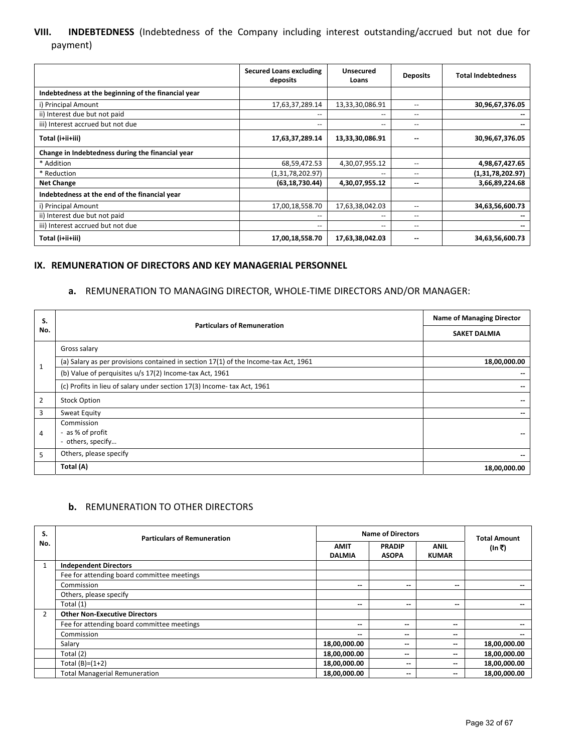# **VIII. INDEBTEDNESS** (Indebtedness of the Company including interest outstanding/accrued but not due for payment)

|                                                     | <b>Secured Loans excluding</b><br>deposits | <b>Unsecured</b><br>Loans | <b>Deposits</b> | <b>Total Indebtedness</b> |
|-----------------------------------------------------|--------------------------------------------|---------------------------|-----------------|---------------------------|
| Indebtedness at the beginning of the financial year |                                            |                           |                 |                           |
| i) Principal Amount                                 | 17,63,37,289.14                            | 13,33,30,086.91           | --              | 30,96,67,376.05           |
| ii) Interest due but not paid                       |                                            | --                        | --              |                           |
| iii) Interest accrued but not due                   | $\overline{\phantom{m}}$                   | --                        | --              |                           |
| Total (i+ii+iii)                                    | 17,63,37,289.14                            | 13,33,30,086.91           |                 | 30,96,67,376.05           |
| Change in Indebtedness during the financial year    |                                            |                           |                 |                           |
| * Addition                                          | 68,59,472.53                               | 4,30,07,955.12            | --              | 4,98,67,427.65            |
| * Reduction                                         | (1,31,78,202.97)                           |                           | --              | (1,31,78,202.97)          |
| <b>Net Change</b>                                   | (63, 18, 730.44)                           | 4,30,07,955.12            | --              | 3,66,89,224.68            |
| Indebtedness at the end of the financial year       |                                            |                           |                 |                           |
| i) Principal Amount                                 | 17,00,18,558.70                            | 17,63,38,042.03           | --              | 34,63,56,600.73           |
| ii) Interest due but not paid                       |                                            | --                        | --              |                           |
| iii) Interest accrued but not due                   | $- -$                                      | --                        | --              |                           |
| Total (i+ii+iii)                                    | 17,00,18,558.70                            | 17,63,38,042.03           |                 | 34,63,56,600.73           |

# **IX. REMUNERATION OF DIRECTORS AND KEY MANAGERIAL PERSONNEL**

# **a.** REMUNERATION TO MANAGING DIRECTOR, WHOLE‐TIME DIRECTORS AND/OR MANAGER:

| S.             | <b>Particulars of Remuneration</b>                                                  | <b>Name of Managing Director</b> |
|----------------|-------------------------------------------------------------------------------------|----------------------------------|
| No.            |                                                                                     | <b>SAKET DALMIA</b>              |
|                | Gross salary                                                                        |                                  |
| 1              | (a) Salary as per provisions contained in section 17(1) of the Income-tax Act, 1961 | 18,00,000.00                     |
|                | (b) Value of perquisites u/s 17(2) Income-tax Act, 1961                             |                                  |
|                | (c) Profits in lieu of salary under section 17(3) Income- tax Act, 1961             |                                  |
| $\overline{2}$ | <b>Stock Option</b>                                                                 |                                  |
| 3              | Sweat Equity                                                                        | --                               |
|                | Commission                                                                          |                                  |
| 4              | - as % of profit                                                                    |                                  |
|                | - others, specify                                                                   |                                  |
| 5              | Others, please specify                                                              | --                               |
|                | Total (A)                                                                           | 18,00,000.00                     |

# **b.** REMUNERATION TO OTHER DIRECTORS

| S.             | <b>Particulars of Remuneration</b>         |                          | <b>Name of Directors</b> |                          | <b>Total Amount</b> |
|----------------|--------------------------------------------|--------------------------|--------------------------|--------------------------|---------------------|
| No.            |                                            | <b>AMIT</b>              | <b>PRADIP</b>            | <b>ANIL</b>              | (In ₹)              |
|                |                                            | <b>DALMIA</b>            | <b>ASOPA</b>             | <b>KUMAR</b>             |                     |
|                | <b>Independent Directors</b>               |                          |                          |                          |                     |
|                | Fee for attending board committee meetings |                          |                          |                          |                     |
|                | Commission                                 | $\sim$                   | $\sim$                   | --                       | --                  |
|                | Others, please specify                     |                          |                          |                          |                     |
|                | Total (1)                                  | --                       | $\sim$                   | --                       | --                  |
| $\overline{2}$ | <b>Other Non-Executive Directors</b>       |                          |                          |                          |                     |
|                | Fee for attending board committee meetings | $\overline{\phantom{a}}$ | $\overline{\phantom{a}}$ | $\overline{\phantom{a}}$ | --                  |
|                | Commission                                 | --                       | $\overline{\phantom{a}}$ | --                       | --                  |
|                | Salary                                     | 18,00,000.00             | --                       | --                       | 18,00,000.00        |
|                | Total (2)                                  | 18,00,000.00             | $\qquad \qquad$          | --                       | 18,00,000.00        |
|                | Total $(B)=(1+2)$                          | 18,00,000.00             | $\sim$                   | --                       | 18,00,000.00        |
|                | <b>Total Managerial Remuneration</b>       | 18,00,000.00             | $\sim$                   | --                       | 18,00,000.00        |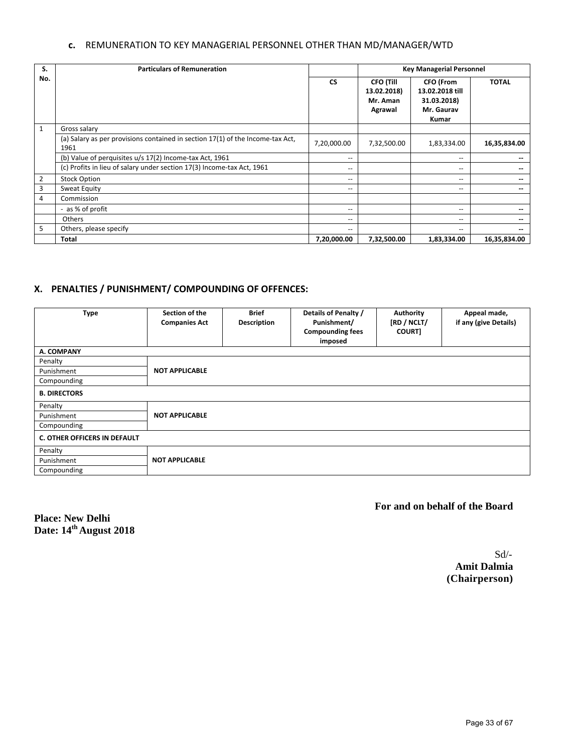# **c.** REMUNERATION TO KEY MANAGERIAL PERSONNEL OTHER THAN MD/MANAGER/WTD

| S.             | <b>Particulars of Remuneration</b>                                                     |                   |                                                        | <b>Key Managerial Personnel</b>                                           |              |
|----------------|----------------------------------------------------------------------------------------|-------------------|--------------------------------------------------------|---------------------------------------------------------------------------|--------------|
| No.            |                                                                                        | <b>CS</b>         | <b>CFO (Till</b><br>13.02.2018)<br>Mr. Aman<br>Agrawal | <b>CFO (From</b><br>13.02.2018 till<br>31.03.2018)<br>Mr. Gaurav<br>Kumar | <b>TOTAL</b> |
| 1              | Gross salary                                                                           |                   |                                                        |                                                                           |              |
|                | (a) Salary as per provisions contained in section 17(1) of the Income-tax Act,<br>1961 | 7,20,000.00       | 7,32,500.00                                            | 1,83,334.00                                                               | 16,35,834.00 |
|                | (b) Value of perquisites u/s 17(2) Income-tax Act, 1961                                | $\qquad \qquad -$ |                                                        | $\hspace{0.05cm} -$                                                       |              |
|                | (c) Profits in lieu of salary under section 17(3) Income-tax Act, 1961                 | $\qquad \qquad -$ |                                                        | --                                                                        |              |
| $\overline{2}$ | <b>Stock Option</b>                                                                    | --                |                                                        | --                                                                        |              |
| 3              | Sweat Equity                                                                           | --                |                                                        | $\overline{\phantom{m}}$                                                  | --           |
| 4              | Commission                                                                             |                   |                                                        |                                                                           |              |
|                | - as % of profit                                                                       | $\qquad \qquad -$ |                                                        | $\overline{\phantom{a}}$                                                  |              |
|                | Others                                                                                 | $\qquad \qquad -$ |                                                        | $\overline{\phantom{m}}$                                                  | --           |
| 5              | Others, please specify                                                                 | $- -$             |                                                        | --                                                                        | --           |
|                | Total                                                                                  | 7,20,000.00       | 7,32,500.00                                            | 1,83,334.00                                                               | 16,35,834.00 |

# **X. PENALTIES / PUNISHMENT/ COMPOUNDING OF OFFENCES:**

| <b>Type</b>                         | Section of the<br><b>Companies Act</b> | <b>Brief</b><br><b>Description</b> | Details of Penalty /<br>Punishment/<br><b>Compounding fees</b><br>imposed | Authority<br>[RD / NCLT/<br><b>COURT]</b> | Appeal made,<br>if any (give Details) |
|-------------------------------------|----------------------------------------|------------------------------------|---------------------------------------------------------------------------|-------------------------------------------|---------------------------------------|
| A. COMPANY                          |                                        |                                    |                                                                           |                                           |                                       |
| Penalty                             |                                        |                                    |                                                                           |                                           |                                       |
| Punishment                          | <b>NOT APPLICABLE</b>                  |                                    |                                                                           |                                           |                                       |
| Compounding                         |                                        |                                    |                                                                           |                                           |                                       |
| <b>B. DIRECTORS</b>                 |                                        |                                    |                                                                           |                                           |                                       |
| Penalty                             |                                        |                                    |                                                                           |                                           |                                       |
| Punishment                          | <b>NOT APPLICABLE</b>                  |                                    |                                                                           |                                           |                                       |
| Compounding                         |                                        |                                    |                                                                           |                                           |                                       |
| <b>C. OTHER OFFICERS IN DEFAULT</b> |                                        |                                    |                                                                           |                                           |                                       |
| Penalty                             |                                        |                                    |                                                                           |                                           |                                       |
| Punishment                          | <b>NOT APPLICABLE</b>                  |                                    |                                                                           |                                           |                                       |
| Compounding                         |                                        |                                    |                                                                           |                                           |                                       |

**For and on behalf of the Board**

**Place: New Delhi Date: 14th August 2018**

> Sd/- **Amit Dalmia (Chairperson)**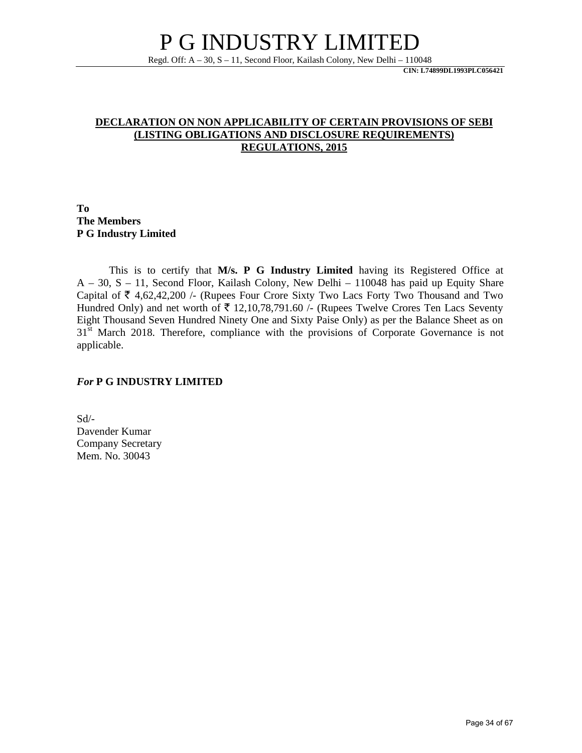# P G INDUSTRY LIMITED

Regd. Off: A – 30, S – 11, Second Floor, Kailash Colony, New Delhi – 110048

**CIN: L74899DL1993PLC056421**

# **DECLARATION ON NON APPLICABILITY OF CERTAIN PROVISIONS OF SEBI (LISTING OBLIGATIONS AND DISCLOSURE REQUIREMENTS) REGULATIONS, 2015**

# **To The Members P G Industry Limited**

 This is to certify that **M/s. P G Industry Limited** having its Registered Office at A – 30, S – 11, Second Floor, Kailash Colony, New Delhi – 110048 has paid up Equity Share Capital of  $\bar{\tau}$  4,62,42,200 /- (Rupees Four Crore Sixty Two Lacs Forty Two Thousand and Two Hundred Only) and net worth of  $\bar{\tau}$  12,10,78,791.60 /- (Rupees Twelve Crores Ten Lacs Seventy Eight Thousand Seven Hundred Ninety One and Sixty Paise Only) as per the Balance Sheet as on 31<sup>st</sup> March 2018. Therefore, compliance with the provisions of Corporate Governance is not applicable.

# *For* **P G INDUSTRY LIMITED**

Sd/- Davender Kumar Company Secretary Mem. No. 30043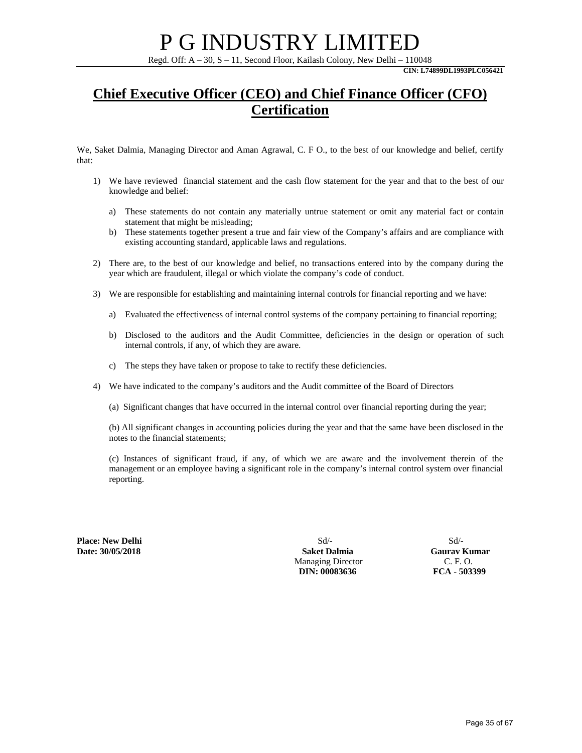# P G INDUSTRY LIMITED

Regd. Off: A – 30, S – 11, Second Floor, Kailash Colony, New Delhi – 110048

**CIN: L74899DL1993PLC056421**

# **Chief Executive Officer (CEO) and Chief Finance Officer (CFO) Certification**

We, Saket Dalmia, Managing Director and Aman Agrawal, C. F O., to the best of our knowledge and belief, certify that:

- 1) We have reviewed financial statement and the cash flow statement for the year and that to the best of our knowledge and belief:
	- a) These statements do not contain any materially untrue statement or omit any material fact or contain statement that might be misleading;
	- b) These statements together present a true and fair view of the Company's affairs and are compliance with existing accounting standard, applicable laws and regulations.
- 2) There are, to the best of our knowledge and belief, no transactions entered into by the company during the year which are fraudulent, illegal or which violate the company's code of conduct.
- 3) We are responsible for establishing and maintaining internal controls for financial reporting and we have:
	- a) Evaluated the effectiveness of internal control systems of the company pertaining to financial reporting;
	- b) Disclosed to the auditors and the Audit Committee, deficiencies in the design or operation of such internal controls, if any, of which they are aware.
	- c) The steps they have taken or propose to take to rectify these deficiencies.
- 4) We have indicated to the company's auditors and the Audit committee of the Board of Directors
	- (a) Significant changes that have occurred in the internal control over financial reporting during the year;

(b) All significant changes in accounting policies during the year and that the same have been disclosed in the notes to the financial statements;

(c) Instances of significant fraud, if any, of which we are aware and the involvement therein of the management or an employee having a significant role in the company's internal control system over financial reporting.

**Place: New Delhi** Sd<sup>1</sup>- Sd<sup>1</sup>- Sd<sup>1</sup>- Sd<sup>1</sup>- Sd<sup>1</sup>- Sd<sup>1</sup>- Sd<sup>1</sup>- Sd<sup>1</sup>- Sd<sup>1</sup>- Sd<sup>1</sup>- Sd<sup>1</sup>- Sd<sup>1</sup>- Sd<sup>1</sup>- Sd<sup>1</sup>- Sd<sup>1</sup>- Sd<sup>1</sup>- Sd<sup>1</sup>- Sd<sup>1</sup>- Sd<sup>1</sup>- Sd<sup>1</sup>- Sd<sup>1</sup>- Sd<sup>1</sup>- Sd<sup>1</sup>- Sd<sup>1</sup>- Sd<sup>1</sup>- Sd<sup>1</sup>- Sd<sup>1</sup>- Sd<sup>1</sup>- Sd<sup>1</sup>- **Date: 30/05/2018 Saket Dalmia Gaurav Kumar**

Managing Director C. F. O.  **DIN: 00083636 FCA - 503399**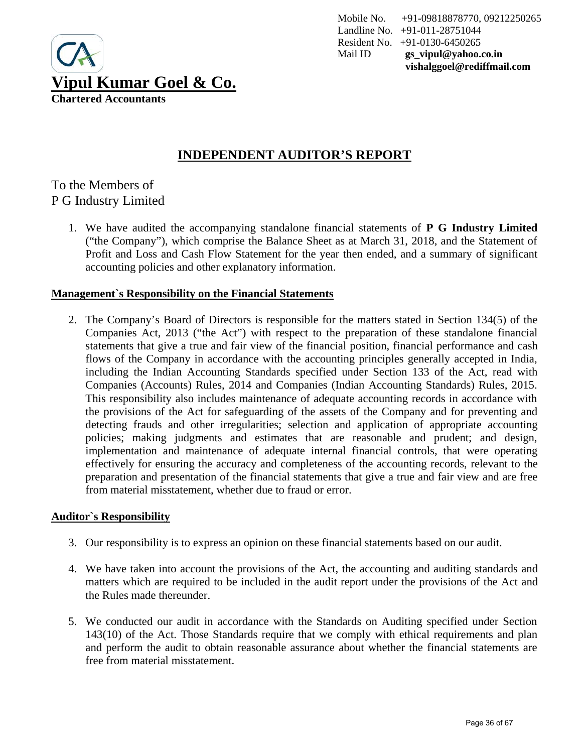

# **INDEPENDENT AUDITOR'S REPORT**

# To the Members of P G Industry Limited

1. We have audited the accompanying standalone financial statements of **P G Industry Limited** ("the Company"), which comprise the Balance Sheet as at March 31, 2018, and the Statement of Profit and Loss and Cash Flow Statement for the year then ended, and a summary of significant accounting policies and other explanatory information.

# **Management`s Responsibility on the Financial Statements**

2. The Company's Board of Directors is responsible for the matters stated in Section 134(5) of the Companies Act, 2013 ("the Act") with respect to the preparation of these standalone financial statements that give a true and fair view of the financial position, financial performance and cash flows of the Company in accordance with the accounting principles generally accepted in India, including the Indian Accounting Standards specified under Section 133 of the Act, read with Companies (Accounts) Rules, 2014 and Companies (Indian Accounting Standards) Rules, 2015. This responsibility also includes maintenance of adequate accounting records in accordance with the provisions of the Act for safeguarding of the assets of the Company and for preventing and detecting frauds and other irregularities; selection and application of appropriate accounting policies; making judgments and estimates that are reasonable and prudent; and design, implementation and maintenance of adequate internal financial controls, that were operating effectively for ensuring the accuracy and completeness of the accounting records, relevant to the preparation and presentation of the financial statements that give a true and fair view and are free from material misstatement, whether due to fraud or error.

# **Auditor`s Responsibility**

- 3. Our responsibility is to express an opinion on these financial statements based on our audit.
- 4. We have taken into account the provisions of the Act, the accounting and auditing standards and matters which are required to be included in the audit report under the provisions of the Act and the Rules made thereunder.
- 5. We conducted our audit in accordance with the Standards on Auditing specified under Section 143(10) of the Act. Those Standards require that we comply with ethical requirements and plan and perform the audit to obtain reasonable assurance about whether the financial statements are free from material misstatement.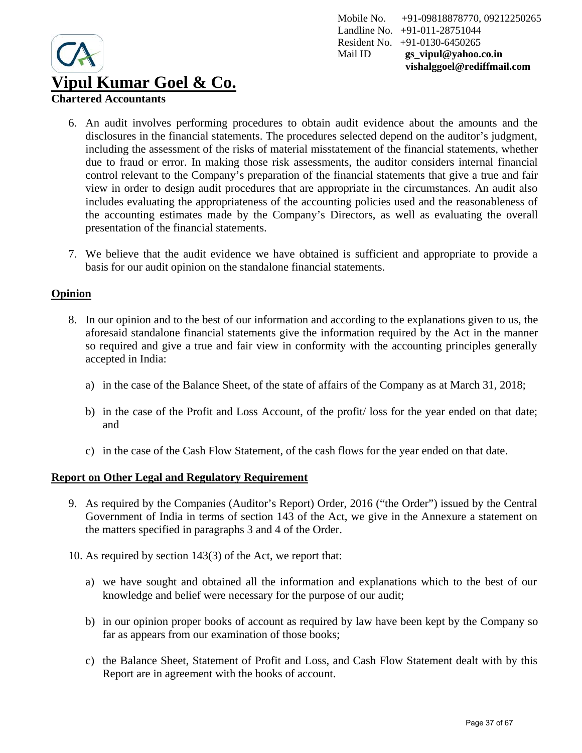

**Chartered Accountants** 

 Mobile No. +91-09818878770, 09212250265 Landline No. +91-011-28751044 Resident No. +91-0130-6450265 Mail ID **gs\_vipul@yahoo.co.in vishalggoel@rediffmail.com**

- 6. An audit involves performing procedures to obtain audit evidence about the amounts and the disclosures in the financial statements. The procedures selected depend on the auditor's judgment, including the assessment of the risks of material misstatement of the financial statements, whether due to fraud or error. In making those risk assessments, the auditor considers internal financial control relevant to the Company's preparation of the financial statements that give a true and fair view in order to design audit procedures that are appropriate in the circumstances. An audit also includes evaluating the appropriateness of the accounting policies used and the reasonableness of the accounting estimates made by the Company's Directors, as well as evaluating the overall presentation of the financial statements.
- 7. We believe that the audit evidence we have obtained is sufficient and appropriate to provide a basis for our audit opinion on the standalone financial statements.

# **Opinion**

- 8. In our opinion and to the best of our information and according to the explanations given to us, the aforesaid standalone financial statements give the information required by the Act in the manner so required and give a true and fair view in conformity with the accounting principles generally accepted in India:
	- a) in the case of the Balance Sheet, of the state of affairs of the Company as at March 31, 2018;
	- b) in the case of the Profit and Loss Account, of the profit/ loss for the year ended on that date; and
	- c) in the case of the Cash Flow Statement, of the cash flows for the year ended on that date.

# **Report on Other Legal and Regulatory Requirement**

- 9. As required by the Companies (Auditor's Report) Order, 2016 ("the Order") issued by the Central Government of India in terms of section 143 of the Act, we give in the Annexure a statement on the matters specified in paragraphs 3 and 4 of the Order.
- 10. As required by section 143(3) of the Act, we report that:
	- a) we have sought and obtained all the information and explanations which to the best of our knowledge and belief were necessary for the purpose of our audit;
	- b) in our opinion proper books of account as required by law have been kept by the Company so far as appears from our examination of those books;
	- c) the Balance Sheet, Statement of Profit and Loss, and Cash Flow Statement dealt with by this Report are in agreement with the books of account.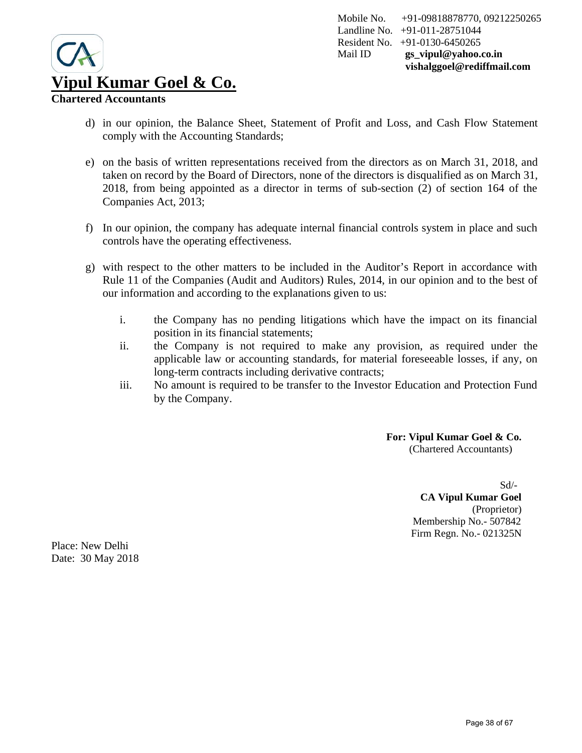

- d) in our opinion, the Balance Sheet, Statement of Profit and Loss, and Cash Flow Statement comply with the Accounting Standards;
- e) on the basis of written representations received from the directors as on March 31, 2018, and taken on record by the Board of Directors, none of the directors is disqualified as on March 31, 2018, from being appointed as a director in terms of sub-section (2) of section 164 of the Companies Act, 2013;
- f) In our opinion, the company has adequate internal financial controls system in place and such controls have the operating effectiveness.
- g) with respect to the other matters to be included in the Auditor's Report in accordance with Rule 11 of the Companies (Audit and Auditors) Rules, 2014, in our opinion and to the best of our information and according to the explanations given to us:
	- i. the Company has no pending litigations which have the impact on its financial position in its financial statements;
	- ii. the Company is not required to make any provision, as required under the applicable law or accounting standards, for material foreseeable losses, if any, on long-term contracts including derivative contracts;
	- iii. No amount is required to be transfer to the Investor Education and Protection Fund by the Company.

**For: Vipul Kumar Goel & Co.**  (Chartered Accountants)

 Sd/- **CA Vipul Kumar Goel**  (Proprietor) Membership No.- 507842 Firm Regn. No.- 021325N

Place: New Delhi Date: 30 May 2018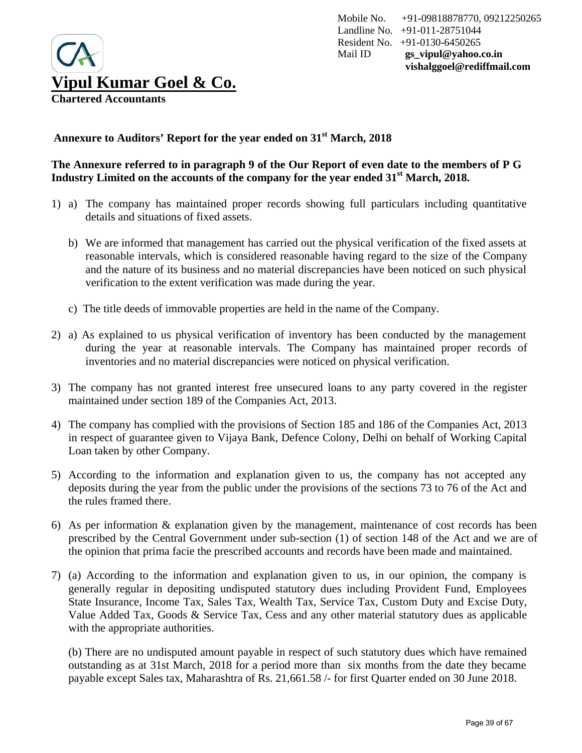

# **Annexure to Auditors' Report for the year ended on 31st March, 2018**

# **The Annexure referred to in paragraph 9 of the Our Report of even date to the members of P G Industry Limited on the accounts of the company for the year ended 31st March, 2018.**

- 1) a) The company has maintained proper records showing full particulars including quantitative details and situations of fixed assets.
	- b) We are informed that management has carried out the physical verification of the fixed assets at reasonable intervals, which is considered reasonable having regard to the size of the Company and the nature of its business and no material discrepancies have been noticed on such physical verification to the extent verification was made during the year.
	- c) The title deeds of immovable properties are held in the name of the Company.
- 2) a) As explained to us physical verification of inventory has been conducted by the management during the year at reasonable intervals. The Company has maintained proper records of inventories and no material discrepancies were noticed on physical verification.
- 3) The company has not granted interest free unsecured loans to any party covered in the register maintained under section 189 of the Companies Act, 2013.
- 4) The company has complied with the provisions of Section 185 and 186 of the Companies Act, 2013 in respect of guarantee given to Vijaya Bank, Defence Colony, Delhi on behalf of Working Capital Loan taken by other Company.
- 5) According to the information and explanation given to us, the company has not accepted any deposits during the year from the public under the provisions of the sections 73 to 76 of the Act and the rules framed there.
- 6) As per information & explanation given by the management, maintenance of cost records has been prescribed by the Central Government under sub-section (1) of section 148 of the Act and we are of the opinion that prima facie the prescribed accounts and records have been made and maintained.
- 7) (a) According to the information and explanation given to us, in our opinion, the company is generally regular in depositing undisputed statutory dues including Provident Fund, Employees State Insurance, Income Tax, Sales Tax, Wealth Tax, Service Tax, Custom Duty and Excise Duty, Value Added Tax, Goods & Service Tax, Cess and any other material statutory dues as applicable with the appropriate authorities.

(b) There are no undisputed amount payable in respect of such statutory dues which have remained outstanding as at 31st March, 2018 for a period more than six months from the date they became payable except Sales tax, Maharashtra of Rs. 21,661.58 /- for first Quarter ended on 30 June 2018.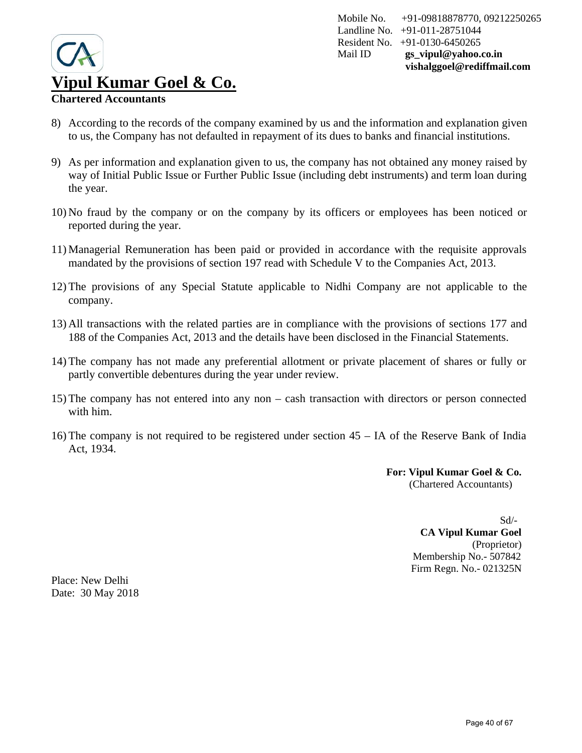

- 8) According to the records of the company examined by us and the information and explanation given to us, the Company has not defaulted in repayment of its dues to banks and financial institutions.
- 9) As per information and explanation given to us, the company has not obtained any money raised by way of Initial Public Issue or Further Public Issue (including debt instruments) and term loan during the year.
- 10) No fraud by the company or on the company by its officers or employees has been noticed or reported during the year.
- 11) Managerial Remuneration has been paid or provided in accordance with the requisite approvals mandated by the provisions of section 197 read with Schedule V to the Companies Act, 2013.
- 12) The provisions of any Special Statute applicable to Nidhi Company are not applicable to the company.
- 13) All transactions with the related parties are in compliance with the provisions of sections 177 and 188 of the Companies Act, 2013 and the details have been disclosed in the Financial Statements.
- 14) The company has not made any preferential allotment or private placement of shares or fully or partly convertible debentures during the year under review.
- 15) The company has not entered into any non cash transaction with directors or person connected with him.
- 16) The company is not required to be registered under section 45 IA of the Reserve Bank of India Act, 1934.

**For: Vipul Kumar Goel & Co.**  (Chartered Accountants)

 Sd/- **CA Vipul Kumar Goel**  (Proprietor) Membership No.- 507842 Firm Regn. No.- 021325N

Place: New Delhi Date: 30 May 2018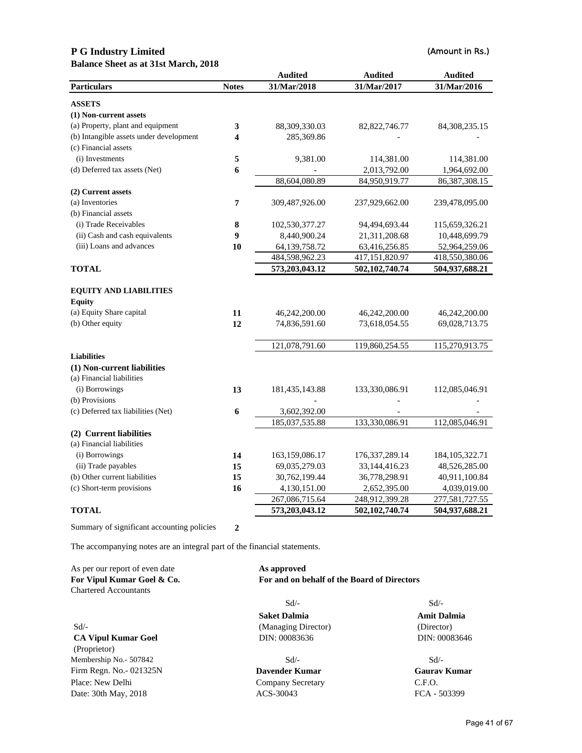# **P G Industry Limited** (Amount in Rs.) **Balance Sheet as at 31st March, 2018**

|                                         |              | <b>Audited</b> | <b>Audited</b>    | <b>Audited</b>    |
|-----------------------------------------|--------------|----------------|-------------------|-------------------|
| <b>Particulars</b>                      | <b>Notes</b> | 31/Mar/2018    | 31/Mar/2017       | 31/Mar/2016       |
| <b>ASSETS</b>                           |              |                |                   |                   |
| (1) Non-current assets                  |              |                |                   |                   |
| (a) Property, plant and equipment       | 3            | 88,309,330.03  | 82, 822, 746. 77  | 84, 308, 235. 15  |
| (b) Intangible assets under development | 4            | 285,369.86     |                   |                   |
| (c) Financial assets                    |              |                |                   |                   |
| (i) Investments                         | 5            | 9,381.00       | 114,381.00        | 114,381.00        |
| (d) Deferred tax assets (Net)           | 6            |                | 2,013,792.00      | 1,964,692.00      |
|                                         |              | 88,604,080.89  | 84,950,919.77     | 86, 387, 308. 15  |
| (2) Current assets                      |              |                |                   |                   |
| (a) Inventories                         | 7            | 309,487,926.00 | 237,929,662.00    | 239,478,095.00    |
| (b) Financial assets                    |              |                |                   |                   |
| (i) Trade Receivables                   | 8            | 102,530,377.27 | 94,494,693.44     | 115,659,326.21    |
| (ii) Cash and cash equivalents          | 9            | 8,440,900.24   | 21,311,208.68     | 10,448,699.79     |
| (iii) Loans and advances                | 10           | 64,139,758.72  | 63,416,256.85     | 52,964,259.06     |
|                                         |              | 484,598,962.23 | 417,151,820.97    | 418,550,380.06    |
| <b>TOTAL</b>                            |              | 573,203,043.12 | 502, 102, 740. 74 | 504,937,688.21    |
|                                         |              |                |                   |                   |
| <b>EQUITY AND LIABILITIES</b>           |              |                |                   |                   |
| <b>Equity</b>                           |              |                |                   |                   |
| (a) Equity Share capital                | 11           | 46,242,200.00  | 46,242,200.00     | 46,242,200.00     |
| (b) Other equity                        | 12           | 74,836,591.60  | 73,618,054.55     | 69,028,713.75     |
|                                         |              | 121,078,791.60 | 119,860,254.55    | 115,270,913.75    |
| <b>Liabilities</b>                      |              |                |                   |                   |
| (1) Non-current liabilities             |              |                |                   |                   |
| (a) Financial liabilities               |              |                |                   |                   |
| (i) Borrowings                          | 13           | 181,435,143.88 | 133,330,086.91    | 112,085,046.91    |
| (b) Provisions                          |              |                |                   |                   |
| (c) Deferred tax liabilities (Net)      | 6            | 3,602,392.00   |                   |                   |
|                                         |              | 185,037,535.88 | 133,330,086.91    | 112,085,046.91    |
| (2) Current liabilities                 |              |                |                   |                   |
| (a) Financial liabilities               |              |                |                   |                   |
| (i) Borrowings                          | 14           | 163,159,086.17 | 176, 337, 289. 14 | 184, 105, 322. 71 |
| (ii) Trade payables                     | 15           | 69,035,279.03  | 33,144,416.23     | 48,526,285.00     |
| (b) Other current liabilities           | 15           | 30,762,199.44  | 36,778,298.91     | 40,911,100.84     |
| (c) Short-term provisions               | 16           | 4,130,151.00   | 2,652,395.00      | 4,039,019.00      |
|                                         |              | 267,086,715.64 | 248,912,399.28    | 277,581,727.55    |
| <b>TOTAL</b>                            |              | 573,203,043.12 | 502,102,740.74    | 504,937,688.21    |

Summary of significant accounting policies **2**

The accompanying notes are an integral part of the financial statements.

| As per our report of even date | As approved                                 |                     |
|--------------------------------|---------------------------------------------|---------------------|
| For Vipul Kumar Goel & Co.     | For and on behalf of the Board of Directors |                     |
| <b>Chartered Accountants</b>   |                                             |                     |
|                                | $Sd$ –                                      | $Sd$ /-             |
|                                | <b>Saket Dalmia</b>                         | <b>Amit Dalmia</b>  |
| Sd                             | (Managing Director)                         | (Director)          |
| <b>CA Vipul Kumar Goel</b>     | DIN: 00083636                               | DIN: 00083646       |
| (Proprietor)                   |                                             |                     |
| Membership No. - 507842        | $Sd/-$                                      | $Sd$ /-             |
| Firm Regn. No. - 021325N       | <b>Davender Kumar</b>                       | <b>Gaurav Kumar</b> |
| Place: New Delhi               | <b>Company Secretary</b>                    | C.F.O.              |
| Date: 30th May, 2018           | ACS-30043                                   | FCA - 503399        |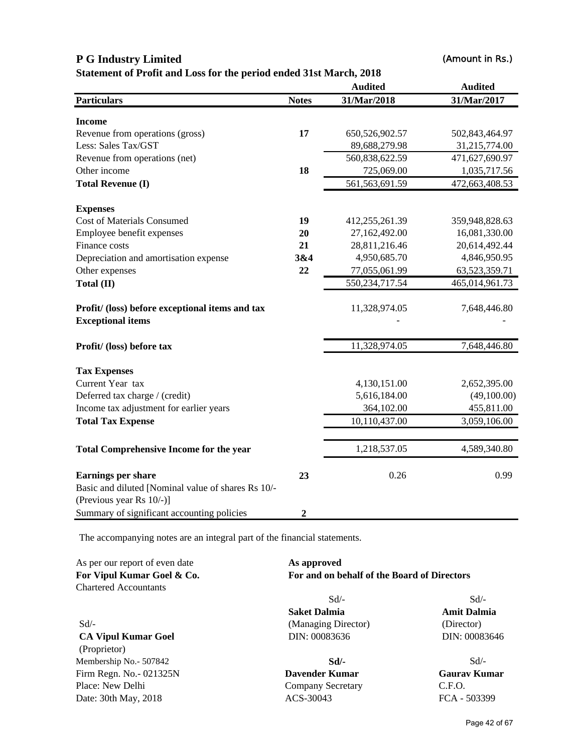| Statement of Profit and Loss for the period ended 31st March, 2018             |              |                   |                |
|--------------------------------------------------------------------------------|--------------|-------------------|----------------|
|                                                                                |              | <b>Audited</b>    | <b>Audited</b> |
| <b>Particulars</b>                                                             | <b>Notes</b> | 31/Mar/2018       | 31/Mar/2017    |
| <b>Income</b>                                                                  |              |                   |                |
| Revenue from operations (gross)                                                | 17           | 650,526,902.57    | 502,843,464.97 |
| Less: Sales Tax/GST                                                            |              | 89,688,279.98     | 31,215,774.00  |
| Revenue from operations (net)                                                  |              | 560,838,622.59    | 471,627,690.97 |
| Other income                                                                   | 18           | 725,069.00        | 1,035,717.56   |
| <b>Total Revenue (I)</b>                                                       |              | 561, 563, 691. 59 | 472,663,408.53 |
| <b>Expenses</b>                                                                |              |                   |                |
| <b>Cost of Materials Consumed</b>                                              | 19           | 412,255,261.39    | 359,948,828.63 |
| Employee benefit expenses                                                      | 20           | 27,162,492.00     | 16,081,330.00  |
| Finance costs                                                                  | 21           | 28,811,216.46     | 20,614,492.44  |
| Depreciation and amortisation expense                                          | 3&4          | 4,950,685.70      | 4,846,950.95   |
| Other expenses                                                                 | 22           | 77,055,061.99     | 63,523,359.71  |
| Total (II)                                                                     |              | 550,234,717.54    | 465,014,961.73 |
| Profit/ (loss) before exceptional items and tax                                |              | 11,328,974.05     | 7,648,446.80   |
| <b>Exceptional items</b>                                                       |              |                   |                |
| Profit/ (loss) before tax                                                      |              | 11,328,974.05     | 7,648,446.80   |
| <b>Tax Expenses</b>                                                            |              |                   |                |
| Current Year tax                                                               |              | 4,130,151.00      | 2,652,395.00   |
| Deferred tax charge / (credit)                                                 |              | 5,616,184.00      | (49,100.00)    |
| Income tax adjustment for earlier years                                        |              | 364,102.00        | 455,811.00     |
| <b>Total Tax Expense</b>                                                       |              | 10,110,437.00     | 3,059,106.00   |
| <b>Total Comprehensive Income for the year</b>                                 |              | 1,218,537.05      | 4,589,340.80   |
| <b>Earnings per share</b>                                                      | 23           | 0.26              | 0.99           |
| Basic and diluted [Nominal value of shares Rs 10/-<br>(Previous year Rs 10/-)] |              |                   |                |
| Summary of significant accounting policies                                     | $\mathbf{2}$ |                   |                |

# **Statement of Profit and Loss for the period ended 31st March, 2018**

The accompanying notes are an integral part of the financial statements.

| As per our report of even date | As approved                                 |                     |
|--------------------------------|---------------------------------------------|---------------------|
| For Vipul Kumar Goel & Co.     | For and on behalf of the Board of Directors |                     |
| <b>Chartered Accountants</b>   |                                             |                     |
|                                | $Sd$ /-                                     | Sd                  |
|                                | <b>Saket Dalmia</b>                         | <b>Amit Dalmia</b>  |
| $Sd$ /-                        | (Managing Director)                         | (Director)          |
| <b>CA Vipul Kumar Goel</b>     | DIN: 00083636                               | DIN: 00083646       |
| (Proprietor)                   |                                             |                     |
| Membership No. - 507842        | $Sd$ .                                      | Sd                  |
| Firm Regn. No. - 021325N       | <b>Davender Kumar</b>                       | <b>Gauray Kumar</b> |
| Place: New Delhi               | Company Secretary                           | C.F.O.              |
| Date: 30th May, 2018           | ACS-30043                                   | FCA - 503399        |
|                                |                                             |                     |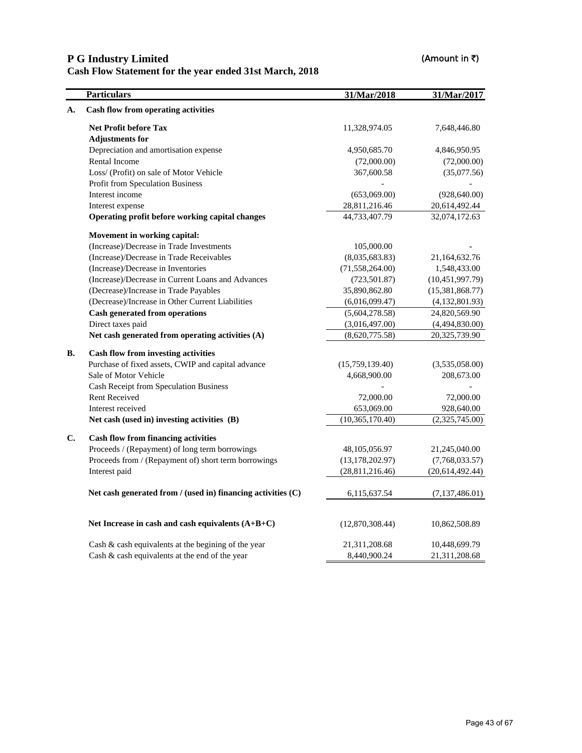**Cash Flow Statement for the year ended 31st March, 2018**

|    | <b>Particulars</b>                                           | 31/Mar/2018       | 31/Mar/2017       |
|----|--------------------------------------------------------------|-------------------|-------------------|
| A. | <b>Cash flow from operating activities</b>                   |                   |                   |
|    | <b>Net Profit before Tax</b>                                 | 11,328,974.05     | 7,648,446.80      |
|    | <b>Adjustments for</b>                                       |                   |                   |
|    | Depreciation and amortisation expense                        | 4,950,685.70      | 4,846,950.95      |
|    | Rental Income                                                | (72,000.00)       | (72,000.00)       |
|    | Loss/ (Profit) on sale of Motor Vehicle                      | 367,600.58        | (35,077.56)       |
|    | Profit from Speculation Business                             |                   |                   |
|    | Interest income                                              | (653,069.00)      | (928, 640.00)     |
|    | Interest expense                                             | 28,811,216.46     | 20,614,492.44     |
|    | Operating profit before working capital changes              | 44,733,407.79     | 32,074,172.63     |
|    | Movement in working capital:                                 |                   |                   |
|    | (Increase)/Decrease in Trade Investments                     | 105,000.00        |                   |
|    | (Increase)/Decrease in Trade Receivables                     | (8,035,683.83)    | 21,164,632.76     |
|    | (Increase)/Decrease in Inventories                           | (71, 558, 264.00) | 1,548,433.00      |
|    | (Increase)/Decrease in Current Loans and Advances            | (723, 501.87)     | (10, 451, 997.79) |
|    | (Decrease)/Increase in Trade Payables                        | 35,890,862.80     | (15,381,868.77)   |
|    | (Decrease)/Increase in Other Current Liabilities             | (6,016,099.47)    | (4, 132, 801.93)  |
|    | <b>Cash generated from operations</b>                        | (5,604,278.58)    | 24,820,569.90     |
|    | Direct taxes paid                                            | (3,016,497.00)    | (4,494,830.00)    |
|    | Net cash generated from operating activities (A)             | (8,620,775.58)    | 20,325,739.90     |
| В. | <b>Cash flow from investing activities</b>                   |                   |                   |
|    | Purchase of fixed assets, CWIP and capital advance           | (15,759,139.40)   | (3,535,058.00)    |
|    | Sale of Motor Vehicle                                        | 4,668,900.00      | 208,673.00        |
|    | Cash Receipt from Speculation Business                       |                   |                   |
|    | <b>Rent Received</b>                                         | 72,000.00         | 72,000.00         |
|    | Interest received                                            | 653,069.00        | 928,640.00        |
|    | Net cash (used in) investing activities (B)                  | (10, 365, 170.40) | (2,325,745.00)    |
| C. | <b>Cash flow from financing activities</b>                   |                   |                   |
|    | Proceeds / (Repayment) of long term borrowings               | 48,105,056.97     | 21,245,040.00     |
|    | Proceeds from / (Repayment of) short term borrowings         | (13, 178, 202.97) | (7,768,033.57)    |
|    | Interest paid                                                | (28,811,216.46)   | (20,614,492.44)   |
|    | Net cash generated from / (used in) financing activities (C) | 6,115,637.54      | (7,137,486.01)    |
|    | Net Increase in cash and cash equivalents $(A+B+C)$          | (12,870,308.44)   | 10,862,508.89     |
|    | Cash & cash equivalents at the begining of the year          | 21, 311, 208. 68  | 10,448,699.79     |
|    | Cash & cash equivalents at the end of the year               | 8,440,900.24      | 21,311,208.68     |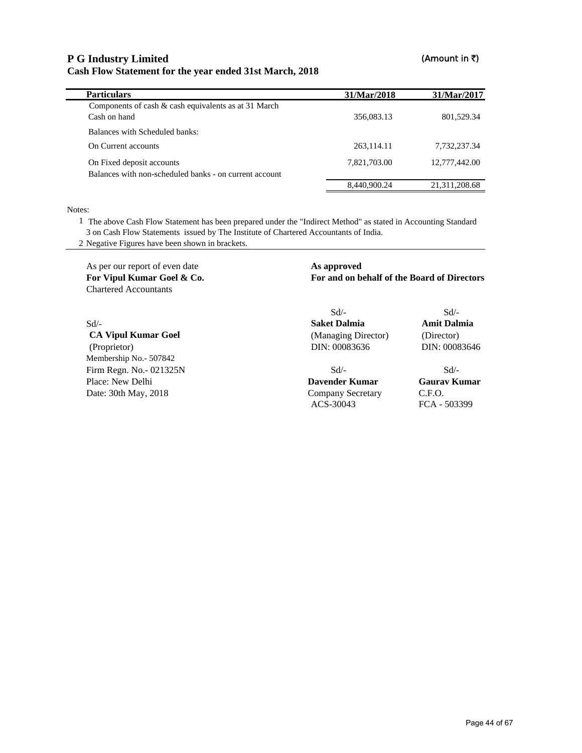# **P G Industry Limited** (Amount in ₹) **Cash Flow Statement for the year ended 31st March, 2018**

| <b>Particulars</b>                                                   | 31/Mar/2018  | 31/Mar/2017   |
|----------------------------------------------------------------------|--------------|---------------|
| Components of cash & cash equivalents as at 31 March<br>Cash on hand | 356,083.13   | 801,529.34    |
| Balances with Scheduled banks:                                       |              |               |
| On Current accounts                                                  | 263,114.11   | 7,732,237.34  |
| On Fixed deposit accounts                                            | 7,821,703.00 | 12,777,442.00 |
| Balances with non-scheduled banks - on current account               |              |               |
|                                                                      | 8.440.900.24 | 21.311.208.68 |

Notes:

1 The above Cash Flow Statement has been prepared under the "Indirect Method" as stated in Accounting Standard 3 on Cash Flow Statements issued by The Institute of Chartered Accountants of India.

2 Negative Figures have been shown in brackets.

As per our report of even date **As approved** Chartered Accountants

# **CA Vipul Kumar Goel** (Managing Director) (Director)

(Proprietor) DIN: 00083636 DIN: 00083646 Membership No.- 507842 Firm Regn. No.- 021325N Sd/- Sd/- Place: New Delhi **Davender Kumar Gaurav Kumar** Date: 30th May, 2018 Company Secretary C.F.O.

# For Vipul Kumar Goel & Co. **For and on behalf of the Board of Directors**

 $Sd$ - $Sd$ -Sd/- **Saket Dalmia Amit Dalmia**

ACS-30043 FCA - 503399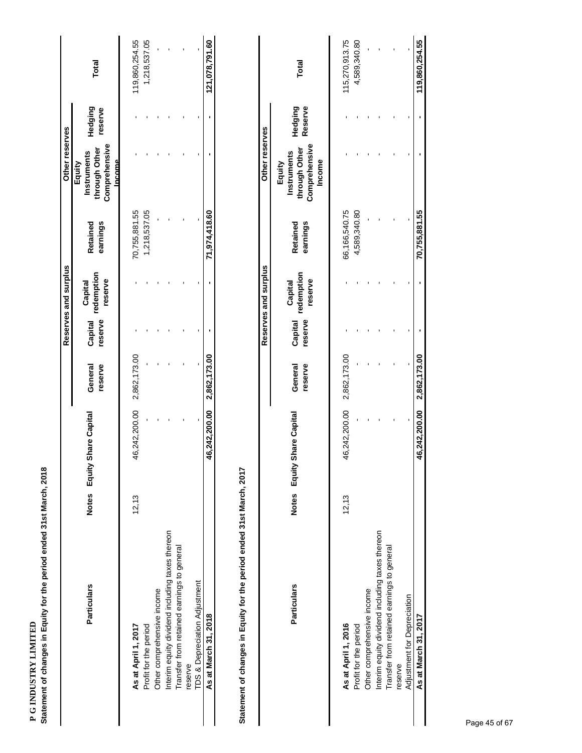|                                                                      |        |                                      |                    |                    | Reserves and surplus             |                      | Other reserves                                                           |                    |                |
|----------------------------------------------------------------------|--------|--------------------------------------|--------------------|--------------------|----------------------------------|----------------------|--------------------------------------------------------------------------|--------------------|----------------|
| <b>Particulars</b>                                                   |        | <b>Share Capital</b><br>Notes Equity | General<br>reserve | reserve<br>Capital | redemption<br>reserve<br>Capital | earnings<br>Retained | Comprehensive<br>through Other<br>Instruments<br><u>Income</u><br>Equity | Hedging<br>reserve | Total          |
| As at April 1, 2017                                                  | 12, 13 | 46,242,200.00                        | 2,862,173.00       |                    |                                  | 70,755,881.55        |                                                                          |                    | 119,860,254.55 |
| Profit for the period                                                |        |                                      |                    |                    |                                  | 1,218,537.05         |                                                                          |                    | 1,218,537.05   |
| Other comprehensive income                                           |        |                                      |                    |                    |                                  |                      |                                                                          |                    |                |
| Interim equity dividend including taxes thereon                      |        |                                      |                    |                    |                                  |                      |                                                                          |                    |                |
| Transfer from retained earnings to general                           |        |                                      |                    |                    |                                  |                      |                                                                          |                    |                |
| reserve                                                              |        |                                      |                    |                    |                                  |                      |                                                                          |                    |                |
| TDS & Depreciation Adjustment                                        |        |                                      |                    |                    |                                  |                      |                                                                          |                    |                |
| As at March 31, 2018                                                 |        | 46,242,200.00                        | 2,862,173.00       |                    |                                  | 71,974,418.60        |                                                                          |                    | 121,078,791.60 |
| Statement of changes in Equity for the period ended 31st March, 2017 |        |                                      |                    |                    |                                  |                      |                                                                          |                    |                |
|                                                                      |        |                                      |                    |                    | Reserves and surplus             |                      | Other reserves                                                           |                    |                |
| <b>Particulars</b>                                                   |        | <b>Share Capital</b><br>Notes Equity | General<br>reserve | reserve<br>Capital | redemption<br>reserve<br>Capital | Retained<br>earnings | Comprehensive<br>through Other<br>Instruments<br>Income<br>Equity        | Hedging<br>Reserve | <b>Total</b>   |
| As at April 1, 2016                                                  | 12,13  | 46,242,200.00                        | 2,862,173.00       |                    |                                  | 66,166,540.75        |                                                                          |                    | 115,270,913.75 |
| Profit for the period                                                |        |                                      |                    |                    |                                  | 4,589,340.80         |                                                                          |                    | 4,589,340.80   |
| Other comprehensive income                                           |        |                                      |                    |                    |                                  |                      |                                                                          |                    |                |
| Interim equity dividend including taxes thereon                      |        |                                      |                    |                    |                                  |                      |                                                                          |                    |                |
| Transfer from retained earnings to general                           |        |                                      |                    |                    |                                  |                      |                                                                          |                    |                |

**P G INDUSTRY LIMITED**

P G INDUSTRY LIMITED

**Statement of changes in Equity for the period ended 31st March, 2018**

Statement of changes in Equity for the period ended 31st March, 2018

- - - - - - - -

70,755,881.55

J,

 $\overline{\phantom{a}}$ 

119,860,254.55

 $\overline{\phantom{a}}$ ı

Adjustment for Depreciation - - - - - - - - **As at March 31, 2017 46,242,200.00 2,862,173.00 - - 70,755,881.55 - - 119,860,254.55** 

2,862,173.00  $\overline{\phantom{a}}$ 

46,242,200.00 j

 $\cdot$ ı

reserve

reserve<br>Adjustment for Depreciation As at March 31, 2017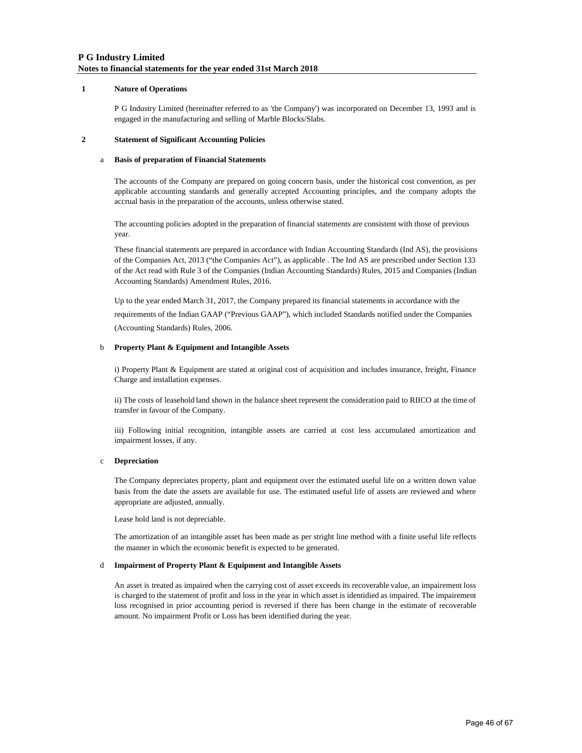#### **1 Nature of Operations**

P G Industry Limited (hereinafter referred to as 'the Company') was incorporated on December 13, 1993 and is engaged in the manufacturing and selling of Marble Blocks/Slabs.

#### **2 Statement of Significant Accounting Policies**

#### a **Basis of preparation of Financial Statements**

The accounts of the Company are prepared on going concern basis, under the historical cost convention, as per applicable accounting standards and generally accepted Accounting principles, and the company adopts the accrual basis in the preparation of the accounts, unless otherwise stated.

The accounting policies adopted in the preparation of financial statements are consistent with those of previous year.

These financial statements are prepared in accordance with Indian Accounting Standards (Ind AS), the provisions of the Companies Act, 2013 ("the Companies Act"), as applicable . The Ind AS are prescribed under Section 133 of the Act read with Rule 3 of the Companies (Indian Accounting Standards) Rules, 2015 and Companies (Indian Accounting Standards) Amendment Rules, 2016.

Up to the year ended March 31, 2017, the Company prepared its financial statements in accordance with the

requirements of the Indian GAAP ("Previous GAAP"), which included Standards notified under the Companies (Accounting Standards) Rules, 2006.

#### b **Property Plant & Equipment and Intangible Assets**

i) Property Plant & Equipment are stated at original cost of acquisition and includes insurance, freight, Finance Charge and installation expenses.

ii) The costs of leasehold land shown in the balance sheet represent the consideration paid to RIICO at the time of transfer in favour of the Company.

iii) Following initial recognition, intangible assets are carried at cost less accumulated amortization and impairment losses, if any.

### c **Depreciation**

The Company depreciates property, plant and equipment over the estimated useful life on a written down value basis from the date the assets are available for use. The estimated useful life of assets are reviewed and where appropriate are adjusted, annually.

Lease hold land is not depreciable.

The amortization of an intangible asset has been made as per stright line method with a finite useful life reflects the manner in which the economic benefit is expected to be generated.

#### d **Impairment of Property Plant & Equipment and Intangible Assets**

An asset is treated as impaired when the carrying cost of asset exceeds its recoverable value, an impairement loss is charged to the statement of profit and loss in the year in which asset is identidied as impaired. The impairement loss recognised in prior accounting period is reversed if there has been change in the estimate of recoverable amount. No impairment Profit or Loss has been identified during the year.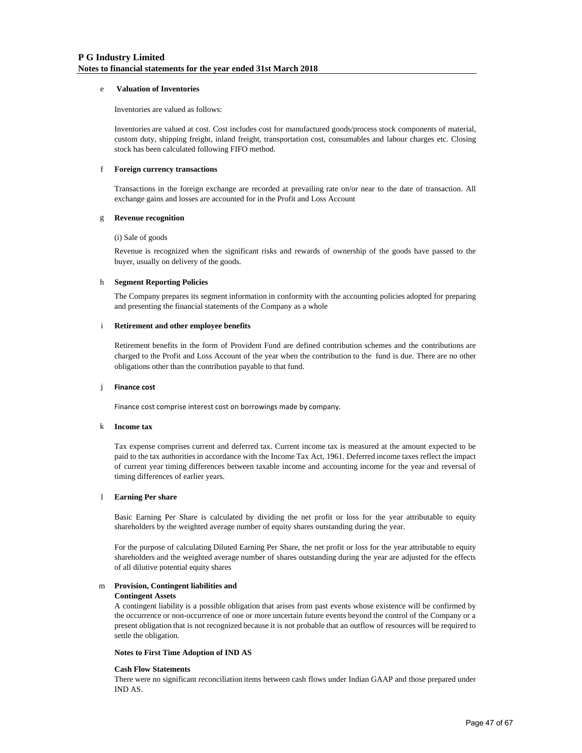#### e  **Valuation of Inventories**

Inventories are valued as follows:

Inventories are valued at cost. Cost includes cost for manufactured goods/process stock components of material, custom duty, shipping freight, inland freight, transportation cost, consumables and labour charges etc. Closing stock has been calculated following FIFO method.

#### f **Foreign currency transactions**

Transactions in the foreign exchange are recorded at prevailing rate on/or near to the date of transaction. All exchange gains and losses are accounted for in the Profit and Loss Account

#### g **Revenue recognition**

(i) Sale of goods

Revenue is recognized when the significant risks and rewards of ownership of the goods have passed to the buyer, usually on delivery of the goods.

#### h **Segment Reporting Policies**

The Company prepares its segment information in conformity with the accounting policies adopted for preparing and presenting the financial statements of the Company as a whole

#### i **Retirement and other employee benefits**

Retirement benefits in the form of Provident Fund are defined contribution schemes and the contributions are charged to the Profit and Loss Account of the year when the contribution to the fund is due. There are no other obligations other than the contribution payable to that fund.

#### j **Finance cost**

Finance cost comprise interest cost on borrowings made by company.

#### k **Income tax**

Tax expense comprises current and deferred tax. Current income tax is measured at the amount expected to be paid to the tax authorities in accordance with the Income Tax Act, 1961. Deferred income taxes reflect the impact of current year timing differences between taxable income and accounting income for the year and reversal of timing differences of earlier years.

#### l **Earning Per share**

Basic Earning Per Share is calculated by dividing the net profit or loss for the year attributable to equity shareholders by the weighted average number of equity shares outstanding during the year.

For the purpose of calculating Diluted Earning Per Share, the net profit or loss for the year attributable to equity shareholders and the weighted average number of shares outstanding during the year are adjusted for the effects of all dilutive potential equity shares

### m **Provision, Contingent liabilities and**

#### **Contingent Assets**

A contingent liability is a possible obligation that arises from past events whose existence will be confirmed by the occurrence or non-occurrence of one or more uncertain future events beyond the control of the Company or a present obligation that is not recognized because it is not probable that an outflow of resources will be required to settle the obligation.

### **Notes to First Time Adoption of IND AS**

#### **Cash Flow Statements**

There were no significant reconciliation items between cash flows under Indian GAAP and those prepared under IND AS.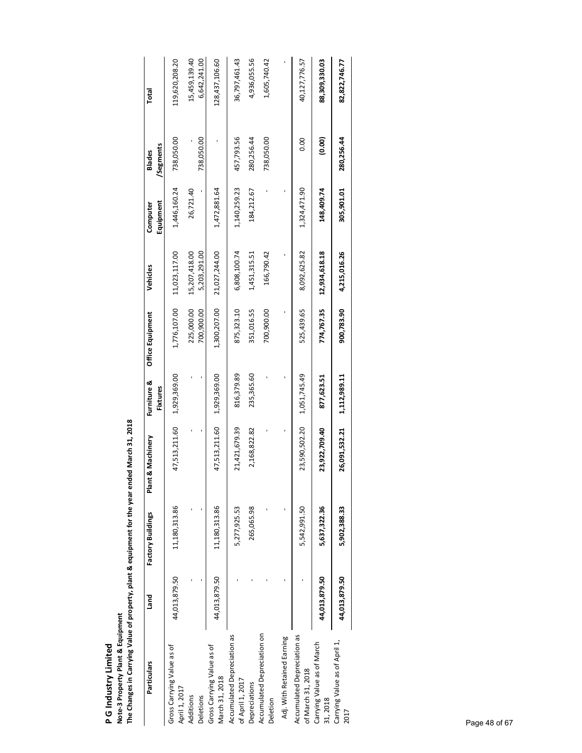| Particulars                                      | Land          | Factory Buildings | Plant & Machinery | Furniture &  | Office Equipment         | Vehicles                      | Computer     | <b>Blades</b> | Total                         |
|--------------------------------------------------|---------------|-------------------|-------------------|--------------|--------------------------|-------------------------------|--------------|---------------|-------------------------------|
|                                                  |               |                   |                   | Fixtures     |                          |                               | Equipment    | /Segments     |                               |
| Gross Carrying Value as of<br>April 1, 2017      | 44,013,879.50 | 11,180,313.86     | 47,513,211.60     | 1,929,369.00 | 1,776,107.00             | 11,023,117.00                 | 1,446,160.24 | 738,050.00    | 119,620,208.20                |
| Additions<br>Deletions                           |               |                   |                   |              | 225,000.00<br>700,900.00 | 15,207,418.00<br>5,203,291.00 | 26,721.40    | 738,050.00    | 15,459,139.40<br>6,642,241.00 |
| Gross Carrying Value as of<br>March 31, 2018     | 44,013,879.50 | 11,180,313.86     | 47,513,211.60     | 1,929,369.00 | 1,300,207.00             | 21,027,244.00                 | 1,472,881.64 |               | 128,437,106.60                |
| Accumulated Depreciation as<br>of April 1, 2017  |               | 5,277,925.53      | 21,421,679.39     | 816,379.89   | 875,323.10               | 6,808,100.74                  | 1,140,259.23 | 457,793.56    | 36,797,461.43                 |
| Depreciations                                    |               | 265,065.98        | 2,168,822.82      | 235,365.60   | 351,016.55               | 1,451,315.51                  | 184,212.67   | 280,256.44    | 4,936,055.56                  |
| Accumulated Depreciation on<br>Deletion          |               |                   |                   |              | 700,900.00               | 166,790.42                    |              | 738,050.00    | 1,605,740.42                  |
| Adj. With Retained Earning                       |               |                   |                   |              |                          |                               |              |               |                               |
| Accumulated Depreciation as<br>of March 31, 2018 |               | 5,542,991.50      | 23,590,502.20     | 1,051,745.49 | 525,439.65               | 8,092,625.82                  | 1,324,471.90 | 0.00          | 40,127,776.57                 |
| Carrying Value as of March<br>31,2018            | 44,013,879.50 | 5,637,322.36      | 23,922,709.40     | 877,623.51   | 774,767.35               | 12,934,618.18                 | 148,409.74   | (0.00)        | 88,309,330.03                 |
| Carrying Value as of April 1,<br>2017            | 44,013,879.50 | 5,902,388.33      | 26,091,532.21     | 1,112,989.11 | 900,783.90               | 4,215,016.26                  | 305,901.01   | 280,256.44    | 82, 822, 746.77               |

rty, plant & equipment for the year ended March 31, 2018 **The Changes in Carrying Value of property, plant & equipment for the year ended March 31, 2018 P G** Industry Limited<br>Note-3 Property Plant & Equipment<br>The Changes in Carrying Value of pro **Note‐3 Property Plant & Equipment G Industry Limited**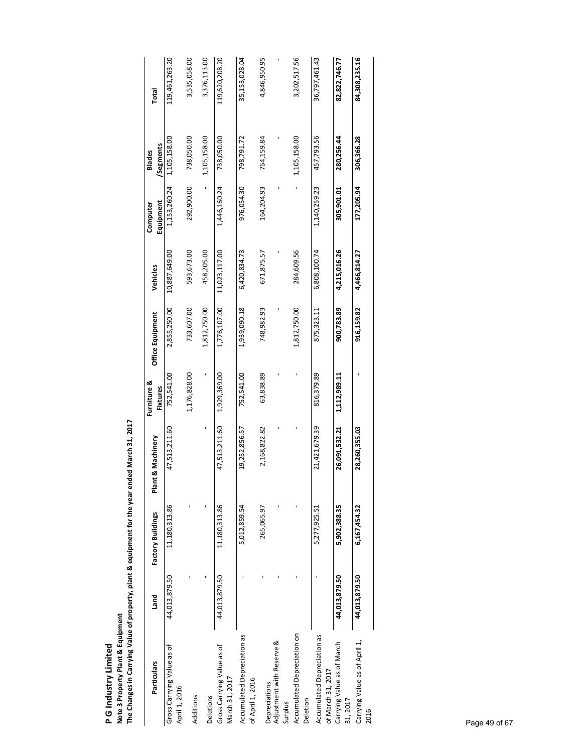| Particulars                                      | Land          | Factory Buildings | Plant & Machinery | Furniture &            | Office Equipment | Vehicles      | Computer                  | Segments<br><b>Blades</b> | Total          |
|--------------------------------------------------|---------------|-------------------|-------------------|------------------------|------------------|---------------|---------------------------|---------------------------|----------------|
| Gross Carrying Value as of                       | 44,013,879.50 | 11,180,313.86     | 47,513,211.60     | 752,541.00<br>Fixtures | 2,855,250.00     | 10,887,649.00 | 1,153,260.24<br>Equipment | 1,105,158.00              | 119,461,263.20 |
| April 1, 2016<br>Additions                       |               |                   |                   | 1,176,828.00           | 733,607.00       | 593,673.00    | 292,900.00                | 738,050.00                | 3,535,058.00   |
| Deletions                                        |               |                   |                   |                        | 1,812,750.00     | 458,205.00    |                           | 1,105,158.00              | 3,376,113.00   |
| Gross Carrying Value as of<br>March 31, 2017     | 44,013,879.50 | 11,180,313.86     | 47,513,211.60     | 1,929,369.00           | 1,776,107.00     | 11,023,117.00 | 1,446,160.24              | 738,050.00                | 119,620,208.20 |
| Accumulated Depreciation as<br>of April 1, 2016  |               | 5,012,859.54      | 19,252,856.57     | 752,541.00             | 1,939,090.18     | 6,420,834.73  | 976,054.30                | 798,791.72                | 35,153,028.04  |
| Adjustment with Reserve &<br>Depreciations       |               | 265,065.97        | 2,168,822.82      | 63,838.89              | 748,982.93       | 671,875.57    | 164,204.93                | 764,159.84                | 4,846,950.95   |
| Surplus                                          |               |                   |                   |                        |                  |               |                           |                           |                |
| Accumulated Depreciation on<br>Deletion          |               |                   |                   |                        | 1,812,750.00     | 284,609.56    |                           | 1,105,158.00              | 3,202,517.56   |
| Accumulated Depreciation as<br>of March 31, 2017 |               | 5,277,925.51      | 21,421,679.39     | 816,379.89             | 875,323.11       | 6,808,100.74  | 1,140,259.23              | 457,793.56                | 36,797,461.43  |
| Carrying Value as of March<br>31, 2017           | 44,013,879.50 | 5,902,388.35      | 26,091,532.21     | 1,112,989.11           | 900,783.89       | 4,215,016.26  | 305,901.01                | 280,256.44                | 82,822,746.77  |
| Carrying Value as of April 1,<br>2016            | 44,013,879.50 | 6,167,454.32      | 28,260,355.03     |                        | 916,159.82       | 4,466,814.27  | 177,205.94                | 306,366.28                | 84,308,235.16  |
|                                                  |               |                   |                   |                        |                  |               |                           |                           |                |

**P** G Industry Limited<br>Note 3 Property Plant & Equipment<br>The Changes in Carrying Value of property, plant & equipment for the year ended March 31, 2017 **G Industry Limited Note 3 Property Plant & Equipment The Changes in Carrying Value of property, plant & equipment for the year ended March 31, 2017**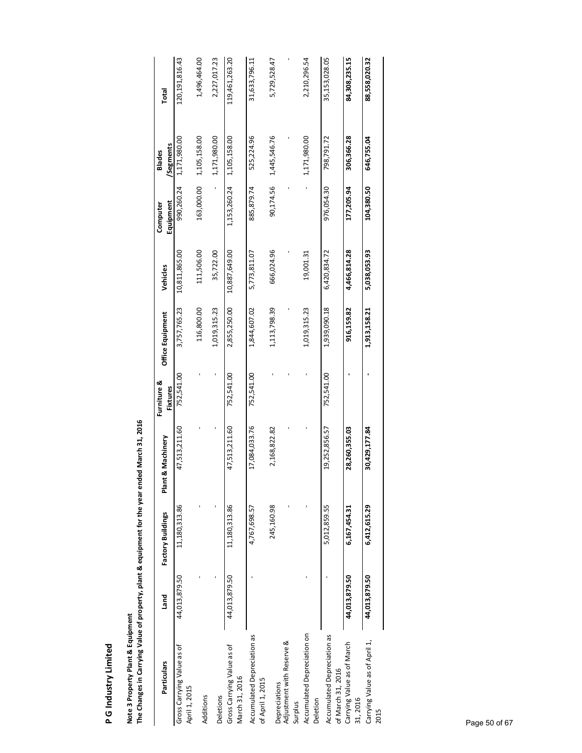**P** G Industry Limited **G Industry Limited**

**Note 3 Property Plant & Equipment**

Note 3 Property Plant & Equipment<br>The Changes in Carrying Value of property, plant & equipment for the year ended March 31, 2016 **The Changes in Carrying Value of property, plant & equipment for the year ended March 31, 2016**

| 44,013,879.50<br>44,013,879.50<br>Accumulated Depreciation as<br>Gross Carrying Value as of<br>Gross Carrying Value as of<br>March 31, 2016<br>of April 1, 2015<br>Depreciations<br>April 1, 2015<br>Additions<br>Deletions | Factory Buildings | & Machinery<br>Plant. | Fixtures   | Office Equipment | Vehicles      | Equipment<br>Computer | /Segments<br><b>Blades</b> | Total          |
|-----------------------------------------------------------------------------------------------------------------------------------------------------------------------------------------------------------------------------|-------------------|-----------------------|------------|------------------|---------------|-----------------------|----------------------------|----------------|
|                                                                                                                                                                                                                             | 11,180,313.86     | 47,513,211.60         | 752,541.00 | 3,757,765.23     | 10,811,865.00 | 990,260.24            | 1,171,980.00               | 120,191,816.43 |
|                                                                                                                                                                                                                             |                   |                       |            | 116,800.00       | 111,506.00    | 163,000.00            | 1,105,158.00               | 1,496,464.00   |
|                                                                                                                                                                                                                             |                   |                       |            | 1,019,315.23     | 35,722.00     |                       | 1,171,980.00               | 2,227,017.23   |
|                                                                                                                                                                                                                             | 11,180,313.86     | 47,513,211.60         | 752,541.00 | 2,855,250.00     | 10,887,649.00 | 1,153,260.24          | 1,105,158.00               | 119,461,263.20 |
|                                                                                                                                                                                                                             | 4,767,698.57      | 17,084,033.76         | 752,541.00 | 1,844,607.02     | 5,773,811.07  | 885,879.74            | 525,224.96                 | 31,633,796.11  |
|                                                                                                                                                                                                                             | 245,160.98        | 2,168,822.82          |            | 1,113,798.39     | 666,024.96    | 90,174.56             | 1,445,546.76               | 5,729,528.47   |
| Adjustment with Reserve &<br>Surplus                                                                                                                                                                                        |                   |                       |            |                  |               |                       |                            |                |
| Accumulated Depreciation on<br>Deletion                                                                                                                                                                                     |                   |                       |            | 1,019,315.23     | 19,001.31     |                       | 1,171,980.00               | 2,210,296.54   |
| Accumulated Depreciation as<br>of March 31, 2016                                                                                                                                                                            | 5,012,859.55      | 19,252,856.57         | 752,541.00 | 1,939,090.18     | 6,420,834.72  | 976,054.30            | 798,791.72                 | 35,153,028.05  |
| 44,013,879.50<br>Carrying Value as of March<br>31,2016                                                                                                                                                                      | 6,167,454.31      | 28,260,355.03         |            | 916,159.82       | 4,466,814.28  | 177,205.94            | 306,366.28                 | 84,308,235.15  |
| 44,013,879.50<br>Carrying Value as of April 1,<br>2015                                                                                                                                                                      | 6,412,615.29      | 30,429,177.84         |            | 1,913,158.21     | 5,038,053.93  | 104,380.50            | 646,755.04                 | 88,558,020.32  |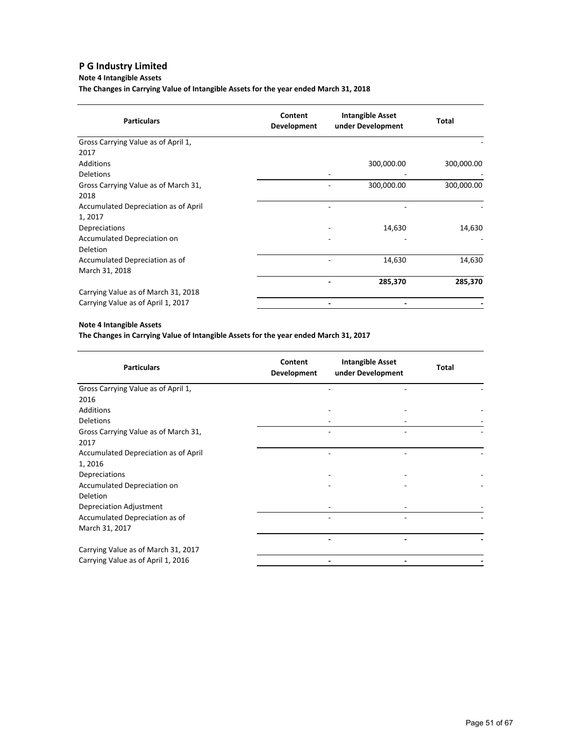# **P G Industry Limited**

## **Note 4 Intangible Assets**

**The Changes in Carrying Value of Intangible Assets for the year ended March 31, 2018**

| <b>Particulars</b>                   | Content<br>Development | <b>Intangible Asset</b><br>under Development | <b>Total</b> |
|--------------------------------------|------------------------|----------------------------------------------|--------------|
| Gross Carrying Value as of April 1,  |                        |                                              |              |
| 2017                                 |                        |                                              |              |
| Additions                            |                        | 300,000.00                                   | 300,000.00   |
| <b>Deletions</b>                     |                        |                                              |              |
| Gross Carrying Value as of March 31, |                        | 300,000.00                                   | 300,000.00   |
| 2018                                 |                        |                                              |              |
| Accumulated Depreciation as of April |                        |                                              |              |
| 1,2017                               |                        |                                              |              |
| Depreciations                        |                        | 14,630                                       | 14,630       |
| Accumulated Depreciation on          |                        |                                              |              |
| Deletion                             |                        |                                              |              |
| Accumulated Depreciation as of       |                        | 14,630                                       | 14,630       |
| March 31, 2018                       |                        |                                              |              |
|                                      |                        | 285,370                                      | 285,370      |
| Carrying Value as of March 31, 2018  |                        |                                              |              |
| Carrying Value as of April 1, 2017   |                        |                                              |              |

## **Note 4 Intangible Assets**

**The Changes in Carrying Value of Intangible Assets for the year ended March 31, 2017**

| <b>Particulars</b>                           | Content<br>Development | <b>Intangible Asset</b><br>under Development | <b>Total</b> |
|----------------------------------------------|------------------------|----------------------------------------------|--------------|
| Gross Carrying Value as of April 1,          |                        |                                              |              |
| 2016                                         |                        |                                              |              |
| Additions                                    |                        |                                              |              |
| <b>Deletions</b>                             |                        |                                              |              |
| Gross Carrying Value as of March 31,<br>2017 |                        |                                              |              |
| Accumulated Depreciation as of April         |                        |                                              |              |
| 1,2016                                       |                        |                                              |              |
| Depreciations                                |                        |                                              |              |
| Accumulated Depreciation on                  |                        |                                              |              |
| Deletion                                     |                        |                                              |              |
| Depreciation Adjustment                      |                        |                                              |              |
| Accumulated Depreciation as of               |                        |                                              |              |
| March 31, 2017                               |                        |                                              |              |
|                                              |                        |                                              |              |
| Carrying Value as of March 31, 2017          |                        |                                              |              |
| Carrying Value as of April 1, 2016           |                        |                                              |              |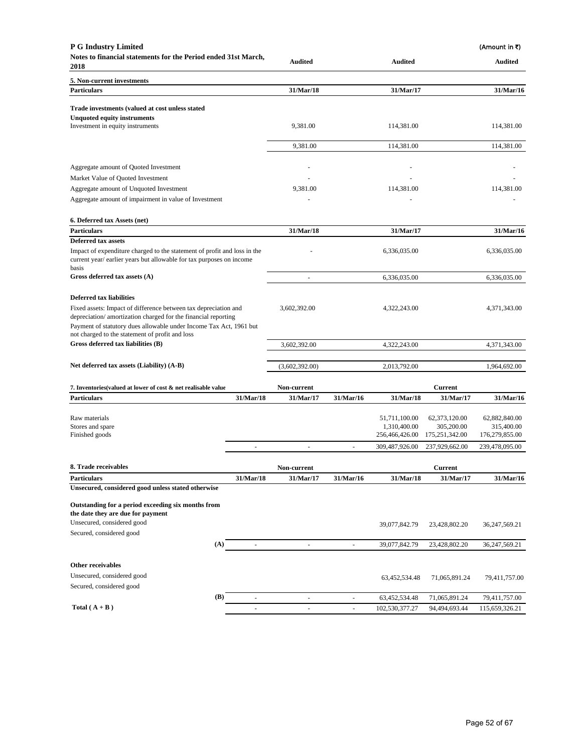| <b>P G Industry Limited</b>                                                                                                                               |                |                          |                          |                               |                             | (Amount in ₹)               |
|-----------------------------------------------------------------------------------------------------------------------------------------------------------|----------------|--------------------------|--------------------------|-------------------------------|-----------------------------|-----------------------------|
| Notes to financial statements for the Period ended 31st March,<br>2018                                                                                    |                | <b>Audited</b>           |                          | <b>Audited</b>                |                             | <b>Audited</b>              |
| 5. Non-current investments                                                                                                                                |                |                          |                          |                               |                             |                             |
| <b>Particulars</b>                                                                                                                                        |                | 31/Mar/18                |                          | 31/Mar/17                     |                             | 31/Mar/16                   |
| Trade investments (valued at cost unless stated                                                                                                           |                |                          |                          |                               |                             |                             |
| <b>Unquoted equity instruments</b><br>Investment in equity instruments                                                                                    |                | 9,381.00                 |                          | 114,381.00                    |                             | 114,381.00                  |
|                                                                                                                                                           |                |                          |                          |                               |                             |                             |
|                                                                                                                                                           |                | 9,381.00                 |                          | 114,381.00                    |                             | 114,381.00                  |
| Aggregate amount of Quoted Investment                                                                                                                     |                |                          |                          |                               |                             |                             |
| Market Value of Quoted Investment                                                                                                                         |                |                          |                          |                               |                             |                             |
| Aggregate amount of Unquoted Investment                                                                                                                   |                | 9,381.00                 |                          | 114,381.00                    |                             | 114,381.00                  |
| Aggregate amount of impairment in value of Investment                                                                                                     |                |                          |                          |                               |                             |                             |
| 6. Deferred tax Assets (net)                                                                                                                              |                |                          |                          |                               |                             |                             |
| <b>Particulars</b>                                                                                                                                        |                | 31/Mar/18                |                          | 31/Mar/17                     |                             | 31/Mar/16                   |
| <b>Deferred tax assets</b>                                                                                                                                |                |                          |                          |                               |                             |                             |
| Impact of expenditure charged to the statement of profit and loss in the<br>current year/ earlier years but allowable for tax purposes on income<br>basis |                |                          |                          | 6,336,035.00                  |                             | 6,336,035.00                |
| Gross deferred tax assets (A)                                                                                                                             |                | $\overline{\phantom{a}}$ |                          | 6,336,035.00                  |                             | 6,336,035.00                |
| <b>Deferred tax liabilities</b>                                                                                                                           |                |                          |                          |                               |                             |                             |
| Fixed assets: Impact of difference between tax depreciation and<br>depreciation/amortization charged for the financial reporting                          |                | 3,602,392.00             |                          | 4,322,243.00                  |                             | 4,371,343.00                |
| Payment of statutory dues allowable under Income Tax Act, 1961 but                                                                                        |                |                          |                          |                               |                             |                             |
| not charged to the statement of profit and loss                                                                                                           |                |                          |                          |                               |                             |                             |
| Gross deferred tax liabilities (B)                                                                                                                        |                | 3,602,392.00             |                          | 4,322,243.00                  |                             | 4,371,343.00                |
| Net deferred tax assets (Liability) (A-B)                                                                                                                 |                | (3,602,392.00)           |                          | 2,013,792.00                  |                             | 1,964,692.00                |
| 7. Inventories (valued at lower of cost & net realisable value                                                                                            |                | Non-current              |                          |                               | <b>Current</b>              |                             |
| <b>Particulars</b>                                                                                                                                        | 31/Mar/18      | 31/Mar/17                | 31/Mar/16                | 31/Mar/18                     | 31/Mar/17                   | 31/Mar/16                   |
|                                                                                                                                                           |                |                          |                          |                               |                             |                             |
| Raw materials<br>Stores and spare                                                                                                                         |                |                          |                          | 51,711,100.00<br>1,310,400.00 | 62,373,120.00<br>305,200.00 | 62,882,840.00<br>315,400.00 |
| Finished goods                                                                                                                                            |                |                          |                          | 256,466,426.00                | 175,251,342.00              | 176,279,855.00              |
|                                                                                                                                                           | $\overline{a}$ | $\sim$                   | $\sim$                   | 309,487,926.00                | 237,929,662.00              | 239,478,095.00              |
| 8. Trade receivables                                                                                                                                      |                | Non-current              |                          |                               | <b>Current</b>              |                             |
| <b>Particulars</b>                                                                                                                                        | 31/Mar/18      | 31/Mar/17                | 31/Mar/16                | 31/Mar/18                     | 31/Mar/17                   | 31/Mar/16                   |
| Unsecured, considered good unless stated otherwise                                                                                                        |                |                          |                          |                               |                             |                             |
| Outstanding for a period exceeding six months from<br>the date they are due for payment                                                                   |                |                          |                          |                               |                             |                             |
| Unsecured, considered good<br>Secured, considered good                                                                                                    |                |                          |                          | 39,077,842.79                 | 23,428,802.20               | 36,247,569.21               |
| (A)                                                                                                                                                       |                | $\overline{\phantom{a}}$ | $\overline{\phantom{a}}$ | 39,077,842.79                 | 23,428,802.20               | 36,247,569.21               |
| <b>Other receivables</b>                                                                                                                                  |                |                          |                          |                               |                             |                             |
| Unsecured, considered good                                                                                                                                |                |                          |                          |                               |                             |                             |
| Secured, considered good                                                                                                                                  |                |                          |                          | 63,452,534.48                 | 71,065,891.24               | 79,411,757.00               |
| (B)                                                                                                                                                       |                | $\overline{\phantom{a}}$ | $\bar{z}$                | 63,452,534.48                 | 71,065,891.24               | 79,411,757.00               |
| Total $(A + B)$                                                                                                                                           | $\sim$         | $\overline{\phantom{a}}$ | $\overline{\phantom{a}}$ | 102,530,377.27                | 94,494,693.44               | 115,659,326.21              |
|                                                                                                                                                           |                |                          |                          |                               |                             |                             |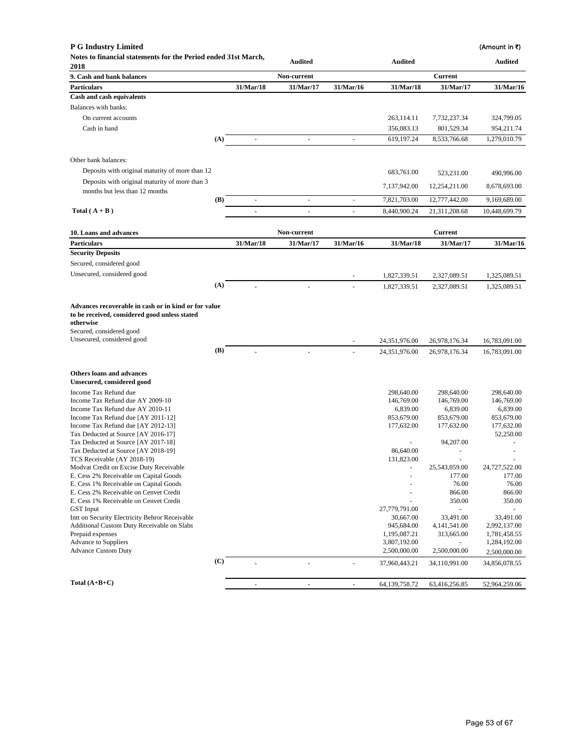| <b>P G Industry Limited</b>                                                       |            |                          |                          |                |                               |                                       | (Amount in ₹)                 |
|-----------------------------------------------------------------------------------|------------|--------------------------|--------------------------|----------------|-------------------------------|---------------------------------------|-------------------------------|
| Notes to financial statements for the Period ended 31st March,<br>2018            |            |                          | <b>Audited</b>           |                | <b>Audited</b>                |                                       | <b>Audited</b>                |
| 9. Cash and bank balances                                                         |            |                          | Non-current              |                |                               | <b>Current</b>                        |                               |
| <b>Particulars</b>                                                                |            | 31/Mar/18                | 31/Mar/17                | 31/Mar/16      | 31/Mar/18                     | 31/Mar/17                             | 31/Mar/16                     |
| <b>Cash and cash equivalents</b>                                                  |            |                          |                          |                |                               |                                       |                               |
| Balances with banks:                                                              |            |                          |                          |                |                               |                                       |                               |
| On current accounts                                                               |            |                          |                          |                | 263,114.11                    | 7,732,237.34                          | 324,799.05                    |
| Cash in hand                                                                      |            |                          |                          |                | 356,083.13                    | 801,529.34                            | 954,211.74                    |
|                                                                                   | (A)        | $\overline{\phantom{a}}$ | $\overline{\phantom{a}}$ | $\blacksquare$ | 619,197.24                    | 8,533,766.68                          | 1,279,010.79                  |
| Other bank balances:                                                              |            |                          |                          |                |                               |                                       |                               |
| Deposits with original maturity of more than 12                                   |            |                          |                          |                | 683,761.00                    | 523,231.00                            | 490,996.00                    |
| Deposits with original maturity of more than 3                                    |            |                          |                          |                | 7,137,942.00                  | 12,254,211.00                         | 8,678,693.00                  |
| months but less than 12 months                                                    | (B)        |                          | $\overline{\phantom{a}}$ |                | 7,821,703.00                  | 12,777,442.00                         | 9,169,689.00                  |
| Total $(A + B)$                                                                   |            | $\sim$                   | $\sim$                   | $\overline{a}$ | 8,440,900.24                  | 21, 311, 208. 68                      | 10,448,699.79                 |
| 10. Loans and advances                                                            |            |                          | Non-current              |                |                               | <b>Current</b>                        |                               |
| <b>Particulars</b>                                                                |            | 31/Mar/18                | 31/Mar/17                | 31/Mar/16      | 31/Mar/18                     | 31/Mar/17                             | 31/Mar/16                     |
| <b>Security Deposits</b>                                                          |            |                          |                          |                |                               |                                       |                               |
| Secured, considered good                                                          |            |                          |                          |                |                               |                                       |                               |
| Unsecured, considered good                                                        |            |                          |                          |                | 1,827,339.51                  | 2,327,089.51                          | 1,325,089.51                  |
|                                                                                   | (A)        |                          |                          |                | 1,827,339.51                  | 2,327,089.51                          | 1,325,089.51                  |
| otherwise<br>Secured, considered good<br>Unsecured, considered good               |            |                          |                          |                | 24,351,976.00                 | 26,978,176.34                         | 16,783,091.00                 |
|                                                                                   | <b>(B)</b> | $\overline{a}$           | $\bar{\phantom{a}}$      | ä,             | 24,351,976.00                 | 26,978,176.34                         | 16,783,091.00                 |
| <b>Others loans and advances</b><br>Unsecured, considered good                    |            |                          |                          |                |                               |                                       |                               |
| Income Tax Refund due                                                             |            |                          |                          |                | 298,640.00                    | 298,640.00                            | 298,640.00                    |
| Income Tax Refund due AY 2009-10<br>Income Tax Refund due AY 2010-11              |            |                          |                          |                | 146,769.00<br>6,839.00        | 146,769.00<br>6,839.00                | 146,769.00<br>6,839.00        |
| Income Tax Refund due [AY 2011-12]                                                |            |                          |                          |                | 853,679.00                    | 853,679.00                            | 853,679.00                    |
| Income Tax Refund due [AY 2012-13]<br>Tax Deducted at Source [AY 2016-17]         |            |                          |                          |                | 177,632.00                    | 177,632.00                            | 177,632.00<br>52,250.00       |
| Tax Deducted at Source [AY 2017-18]                                               |            |                          |                          |                |                               | 94,207.00                             |                               |
| Tax Deducted at Source [AY 2018-19]                                               |            |                          |                          |                | 86,640.00                     |                                       |                               |
| TCS Receivable (AY 2018-19)                                                       |            |                          |                          |                | 131,823.00                    | 25,543,059.00                         |                               |
| Modvat Credit on Excise Duty Receivable<br>E. Cess 2% Receivable on Capital Goods |            |                          |                          |                |                               | 177.00                                | 24,727,522.00<br>177.00       |
| E. Cess 1% Receivable on Capital Goods                                            |            |                          |                          |                |                               | 76.00                                 | 76.00                         |
| E. Cess 2% Receivable on Cenvet Credit                                            |            |                          |                          |                |                               | 866.00                                | 866.00                        |
| E. Cess 1% Receivable on Cenvet Credit                                            |            |                          |                          |                |                               | 350.00                                | 350.00                        |
| <b>GST</b> Input<br>Intt on Security Electricity Behror Receivable                |            |                          |                          |                | 27,779,791.00<br>30,667.00    | $\overline{\phantom{a}}$<br>33,491.00 | 33,491.00                     |
| Additional Custom Duty Receivable on Slabs                                        |            |                          |                          |                | 945,684.00                    | 4, 141, 541.00                        | 2,992,137.00                  |
| Prepaid expenses                                                                  |            |                          |                          |                | 1,195,087.21                  | 313,665.00                            | 1,781,458.55                  |
| Advance to Suppliers                                                              |            |                          |                          |                | 3,807,192.00                  |                                       | 1,284,192.00                  |
| <b>Advance Custom Duty</b>                                                        | (C)        |                          | ÷,                       | $\omega$       | 2,500,000.00<br>37,960,443.21 | 2,500,000.00<br>34,110,991.00         | 2,500,000.00<br>34,856,078.55 |
|                                                                                   |            |                          |                          |                |                               |                                       |                               |
| Total $(A+B+C)$                                                                   |            | $\blacksquare$           | $\blacksquare$           | $\blacksquare$ | 64,139,758.72                 | 63,416,256.85                         | 52,964,259.06                 |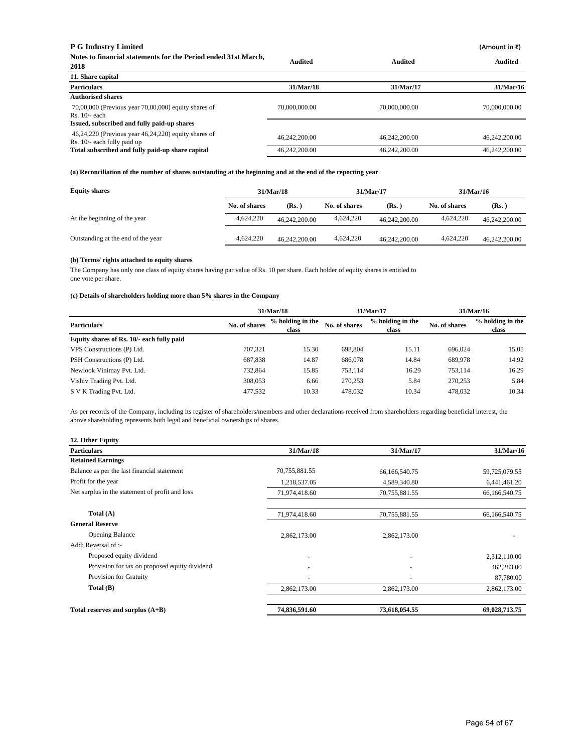| Notes to financial statements for the Period ended 31st March,<br>2018                   | Audited       | Audited       | Audited       |
|------------------------------------------------------------------------------------------|---------------|---------------|---------------|
| 11. Share capital                                                                        |               |               |               |
| <b>Particulars</b>                                                                       | 31/Mar/18     | 31/Mar/17     | 31/Mar/16     |
| <b>Authorised shares</b>                                                                 |               |               |               |
| $70,00,000$ (Previous year $70,00,000$ ) equity shares of<br>$Rs. 10/- each$             | 70,000,000,00 | 70,000,000,00 | 70,000,000.00 |
| Issued, subscribed and fully paid-up shares                                              |               |               |               |
| $46,24,220$ (Previous year $46,24,220$ ) equity shares of<br>Rs. 10/- each fully paid up | 46.242.200.00 | 46.242.200.00 | 46.242.200.00 |
| Total subscribed and fully paid-up share capital                                         | 46.242.200.00 | 46,242,200.00 | 46,242,200,00 |

**(a) Reconciliation of the number of shares outstanding at the beginning and at the end of the reporting year**

| <b>Equity shares</b>               |               | 31/Mar/18     |               | 31/Mar/17     | 31/Mar/16     |               |
|------------------------------------|---------------|---------------|---------------|---------------|---------------|---------------|
|                                    | No. of shares | (Rs.)         | No. of shares | (Rs. )        | No. of shares | (Rs.          |
| At the beginning of the year       | 4,624,220     | 46.242.200.00 | 4.624.220     | 46.242.200.00 | 4,624,220     | 46,242,200.00 |
| Outstanding at the end of the year | 4,624,220     | 46.242.200.00 | 4,624,220     | 46.242.200.00 | 4,624,220     | 46,242,200.00 |

#### **(b) Terms/ rights attached to equity shares**

The Company has only one class of equity shares having par value of Rs. 10 per share. Each holder of equity shares is entitled to one vote per share.

#### **(c) Details of shareholders holding more than 5% shares in the Company**

|                                           |               | 31/Mar/18                 |               | 31/Mar/17                 |               | 31/Mar/16                 |
|-------------------------------------------|---------------|---------------------------|---------------|---------------------------|---------------|---------------------------|
| <b>Particulars</b>                        | No. of shares | % holding in the<br>class | No. of shares | % holding in the<br>class | No. of shares | % holding in the<br>class |
| Equity shares of Rs. 10/- each fully paid |               |                           |               |                           |               |                           |
| VPS Constructions (P) Ltd.                | 707,321       | 15.30                     | 698,804       | 15.11                     | 696,024       | 15.05                     |
| PSH Constructions (P) Ltd.                | 687,838       | 14.87                     | 686,078       | 14.84                     | 689,978       | 14.92                     |
| Newlook Vinimay Pvt. Ltd.                 | 732.864       | 15.85                     | 753.114       | 16.29                     | 753.114       | 16.29                     |
| Vishiv Trading Pvt. Ltd.                  | 308,053       | 6.66                      | 270,253       | 5.84                      | 270,253       | 5.84                      |
| S V K Trading Pvt. Ltd.                   | 477,532       | 10.33                     | 478,032       | 10.34                     | 478.032       | 10.34                     |

As per records of the Company, including its register of shareholders/members and other declarations received from shareholders regarding beneficial interest, the above shareholding represents both legal and beneficial ownerships of shares.

| 12. Other Equity                                |               |                          |               |
|-------------------------------------------------|---------------|--------------------------|---------------|
| <b>Particulars</b>                              | 31/Mar/18     | 31/Mar/17                | 31/Mar/16     |
| <b>Retained Earnings</b>                        |               |                          |               |
| Balance as per the last financial statement     | 70,755,881.55 | 66,166,540.75            | 59,725,079.55 |
| Profit for the year                             | 1,218,537.05  | 4,589,340.80             | 6,441,461.20  |
| Net surplus in the statement of profit and loss | 71,974,418.60 | 70,755,881.55            | 66,166,540.75 |
| Total $(A)$                                     | 71,974,418.60 | 70,755,881.55            | 66,166,540.75 |
| <b>General Reserve</b>                          |               |                          |               |
| <b>Opening Balance</b>                          | 2,862,173.00  | 2,862,173.00             |               |
| Add: Reversal of :-                             |               |                          |               |
| Proposed equity dividend                        | ٠             | $\overline{\phantom{a}}$ | 2,312,110.00  |
| Provision for tax on proposed equity dividend   | ٠             | $\overline{\phantom{a}}$ | 462,283.00    |
| Provision for Gratuity                          | ۰             | $\overline{\phantom{a}}$ | 87,780.00     |
| Total (B)                                       | 2,862,173.00  | 2,862,173.00             | 2,862,173.00  |
| Total reserves and surplus $(A+B)$              | 74,836,591.60 | 73,618,054.55            | 69,028,713.75 |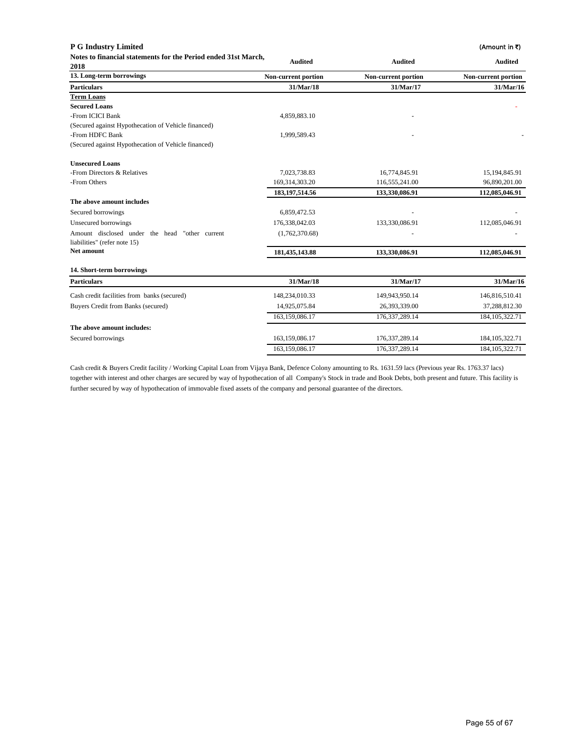# **P G Industry Limited** (Amount in ₹) Notes to financial statements for the Period ended 31st March, **Audited Audited Audited Audited Audited Audited Audited Audited Audited Audited Audited Audited Audited Audited Audited Audited 2018 13. Long-term borrowings Non-current portion Non-current portion Non-current portion Particulars 31/Mar/18 31/Mar/17 31/Mar/16 Term Loans Secured Loans** - -From ICICI Bank 4,859,883.10 (Secured against Hypothecation of Vehicle financed) -From HDFC Bank 1,999,589.43 (Secured against Hypothecation of Vehicle financed) **Unsecured Loans** -From Directors & Relatives 2,023,738.83 16,774,845.91 15,194,845.91 15,194,845.91 -From Others 169,314,303.20 116,555,241.00 96,890,201.00 **183,197,514.56 133,330,086.91 112,085,046.91 The above amount includes** Secured borrowings 6,859,472.53 Unsecured borrowings 176,338,042.03 133,330,086.91 112,085,046.91 Amount disclosed under the head "other current liabilities" (refer note 15)  $(1,762,370.68)$ **Net amount 181,435,143.88 133,330,086.91 112,085,046.91 14. Short-term borrowings**

| <b>Particulars</b>                          | 31/Mar/18      | 31/Mar/17         | 31/Mar/16         |
|---------------------------------------------|----------------|-------------------|-------------------|
| Cash credit facilities from banks (secured) | 148,234,010.33 | 149,943,950.14    | 146,816,510.41    |
| Buyers Credit from Banks (secured)          | 14.925.075.84  | 26,393,339.00     | 37,288,812.30     |
|                                             | 163.159.086.17 | 176, 337, 289. 14 | 184, 105, 322, 71 |
| The above amount includes:                  |                |                   |                   |
| Secured borrowings                          | 163.159.086.17 | 176.337.289.14    | 184, 105, 322, 71 |
|                                             | 163.159.086.17 | 176.337.289.14    | 184.105.322.71    |

Cash credit & Buyers Credit facility / Working Capital Loan from Vijaya Bank, Defence Colony amounting to Rs. 1631.59 lacs (Previous year Rs. 1763.37 lacs) together with interest and other charges are secured by way of hypothecation of all Company's Stock in trade and Book Debts, both present and future. This facility is further secured by way of hypothecation of immovable fixed assets of the company and personal guarantee of the directors.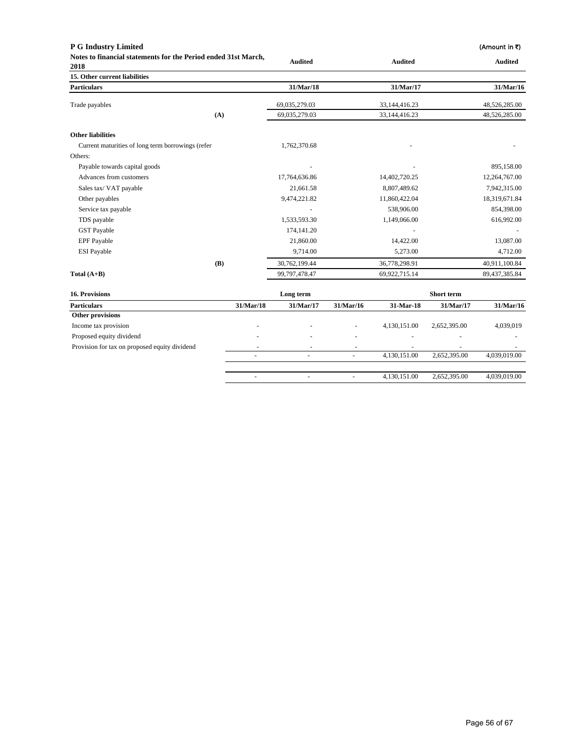| Notes to financial statements for the Period ended 31st March,<br>2018 | <b>Audited</b> | <b>Audited</b>   |               |
|------------------------------------------------------------------------|----------------|------------------|---------------|
| 15. Other current liabilities                                          |                |                  |               |
| <b>Particulars</b>                                                     | 31/Mar/18      | 31/Mar/17        | 31/Mar/16     |
| Trade payables                                                         | 69,035,279.03  | 33, 144, 416. 23 | 48,526,285.00 |
| (A)                                                                    | 69,035,279.03  | 33,144,416.23    | 48,526,285.00 |
| <b>Other liabilities</b>                                               |                |                  |               |
| Current maturities of long term borrowings (refer                      | 1,762,370.68   |                  |               |
| Others:                                                                |                |                  |               |
| Payable towards capital goods                                          |                |                  | 895,158.00    |
| Advances from customers                                                | 17,764,636.86  | 14,402,720.25    | 12,264,767.00 |
| Sales tax/ VAT payable                                                 | 21,661.58      | 8,807,489.62     | 7,942,315.00  |
| Other payables                                                         | 9,474,221.82   | 11,860,422.04    | 18,319,671.84 |
| Service tax payable                                                    |                | 538,906.00       | 854,398.00    |
| TDS payable                                                            | 1,533,593.30   | 1,149,066.00     | 616,992.00    |
| <b>GST</b> Payable                                                     | 174,141.20     |                  |               |
| <b>EPF</b> Payable                                                     | 21,860.00      | 14,422.00        | 13,087.00     |
| <b>ESI</b> Payable                                                     | 9,714.00       | 5,273.00         | 4,712.00      |
| <b>(B)</b>                                                             | 30,762,199.44  | 36,778,298.91    | 40,911,100.84 |
| Total $(A+B)$                                                          | 99,797,478.47  | 69,922,715.14    | 89,437,385.84 |
| 16 Provisions                                                          | Long term      | Short term       |               |

| 16. Provisions                                | Long term                |                          |                          | <b>Short term</b>        |                          |              |
|-----------------------------------------------|--------------------------|--------------------------|--------------------------|--------------------------|--------------------------|--------------|
| <b>Particulars</b>                            | 31/Mar/18                | 31/Mar/17                | 31/Mar/16                | 31-Mar-18                | 31/Mar/17                | 31/Mar/16    |
| Other provisions                              |                          |                          |                          |                          |                          |              |
| Income tax provision                          | -                        | $\overline{\phantom{a}}$ |                          | 4,130,151.00             | 2,652,395.00             | 4,039,019    |
| Proposed equity dividend                      | -                        | <u>. .</u>               |                          | $\overline{\phantom{a}}$ | -                        |              |
| Provision for tax on proposed equity dividend | -                        | <b>-</b>                 | $\overline{\phantom{a}}$ | -                        | $\overline{\phantom{a}}$ | -            |
|                                               | $\overline{\phantom{a}}$ | $\overline{\phantom{0}}$ | $\overline{\phantom{a}}$ | 4.130.151.00             | 2.652.395.00             | 4.039.019.00 |
|                                               |                          |                          |                          |                          |                          |              |
|                                               | $\overline{\phantom{a}}$ | $\overline{\phantom{a}}$ |                          | 4,130,151.00             | 2,652,395.00             | 4.039.019.00 |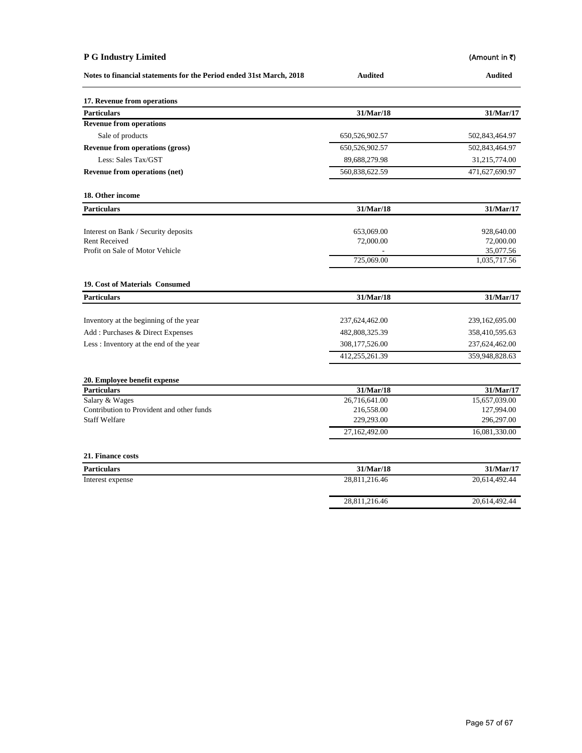| Notes to financial statements for the Period ended 31st March, 2018                             | <b>Audited</b>          | <b>Audited</b>                       |
|-------------------------------------------------------------------------------------------------|-------------------------|--------------------------------------|
| 17. Revenue from operations                                                                     |                         |                                      |
| <b>Particulars</b>                                                                              | 31/Mar/18               | 31/Mar/17                            |
| <b>Revenue from operations</b>                                                                  |                         |                                      |
| Sale of products                                                                                | 650,526,902.57          | 502,843,464.97                       |
| Revenue from operations (gross)                                                                 | 650,526,902.57          | 502,843,464.97                       |
| Less: Sales Tax/GST                                                                             | 89,688,279.98           | 31,215,774.00                        |
| Revenue from operations (net)                                                                   | 560,838,622.59          | 471,627,690.97                       |
| 18. Other income                                                                                |                         |                                      |
| <b>Particulars</b>                                                                              | 31/Mar/18               | 31/Mar/17                            |
| Interest on Bank / Security deposits<br><b>Rent Received</b><br>Profit on Sale of Motor Vehicle | 653,069.00<br>72,000.00 | 928,640.00<br>72,000.00<br>35,077.56 |
|                                                                                                 | 725,069.00              | 1,035,717.56                         |
| 19. Cost of Materials Consumed                                                                  |                         |                                      |
| <b>Particulars</b>                                                                              | 31/Mar/18               | 31/Mar/17                            |
| Inventory at the beginning of the year                                                          | 237,624,462.00          | 239,162,695.00                       |
| Add: Purchases & Direct Expenses                                                                | 482,808,325.39          | 358,410,595.63                       |
| Less: Inventory at the end of the year                                                          | 308,177,526.00          | 237,624,462.00                       |
|                                                                                                 | 412,255,261.39          | 359,948,828.63                       |
| 20. Employee benefit expense                                                                    |                         |                                      |
| <b>Particulars</b>                                                                              | 31/Mar/18               | 31/Mar/17                            |
| Salary & Wages                                                                                  | 26,716,641.00           | 15,657,039.00                        |
| Contribution to Provident and other funds                                                       | 216,558.00              | 127,994.00                           |
| <b>Staff Welfare</b>                                                                            | 229,293.00              | 296,297.00                           |
|                                                                                                 | 27,162,492.00           | 16,081,330.00                        |
| 21. Finance costs                                                                               |                         |                                      |
| <b>Particulars</b>                                                                              | 31/Mar/18               | 31/Mar/17<br>20,614,492.44           |
| Interest expense                                                                                | 28,811,216.46           |                                      |
|                                                                                                 | 28,811,216.46           | 20,614,492.44                        |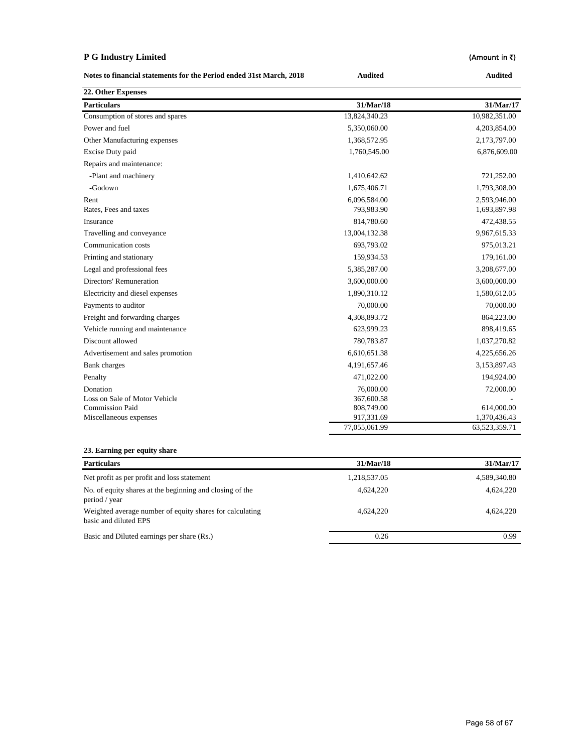| Notes to financial statements for the Period ended 31st March, 2018 | Audited | Audited |
|---------------------------------------------------------------------|---------|---------|
|---------------------------------------------------------------------|---------|---------|

| <b>Particulars</b>                | 31/Mar/18     | 31/Mar/17     |
|-----------------------------------|---------------|---------------|
| Consumption of stores and spares  | 13,824,340.23 | 10,982,351.00 |
| Power and fuel                    | 5,350,060.00  | 4,203,854.00  |
| Other Manufacturing expenses      | 1,368,572.95  | 2,173,797.00  |
| Excise Duty paid                  | 1,760,545.00  | 6,876,609.00  |
| Repairs and maintenance:          |               |               |
| -Plant and machinery              | 1,410,642.62  | 721,252.00    |
| -Godown                           | 1,675,406.71  | 1,793,308.00  |
| Rent                              | 6,096,584.00  | 2,593,946.00  |
| Rates, Fees and taxes             | 793,983.90    | 1,693,897.98  |
| Insurance                         | 814,780.60    | 472,438.55    |
| Travelling and conveyance         | 13,004,132.38 | 9,967,615.33  |
| Communication costs               | 693,793.02    | 975,013.21    |
| Printing and stationary           | 159,934.53    | 179,161.00    |
| Legal and professional fees       | 5,385,287.00  | 3,208,677.00  |
| Directors' Remuneration           | 3,600,000.00  | 3,600,000.00  |
| Electricity and diesel expenses   | 1,890,310.12  | 1,580,612.05  |
| Payments to auditor               | 70,000.00     | 70,000.00     |
| Freight and forwarding charges    | 4,308,893.72  | 864,223.00    |
| Vehicle running and maintenance   | 623,999.23    | 898,419.65    |
| Discount allowed                  | 780,783.87    | 1,037,270.82  |
| Advertisement and sales promotion | 6,610,651.38  | 4,225,656.26  |
| Bank charges                      | 4,191,657.46  | 3,153,897.43  |
| Penalty                           | 471,022.00    | 194,924.00    |
| Donation                          | 76,000.00     | 72,000.00     |
| Loss on Sale of Motor Vehicle     | 367,600.58    |               |
| <b>Commission Paid</b>            | 808,749.00    | 614,000.00    |
| Miscellaneous expenses            | 917,331.69    | 1,370,436.43  |
|                                   | 77,055,061.99 | 63,523,359.71 |

## **23. Earning per equity share**

| <b>Particulars</b>                                                                | 31/Mar/18    | 31/Mar/17    |
|-----------------------------------------------------------------------------------|--------------|--------------|
| Net profit as per profit and loss statement                                       | 1,218,537.05 | 4,589,340.80 |
| No. of equity shares at the beginning and closing of the<br>period / year         | 4.624.220    | 4,624,220    |
| Weighted average number of equity shares for calculating<br>basic and diluted EPS | 4.624.220    | 4.624.220    |
| Basic and Diluted earnings per share (Rs.)                                        | 0.26         | 0.99         |
|                                                                                   |              |              |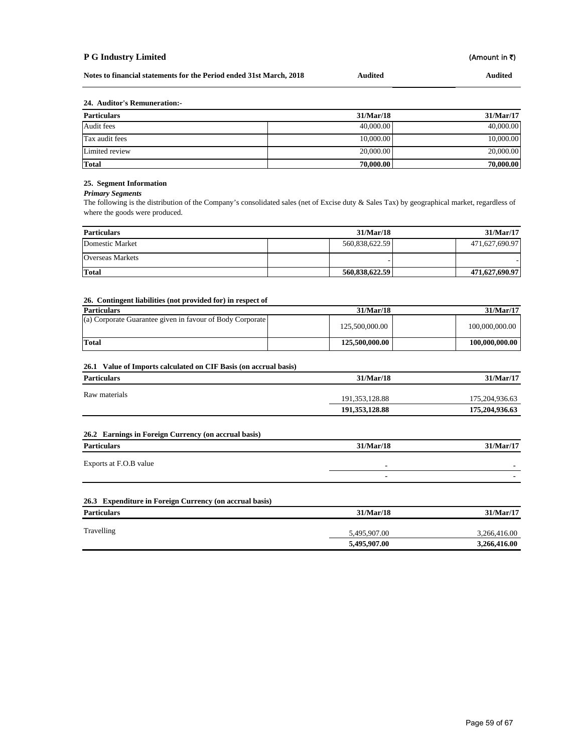Notes to financial statements for the Period ended 31st March, 2018 **Audited Audited Audited** 

#### **24. Auditor's Remuneration:-**

| <b>Particulars</b> | 31/Mar/18 | 31/Mar/17 |
|--------------------|-----------|-----------|
| Audit fees         | 40,000.00 | 40,000.00 |
| Tax audit fees     | 10,000.00 | 10,000.00 |
| Limited review     | 20,000.00 | 20,000.00 |
| <b>Total</b>       | 70,000.00 | 70,000.00 |

## **25. Segment Information**

## *Primary Segments*

The following is the distribution of the Company's consolidated sales (net of Excise duty & Sales Tax) by geographical market, regardless of where the goods were produced.

| <b>Particulars</b>      | 31/Mar/18      | 31/Mar/17      |
|-------------------------|----------------|----------------|
| Domestic Market         | 560,838,622.59 | 471,627,690.97 |
| <b>Overseas Markets</b> |                |                |
| Total                   | 560,838,622.59 | 471,627,690.97 |

#### **26. Contingent liabilities (not provided for) in respect of**

| <b>Particulars</b>                                        | 31/Mar/18      | 31/Mar/17      |
|-----------------------------------------------------------|----------------|----------------|
| (a) Corporate Guarantee given in favour of Body Corporate | 125,500,000.00 | 100,000,000.00 |
| Total                                                     | 125,500,000.00 | 100,000,000.00 |

## **26.1 Value of Imports calculated on CIF Basis (on accrual basis)**

| <b>Particulars</b> | 31/Mar/18        | 31/Mar/17      |
|--------------------|------------------|----------------|
| Raw materials      | 191.353.128.88   | 175,204,936.63 |
|                    | 191, 353, 128.88 | 175,204,936.63 |

## **26.2 Earnings in Foreign Currency (on accrual basis)**

| <b>Particulars</b>     | 31/Mar/18 | 31/Mar/17 |
|------------------------|-----------|-----------|
| Exports at F.O.B value |           |           |
|                        |           |           |
|                        |           |           |

# **26.3 Expenditure in Foreign Currency (on accrual basis) Particulars 31/Mar/18 31/Mar/17** Travelling 3,266,416.00 3,266,416.00 3,266,416.00 3,266,416.00 3,266,416.00 3,266,416.00  **5,495,907.00 3,266,416.00**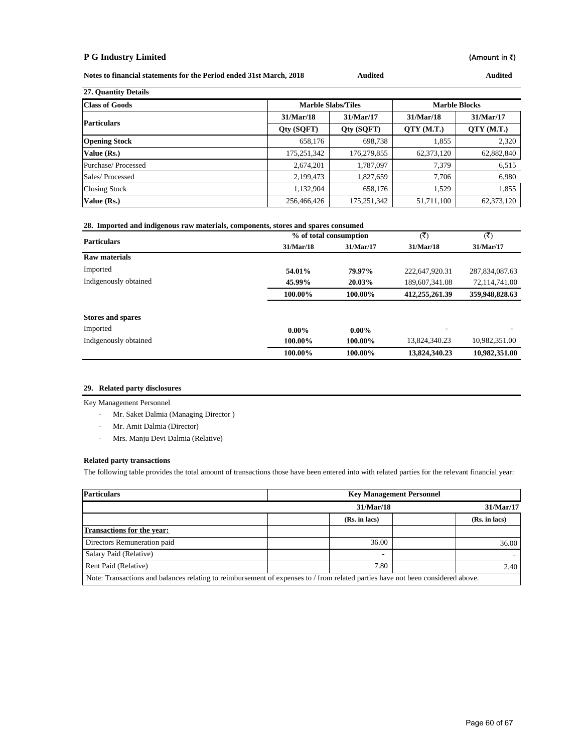Notes to financial statements for the Period ended 31st March, 2018 **Audited Audited Audited** 

| 27. Quantity Details  |                   |                           |                      |            |  |
|-----------------------|-------------------|---------------------------|----------------------|------------|--|
| <b>Class of Goods</b> |                   | <b>Marble Slabs/Tiles</b> | <b>Marble Blocks</b> |            |  |
| <b>Particulars</b>    | 31/Mar/18         | 31/Mar/17                 | 31/Mar/18            | 31/Mar/17  |  |
|                       | <b>Qty (SQFT)</b> | <b>Qty (SQFT)</b>         | OTY (M.T.)           | OTY (M.T.) |  |
| <b>Opening Stock</b>  | 658,176           | 698,738                   | 1,855                | 2,320      |  |
| Value (Rs.)           | 175,251,342       | 176,279,855               | 62,373,120           | 62,882,840 |  |
| Purchase/Processed    | 2,674,201         | 1,787,097                 | 7,379                | 6,515      |  |
| Sales/Processed       | 2,199,473         | 1,827,659                 | 7.706                | 6.980      |  |
| <b>Closing Stock</b>  | 1,132,904         | 658,176                   | 1.529                | 1,855      |  |
| Value (Rs.)           | 256,466,426       | 175,251,342               | 51,711,100           | 62,373,120 |  |

| 28. Imported and indigenous raw materials, components, stores and spares consumed |                        |           |                |                |
|-----------------------------------------------------------------------------------|------------------------|-----------|----------------|----------------|
| <b>Particulars</b>                                                                | % of total consumption |           | (₹)            | (₹)            |
|                                                                                   | 31/Mar/18              | 31/Mar/17 | 31/Mar/18      | 31/Mar/17      |
| <b>Raw materials</b>                                                              |                        |           |                |                |
| Imported                                                                          | 54.01%                 | 79.97%    | 222,647,920.31 | 287,834,087.63 |
| Indigenously obtained                                                             | 45.99%                 | 20.03%    | 189,607,341.08 | 72.114.741.00  |
|                                                                                   | 100.00%                | 100.00%   | 412,255,261.39 | 359,948,828.63 |
| <b>Stores and spares</b>                                                          |                        |           |                |                |
| Imported                                                                          | $0.00\%$               | $0.00\%$  |                |                |
| Indigenously obtained                                                             | 100.00%                | 100.00%   | 13,824,340.23  | 10,982,351.00  |
|                                                                                   | 100.00%                | 100.00%   | 13,824,340.23  | 10,982,351.00  |

## **29. Related party disclosures**

Key Management Personnel

- Mr. Saket Dalmia (Managing Director )
- Mr. Amit Dalmia (Director)
- Mrs. Manju Devi Dalmia (Relative)

## **Related party transactions**

The following table provides the total amount of transactions those have been entered into with related parties for the relevant financial year:

| <b>Particulars</b>                                                                                                              | <b>Key Management Personnel</b> |               |
|---------------------------------------------------------------------------------------------------------------------------------|---------------------------------|---------------|
|                                                                                                                                 | 31/Mar/18                       | 31/Mar/17     |
|                                                                                                                                 | (Rs. in lacs)                   | (Rs. in lacs) |
| <b>Transactions for the year:</b>                                                                                               |                                 |               |
| Directors Remuneration paid                                                                                                     | 36.00                           | 36.00         |
| Salary Paid (Relative)                                                                                                          |                                 |               |
| Rent Paid (Relative)                                                                                                            | 7.80                            | 2.40          |
| Note: Transactions and balances relating to reimbursement of expenses to / from related parties have not been considered above. |                                 |               |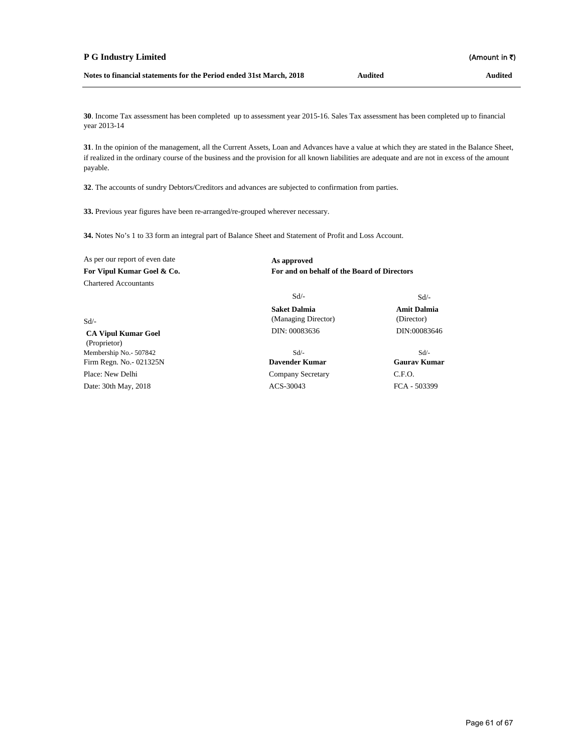| <b>P G Industry Limited</b>                                         |         | (Amount in ₹) |
|---------------------------------------------------------------------|---------|---------------|
| Notes to financial statements for the Period ended 31st March, 2018 | Audited | Audited       |

**30**. Income Tax assessment has been completed up to assessment year 2015-16. Sales Tax assessment has been completed up to financial year 2013-14

**31**. In the opinion of the management, all the Current Assets, Loan and Advances have a value at which they are stated in the Balance Sheet, if realized in the ordinary course of the business and the provision for all known liabilities are adequate and are not in excess of the amount payable.

**32**. The accounts of sundry Debtors/Creditors and advances are subjected to confirmation from parties.

**33.** Previous year figures have been re-arranged/re-grouped wherever necessary.

**34.** Notes No's 1 to 33 form an integral part of Balance Sheet and Statement of Profit and Loss Account.

As per our report of even date **As approved** Chartered Accountants

For Vipul Kumar Goel & Co. **For and on behalf of the Board of Directors** 

 $Sd$ - $Sd$ -**Saket Dalmia Amit Dalmia** Sd/- (Managing Director) (Director)

**CA Vipul Kumar Goel** DIN: 00083636 DIN: 00083636 DIN: 00083646 (Proprietor) Membership No.- 507842 Sd/- Sd/- Firm Regn. No.- 021325N **Davender Kumar Gaurav Kumar**

Place: New Delhi Company Secretary C.F.O. Date: 30th May, 2018 ACS-30043 FCA - 503399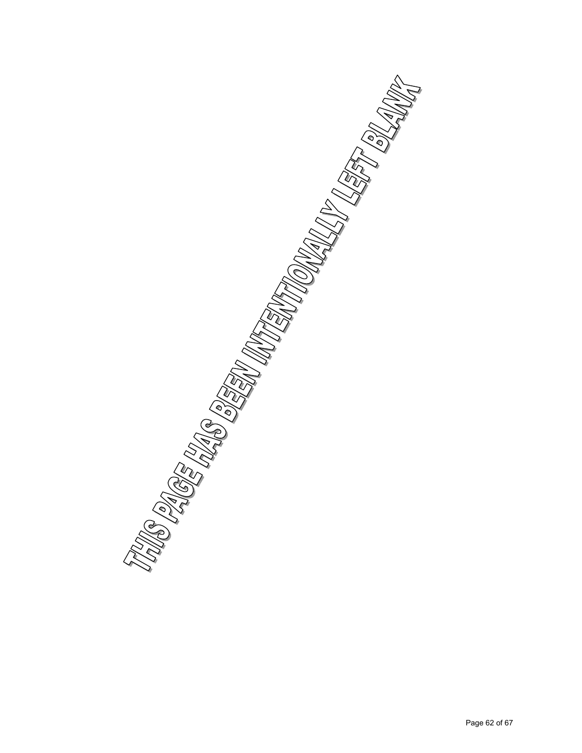**THE SEARCH SEARCH SEARCH SEARCH SEARCH SEARCH SEARCH SEARCH SEARCH SEARCH SEARCH SEARCH SEARCH SEARCH SEARCH S**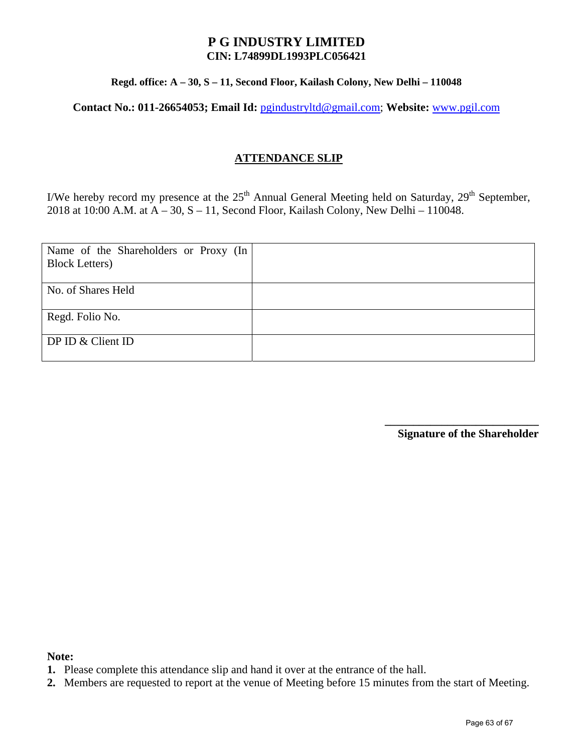# **P G INDUSTRY LIMITED CIN: L74899DL1993PLC056421**

# **Regd. office: A – 30, S – 11, Second Floor, Kailash Colony, New Delhi – 110048**

# **Contact No.: 011-26654053; Email Id:** pgindustryltd@gmail.com; **Website:** www.pgil.com

# **ATTENDANCE SLIP**

I/We hereby record my presence at the  $25<sup>th</sup>$  Annual General Meeting held on Saturday,  $29<sup>th</sup>$  September, 2018 at 10:00 A.M. at A – 30, S – 11, Second Floor, Kailash Colony, New Delhi – 110048.

| Name of the Shareholders or Proxy (In |  |
|---------------------------------------|--|
| <b>Block Letters</b> )                |  |
|                                       |  |
| No. of Shares Held                    |  |
|                                       |  |
| Regd. Folio No.                       |  |
|                                       |  |
| DP ID & Client ID                     |  |
|                                       |  |

**\_\_\_\_\_\_\_\_\_\_\_\_\_\_\_\_\_\_\_\_\_\_\_\_\_\_\_ Signature of the Shareholder** 

**Note:** 

- **1.** Please complete this attendance slip and hand it over at the entrance of the hall.
- **2.** Members are requested to report at the venue of Meeting before 15 minutes from the start of Meeting.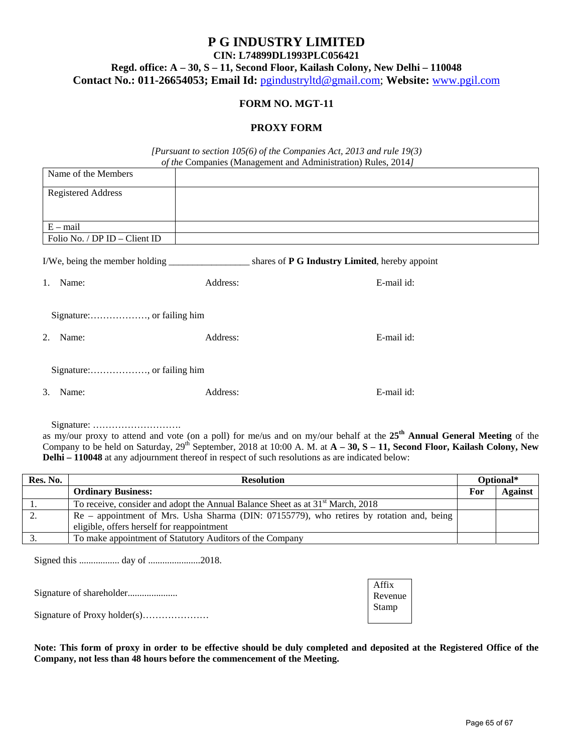# **P G INDUSTRY LIMITED**

**CIN: L74899DL1993PLC056421** 

**Regd. office: A – 30, S – 11, Second Floor, Kailash Colony, New Delhi – 110048**

**Contact No.: 011-26654053; Email Id:** pgindustryltd@gmail.com; **Website:** www.pgil.com

# **FORM NO. MGT-11**

# **PROXY FORM**

*[Pursuant to section 105(6) of the Companies Act, 2013 and rule 19(3) of the* Companies (Management and Administration) Rules, 2014*]* 

| Name of the Members                    |          |            |  |
|----------------------------------------|----------|------------|--|
| <b>Registered Address</b>              |          |            |  |
|                                        |          |            |  |
| $E - mail$                             |          |            |  |
| Folio No. / DP ID - Client ID          |          |            |  |
|                                        |          |            |  |
| 1. Name:                               | Address: | E-mail id: |  |
| Signature:, or failing him<br>2. Name: | Address: | E-mail id: |  |
|                                        |          |            |  |
| 3.<br>Name:                            | Address: | E-mail id: |  |

Signature: ……………………….

as my/our proxy to attend and vote (on a poll) for me/us and on my/our behalf at the **25th Annual General Meeting** of the Company to be held on Saturday, 29<sup>th</sup> September, 2018 at 10:00 A. M. at **A – 30, S – 11, Second Floor, Kailash Colony, New Delhi – 110048** at any adjournment thereof in respect of such resolutions as are indicated below:

| Res. No. | <b>Resolution</b>                                                                          |     | Optional*      |  |
|----------|--------------------------------------------------------------------------------------------|-----|----------------|--|
|          | <b>Ordinary Business:</b>                                                                  | For | <b>Against</b> |  |
|          | To receive, consider and adopt the Annual Balance Sheet as at $31st$ March, 2018           |     |                |  |
|          | $Re$ – appointment of Mrs. Usha Sharma (DIN: 07155779), who retires by rotation and, being |     |                |  |
|          | eligible, offers herself for reappointment                                                 |     |                |  |
|          | To make appointment of Statutory Auditors of the Company                                   |     |                |  |

Signed this ................. day of ......................2018.

| Affix   |
|---------|
| Revenue |
| Stamp   |
|         |

**Note: This form of proxy in order to be effective should be duly completed and deposited at the Registered Office of the Company, not less than 48 hours before the commencement of the Meeting.**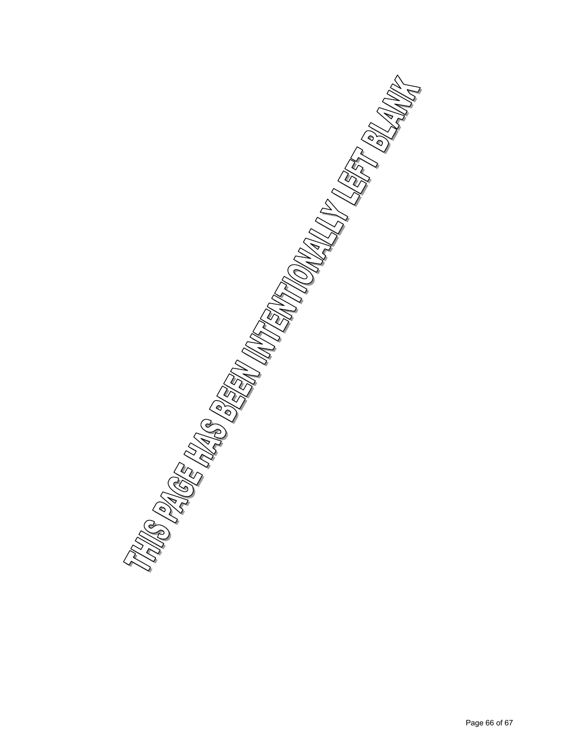TO SERVER ON SERVER REGISTER OF THE STATE OF THE SERVER OF THE STATE OF THE SERVER OF THE STATE OF THE SERVER OF THE STATE OF THE SERVER OF THE STATE OF THE STATE OF THE STATE OF THE STATE OF THE STATE OF THE STATE OF THE